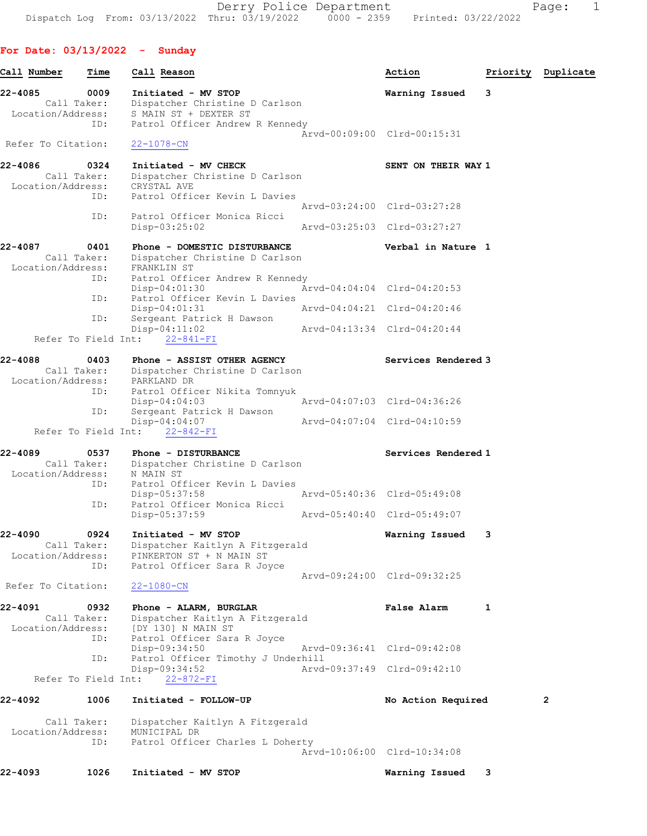Derry Police Department Fage: 1 Dispatch Log From: 03/13/2022 Thru: 03/19/2022 0000 - 2359 Printed: 03/22/2022

For Date: 03/13/2022 - Sunday Call Number Time Call Reason Action Priority Duplicate 22-4085 0009 Initiated - MV STOP Warning Issued 3 Call Taker: Dispatcher Christine D Carlson Location/Address: S MAIN ST + DEXTER ST ID: Patrol Officer Andrew R Kennedy Arvd-00:09:00 Clrd-00:15:31<br>22-1078-CN Refer To Citation: 22-4086 0324 Initiated - MV CHECK SENT ON THEIR WAY 1 Call Taker: Dispatcher Christine D Carlson Location/Address: CRYSTAL AVE ID: Patrol Officer Kevin L Davies Arvd-03:24:00 Clrd-03:27:28 ID: Patrol Officer Monica Ricci Disp-03:25:02 Arvd-03:25:03 Clrd-03:27:27 22-4087 0401 Phone - DOMESTIC DISTURBANCE Verbal in Nature 1 Call Taker: Dispatcher Christine D Carlson Location/Address: FRANKLIN ST ID: Patrol Officer Andrew R Kennedy Disp-04:01:30 Arvd-04:04:04 Clrd-04:20:53 ID: Patrol Officer Kevin L Davies Disp-04:01:31 Arvd-04:04:21 Clrd-04:20:46 ID: Sergeant Patrick H Dawson<br>Disp-04:11:02 Arvd-04:13:34 Clrd-04:20:44 Refer To Field Int: 22-841-FI 22-4088 0403 Phone - ASSIST OTHER AGENCY Services Rendered 3 Call Taker: Dispatcher Christine D Carlson Location/Address: PARKLAND DR ID: Patrol Officer Nikita Tomnyuk Disp-04:04:03 Arvd-04:07:03 Clrd-04:36:26 ID: Sergeant Patrick H Dawson Disp-04:04:07 Arvd-04:07:04 Clrd-04:10:59 Refer To Field Int: 22-842-FI 22-4089 0537 Phone - DISTURBANCE Services Rendered 1 Call Taker: Dispatcher Christine D Carlson Location/Address: N MAIN ST ID: Patrol Officer Kevin L Davies Disp-05:37:58 Arvd-05:40:36 Clrd-05:49:08 ID: Patrol Officer Monica Ricci Disp-05:37:59 Arvd-05:40:40 Clrd-05:49:07 22-4090 0924 Initiated - MV STOP Warning Issued 3 Call Taker: Dispatcher Kaitlyn A Fitzgerald Location/Address: PINKERTON ST + N MAIN ST ID: Patrol Officer Sara R Joyce Arvd-09:24:00 Clrd-09:32:25 Refer To Citation: 22-1080-CN 22-4091 0932 Phone - ALARM, BURGLAR False Alarm 1 Call Taker: Dispatcher Kaitlyn A Fitzgerald Location/Address: [DY 130] N MAIN ST ID: Patrol Officer Sara R Joyce Disp-09:34:50 Arvd-09:36:41 Clrd-09:42:08 ID: Patrol Officer Timothy J Underhill<br>Disp-09:34:52 Arvd Disp-09:34:52 Arvd-09:37:49 Clrd-09:42:10 Refer To Field Int: 22-872-FI 22-4092 1006 Initiated - FOLLOW-UP No Action Required 2

 Call Taker: Dispatcher Kaitlyn A Fitzgerald Location/Address: MUNICIPAL DR ID: Patrol Officer Charles L Doherty Arvd-10:06:00 Clrd-10:34:08

22-4093 1026 Initiated - MV STOP Warning Issued 3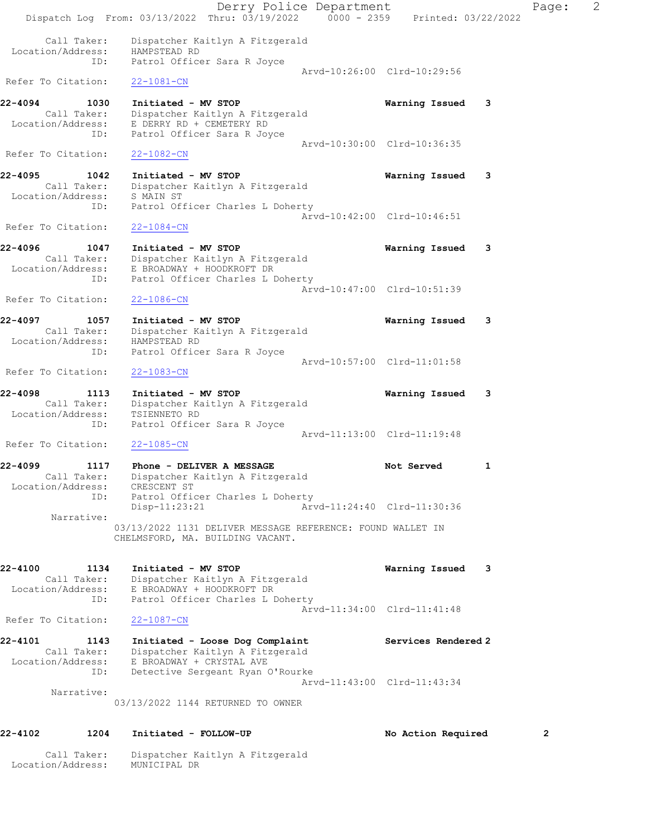Derry Police Department Controller Page: 2 Dispatch Log From: 03/13/2022 Thru: 03/19/2022 0000 - 2359 Printed: 03/22/2022 Call Taker: Dispatcher Kaitlyn A Fitzgerald Location/Address: HAMPSTEAD RD ID: Patrol Officer Sara R Joyce Arvd-10:26:00 Clrd-10:29:56 Refer To Citation: 22-1081-CN 22-4094 1030 Initiated - MV STOP Warning Issued 3 Call Taker: Dispatcher Kaitlyn A Fitzgerald Location/Address: E DERRY RD + CEMETERY RD ID: Patrol Officer Sara R Joyce Arvd-10:30:00 Clrd-10:36:35 Refer To Citation: 22-1082-CN 22-4095 1042 Initiated - MV STOP Warning Issued 3 Call Taker: Dispatcher Kaitlyn A Fitzgerald Location/Address: S MAIN ST ID: Patrol Officer Charles L Doherty Arvd-10:42:00 Clrd-10:46:51 Refer To Citation: 22-1084-CN 22-4096 1047 Initiated - MV STOP Warning Issued 3 Call Taker: Dispatcher Kaitlyn A Fitzgerald Location/Address: E BROADWAY + HOODKROFT DR ID: Patrol Officer Charles L Doherty Arvd-10:47:00 Clrd-10:51:39<br>22-1086-CN Refer To Citation: 22-4097 1057 Initiated - MV STOP Warning Issued 3 Call Taker: Dispatcher Kaitlyn A Fitzgerald Location/Address: HAMPSTEAD RD ID: Patrol Officer Sara R Joyce Arvd-10:57:00 Clrd-11:01:58 Refer To Citation: 22-1083-CN 22-4098 1113 Initiated - MV STOP Warning Issued 3 Call Taker: Dispatcher Kaitlyn A Fitzgerald Location/Address: TSIENNETO RD ID: Patrol Officer Sara R Joyce Arvd-11:13:00 Clrd-11:19:48 Refer To Citation: 22-1085-CN 22-4099 1117 Phone - DELIVER A MESSAGE Not Served 1 Call Taker: Dispatcher Kaitlyn A Fitzgerald Location/Address: CRESCENT ST ID: Patrol Officer Charles L Doherty Disp-11:23:21 Arvd-11:24:40 Clrd-11:30:36 Narrative: 03/13/2022 1131 DELIVER MESSAGE REFERENCE: FOUND WALLET IN CHELMSFORD, MA. BUILDING VACANT. 22-4100 1134 Initiated - MV STOP Warning Issued 3 Call Taker: Dispatcher Kaitlyn A Fitzgerald Location/Address: E BROADWAY + HOODKROFT DR ID: Patrol Officer Charles L Doherty Arvd-11:34:00 Clrd-11:41:48 Refer To Citation: 22-1087-CN 22-4101 1143 Initiated - Loose Dog Complaint Services Rendered 2 Call Taker: Dispatcher Kaitlyn A Fitzgerald Location/Address: E BROADWAY + CRYSTAL AVE ID: Detective Sergeant Ryan O'Rourke Arvd-11:43:00 Clrd-11:43:34 Narrative: 03/13/2022 1144 RETURNED TO OWNER 22-4102 1204 Initiated - FOLLOW-UP No Action Required 2

Call Taker: Dispatcher Kaitlyn A Fitzgerald

Location/Address: MUNICIPAL DR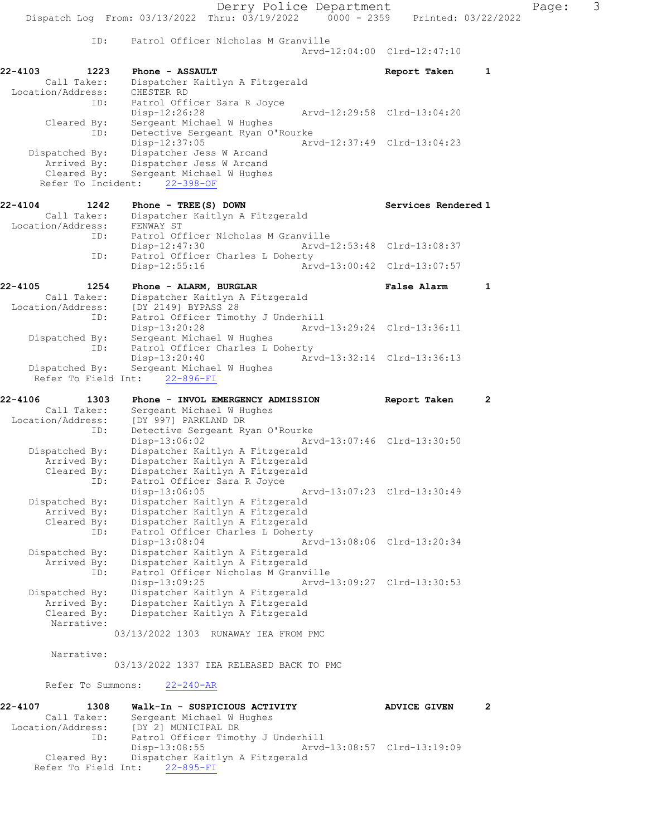Derry Police Department Page: 3 Dispatch Log From: 03/13/2022 Thru: 03/19/2022 0000 - 2359 Printed: 03/22/2022 ID: Patrol Officer Nicholas M Granville Arvd-12:04:00 Clrd-12:47:10 22-4103 1223 Phone - ASSAULT Report Taken 1 Call Taker: Dispatcher Kaitlyn A Fitzgerald Location/Address: CHESTER RD ID: Patrol Officer Sara R Joyce<br>Disp-12:26:28 Disp-12:26:28 Arvd-12:29:58 Clrd-13:04:20 Cleared By: Sergeant Michael W Hughes ID: Detective Sergeant Ryan O'Rourke Disp-12:37:05 Arvd-12:37:49 Clrd-13:04:23 Dispatched By: Dispatcher Jess W Arcand Arrived By: Dispatcher Jess W Arcand Cleared By: Sergeant Michael W Hughes Refer To Incident: 22-398-OF 22-4104 1242 Phone - TREE(S) DOWN Services Rendered 1 Call Taker: Dispatcher Kaitlyn A Fitzgerald Location/Address: FENWAY ST ID: Patrol Officer Nicholas M Granville<br>Disp-12:47:30 Mrvd-12:53:48 Clrd-13:08:37 Disp-12:47:30 Arvd-12:53:48 Clrd-13:08:37 ID: Patrol Officer Charles L Doherty Disp-12:55:16 Arvd-13:00:42 Clrd-13:07:57 22-4105 1254 Phone - ALARM, BURGLAR False Alarm 1 Call Taker: Dispatcher Kaitlyn A Fitzgerald Location/Address: [DY 2149] BYPASS 28 ID: Patrol Officer Timothy J Underhill Disp-13:20:28 Arvd-13:29:24 Clrd-13:36:11 Dispatched By: Sergeant Michael W Hughes ID: Patrol Officer Charles L Doherty<br>Disp-13:20:40 Arv Disp-13:20:40 Arvd-13:32:14 Clrd-13:36:13 Dispatched By: Sergeant Michael W Hughes Refer To Field Int: 22-896-FI 22-4106 1303 Phone - INVOL EMERGENCY ADMISSION Report Taken 2 Call Taker: Sergeant Michael W Hughes Location/Address: [DY 997] PARKLAND DR ID: Detective Sergeant Ryan O'Rourke Disp-13:06:02 Arvd-13:07:46 Clrd-13:30:50 Dispatched By: Dispatcher Kaitlyn A Fitzgerald Arrived By: Dispatcher Kaitlyn A Fitzgerald Cleared By: Dispatcher Kaitlyn A Fitzgerald ID: Patrol Officer Sara R Joyce<br>Disp-13:06:05 Disp-13:06:05 Arvd-13:07:23 Clrd-13:30:49 Dispatched By: Dispatcher Kaitlyn A Fitzgerald Arrived By: Dispatcher Kaitlyn A Fitzgerald Cleared By: Dispatcher Kaitlyn A Fitzgerald ID: Patrol Officer Charles L Doherty Disp-13:08:04 Arvd-13:08:06 Clrd-13:20:34 Dispatched By: Dispatcher Kaitlyn A Fitzgerald Arrived By: Dispatcher Kaitlyn A Fitzgerald ID: Patrol Officer Nicholas M Granville Disp-13:09:25 Arvd-13:09:27 Clrd-13:30:53 Dispatched By: Dispatcher Kaitlyn A Fitzgerald Arrived By: Dispatcher Kaitlyn A Fitzgerald<br>Cleared By: Dispatcher Kaitlyn A Fitzgerald Dispatcher Kaitlyn A Fitzgerald Narrative: 03/13/2022 1303 RUNAWAY IEA FROM PMC Narrative: 03/13/2022 1337 IEA RELEASED BACK TO PMC

Refer To Summons: 22-240-AR

| 22-4107           | 1308        | Walk-In - SUSPICIOUS ACTIVITY               |                             | <b>ADVICE GIVEN</b> |  |
|-------------------|-------------|---------------------------------------------|-----------------------------|---------------------|--|
|                   | Call Taker: | Sergeant Michael W Hughes                   |                             |                     |  |
| Location/Address: |             | [DY 2] MUNICIPAL DR                         |                             |                     |  |
|                   | ID:         | Patrol Officer Timothy J Underhill          |                             |                     |  |
|                   |             | Disp-13:08:55                               | Arvd-13:08:57 Clrd-13:19:09 |                     |  |
|                   |             | Cleared By: Dispatcher Kaitlyn A Fitzgerald |                             |                     |  |
|                   |             | Refer To Field Int: 22-895-FI               |                             |                     |  |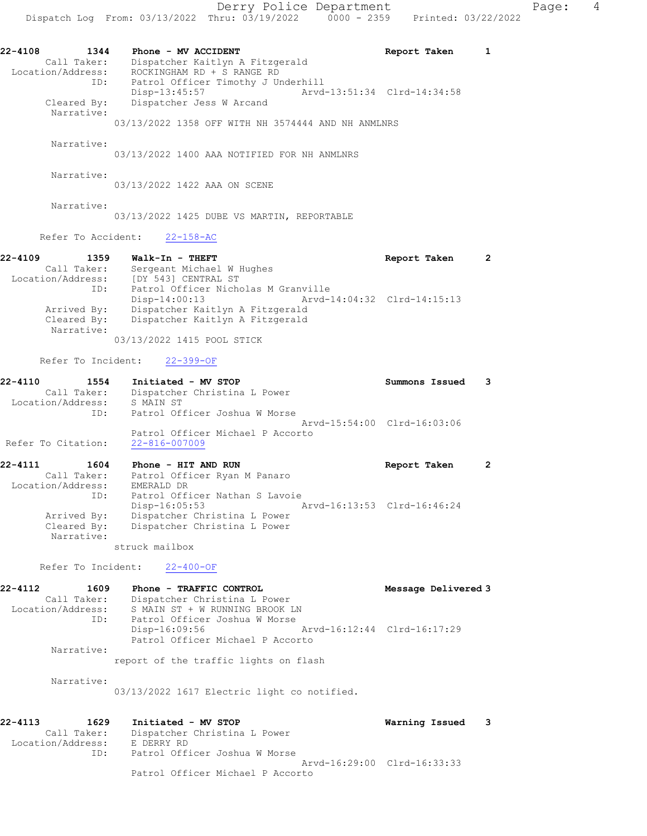22-4108 1344 Phone - MV ACCIDENT 1 22-4108 Report Taken 1 Call Taker: Dispatcher Kaitlyn A Fitzgerald Location/Address: ROCKINGHAM RD + S RANGE RD ID: Patrol Officer Timothy J Underhill Disp-13:45:57 Arvd-13:51:34 Clrd-14:34:58 Cleared By: Dispatcher Jess W Arcand Narrative:

03/13/2022 1358 OFF WITH NH 3574444 AND NH ANMLNRS

Narrative:

03/13/2022 1400 AAA NOTIFIED FOR NH ANMLNRS

Narrative:

Narrative:

03/13/2022 1422 AAA ON SCENE

03/13/2022 1425 DUBE VS MARTIN, REPORTABLE

Refer To Accident: 22-158-AC

22-4109 1359 Walk-In - THEFT Report Taken 2 Call Taker: Sergeant Michael W Hughes Location/Address: [DY 543] CENTRAL ST ID: Patrol Officer Nicholas M Granville Disp-14:00:13 Arvd-14:04:32 Clrd-14:15:13 Arrived By: Dispatcher Kaitlyn A Fitzgerald Cleared By: Dispatcher Kaitlyn A Fitzgerald Narrative:

03/13/2022 1415 POOL STICK

Refer To Incident: 22-399-OF

| Initiated - MV STOP                                     | Summons Issued |                             |
|---------------------------------------------------------|----------------|-----------------------------|
| Dispatcher Christina L Power                            |                |                             |
| S MAIN ST                                               |                |                             |
| Patrol Officer Joshua W Morse                           |                |                             |
|                                                         |                |                             |
| Patrol Officer Michael P Accorto<br>$22 - 816 - 007009$ |                |                             |
|                                                         |                | Aryd-15:54:00 Clrd-16:03:06 |

22-4111 1604 Phone - HIT AND RUN Report Taken 2 Call Taker: Patrol Officer Ryan M Panaro Location/Address: EMERALD DR ID: Patrol Officer Nathan S Lavoie Disp-16:05:53 Arvd-16:13:53 Clrd-16:46:24 Arrived By: Dispatcher Christina L Power Cleared By: Dispatcher Christina L Power Narrative:

struck mailbox

Refer To Incident: 22-400-OF

| 22-4112<br>1609   | Phone - TRAFFIC CONTROL               |                             | Message Delivered 3 |
|-------------------|---------------------------------------|-----------------------------|---------------------|
| Call Taker:       | Dispatcher Christina L Power          |                             |                     |
| Location/Address: | S MAIN ST + W RUNNING BROOK LN        |                             |                     |
| ID:               | Patrol Officer Joshua W Morse         |                             |                     |
|                   | Disp-16:09:56                         | Arvd-16:12:44 Clrd-16:17:29 |                     |
|                   | Patrol Officer Michael P Accorto      |                             |                     |
| Narrative:        |                                       |                             |                     |
|                   | report of the traffic lights on flash |                             |                     |

Narrative:

03/13/2022 1617 Electric light co notified.

| $22 - 4113$       | 1629        | Initiated - MV STOP              | Warning Issued 3 |  |
|-------------------|-------------|----------------------------------|------------------|--|
|                   | Call Taker: | Dispatcher Christina L Power     |                  |  |
| Location/Address: |             | E DERRY RD                       |                  |  |
|                   | ID:         | Patrol Officer Joshua W Morse    |                  |  |
|                   |             | Aryd-16:29:00 Clrd-16:33:33      |                  |  |
|                   |             | Patrol Officer Michael P Accorto |                  |  |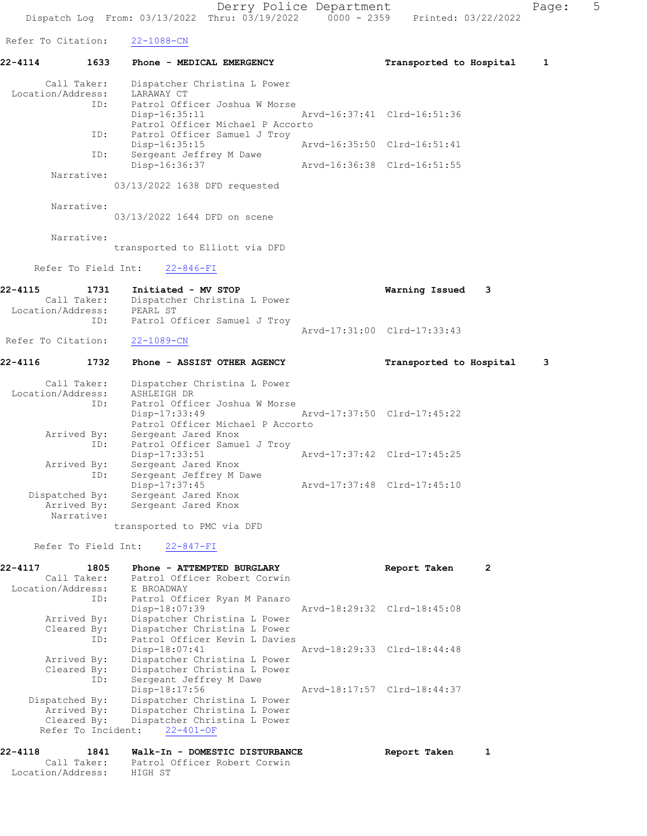Derry Police Department Fage: 5 Dispatch Log From: 03/13/2022 Thru: 03/19/2022 0000 - 2359 Printed: 03/22/2022 Refer To Citation: 22-1088-CN 22-4114 1633 Phone - MEDICAL EMERGENCY Transported to Hospital 1 Call Taker: Dispatcher Christina L Power Location/Address: LARAWAY CT ID: Patrol Officer Joshua W Morse Disp-16:35:11 Arvd-16:37:41 Clrd-16:51:36 Patrol Officer Michael P Accorto ID: Patrol Officer Samuel J Troy<br>Disp-16:35:15 Disp-16:35:15 Arvd-16:35:50 Clrd-16:51:41 ID: Sergeant Jeffrey M Dawe Disp-16:36:37 Arvd-16:36:38 Clrd-16:51:55 Narrative: 03/13/2022 1638 DFD requested Narrative: 03/13/2022 1644 DFD on scene Narrative: transported to Elliott via DFD Refer To Field Int: 22-846-FI 22-4115 1731 Initiated - MV STOP Warning Issued 3 Call Taker: Dispatcher Christina L Power Location/Address: PEARL ST ID: Patrol Officer Samuel J Troy Arvd-17:31:00 Clrd-17:33:43 Refer To Citation: 22-1089-CN 22-4116 1732 Phone - ASSIST OTHER AGENCY Transported to Hospital 3 Call Taker: Dispatcher Christina L Power Location/Address: ASHLEIGH DR ID: Patrol Officer Joshua W Morse<br>Disp-17:33:49 Disp-17:33:49 Arvd-17:37:50 Clrd-17:45:22 Patrol Officer Michael P Accorto Arrived By: Sergeant Jared Knox ID: Patrol Officer Samuel J Troy Disp-17:33:51 Arvd-17:37:42 Clrd-17:45:25 Arrived By: Sergeant Jared Knox ID: Sergeant Jeffrey M Dawe Disp-17:37:45 Arvd-17:37:48 Clrd-17:45:10 Dispatched By: Sergeant Jared Knox Arrived By: Sergeant Jared Knox Narrative: transported to PMC via DFD Refer To Field Int: 22-847-FI 22-4117 1805 Phone - ATTEMPTED BURGLARY Report Taken 2 Call Taker: Patrol Officer Robert Corwin Location/Address: E BROADWAY ID: Patrol Officer Ryan M Panaro Disp-18:07:39 Arvd-18:29:32 Clrd-18:45:08 Arrived By: Dispatcher Christina L Power Cleared By: Dispatcher Christina L Power ID: Patrol Officer Kevin L Davies Disp-18:07:41 Arvd-18:29:33 Clrd-18:44:48

 Arrived By: Dispatcher Christina L Power Cleared By: Dispatcher Christina L Power ID: Sergeant Jeffrey M Dawe Disp-18:17:56 Arvd-18:17:57 Clrd-18:44:37 Dispatched By: Dispatcher Christina L Power Arrived By: Dispatcher Christina L Power Cleared By: Dispatcher Christina L Power Refer To Incident: 22-401-OF

22-4118 1841 Walk-In - DOMESTIC DISTURBANCE Report Taken 1 Call Taker: Patrol Officer Robert Corwin Location/Address: HIGH ST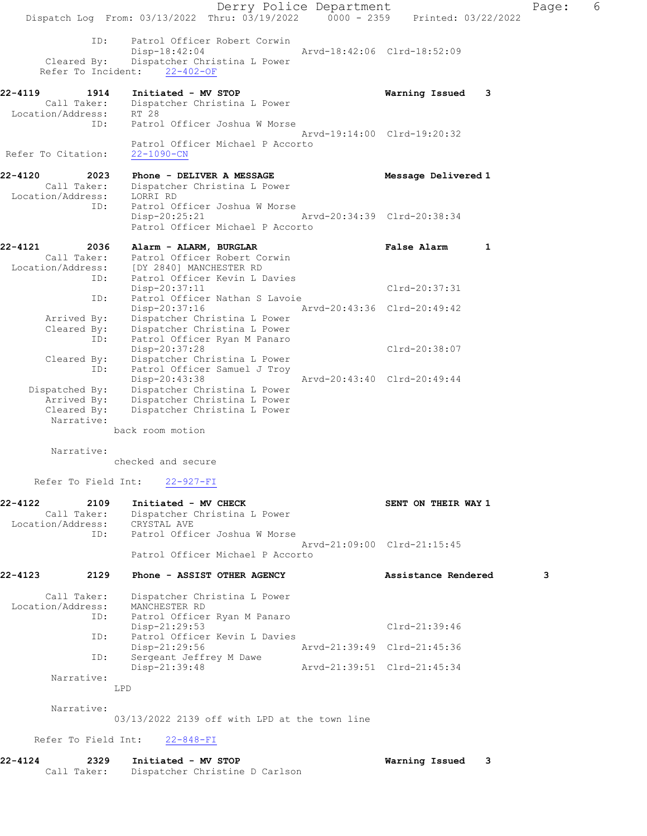Derry Police Department Fage: 6 Dispatch Log From: 03/13/2022 Thru: 03/19/2022 0000 - 2359 Printed: 03/22/2022 ID: Patrol Officer Robert Corwin<br>Disp-18:42:04 Disp-18:42:04 Arvd-18:42:06 Clrd-18:52:09 Cleared By: Dispatcher Christina L Power Refer To Incident: 22-402-OF 22-4119 1914 Initiated - MV STOP Warning Issued 3 Call Taker: Dispatcher Christina L Power Location/Address: RT 28 ID: Patrol Officer Joshua W Morse Arvd-19:14:00 Clrd-19:20:32 Patrol Officer Michael P Accorto Refer To Citation: 22-1090-CN 22-4120 2023 Phone - DELIVER A MESSAGE Nessage Delivered 1 Call Taker: Dispatcher Christina L Power Location/Address: LORRI RD ID: Patrol Officer Joshua W Morse Disp-20:25:21 Arvd-20:34:39 Clrd-20:38:34 Patrol Officer Michael P Accorto 22-4121 2036 Alarm - ALARM, BURGLAR False Alarm 1 Call Taker: Patrol Officer Robert Corwin Location/Address: [DY 2840] MANCHESTER RD ID: Patrol Officer Kevin L Davies Disp-20:37:11 Clrd-20:37:31 ID: Patrol Officer Nathan S Lavoie<br>Disp-20:37:16 Ar Disp-20:37:16 Arvd-20:43:36 Clrd-20:49:42 Arrived By: Dispatcher Christina L Power Cleared By: Dispatcher Christina L Power ID: Patrol Officer Ryan M Panaro Disp-20:37:28 Clrd-20:38:07 Cleared By: Dispatcher Christina L Power ID: Patrol Officer Samuel J Troy Disp-20:43:38 Arvd-20:43:40 Clrd-20:49:44 Dispatched By: Dispatcher Christina L Power Arrived By: Dispatcher Christina L Power Cleared By: Dispatcher Christina L Power Narrative: back room motion Narrative: checked and secure Refer To Field Int: 22-927-FI 22-4122 2109 Initiated - MV CHECK SENT ON THEIR WAY 1 Call Taker: Dispatcher Christina L Power Location/Address: CRYSTAL AVE ID: Patrol Officer Joshua W Morse Arvd-21:09:00 Clrd-21:15:45 Patrol Officer Michael P Accorto 22-4123 2129 Phone - ASSIST OTHER AGENCY Assistance Rendered 3 Call Taker: Dispatcher Christina L Power Location/Address: MANCHESTER RD ID: Patrol Officer Ryan M Panaro Disp-21:29:53 Clrd-21:39:46 ID: Patrol Officer Kevin L Davies<br>Disp-21:29:56 Disp-21:29:56 <br>
D: Sergeant Jeffrey M Dawe <br>  $\frac{1}{2}$  Arvd-21:39:49 Clrd-21:45:36 Disp-21.20000<br>Sergeant Jeffrey M Dawe<br>Disp-21:39:48 Arvd-21:39:51 Clrd-21:45:34 Narrative: LPD Narrative: 03/13/2022 2139 off with LPD at the town line Refer To Field Int: 22-848-FI 22-4124 2329 Initiated - MV STOP Warning Issued 3 Call Taker: Dispatcher Christine D Carlson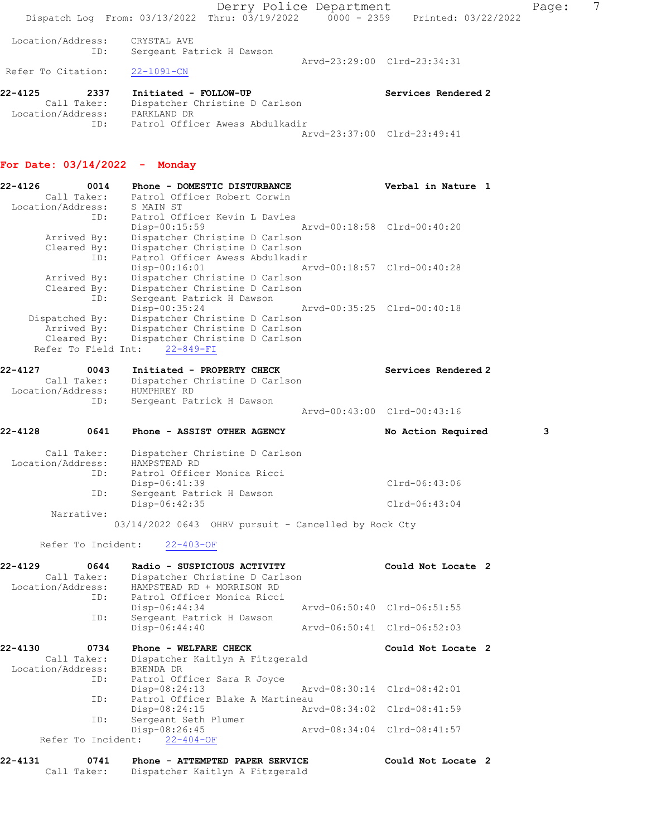Derry Police Department The Page: 7 Dispatch Log From: 03/13/2022 Thru: 03/19/2022 0000 - 2359 Printed: 03/22/2022 Location/Address: CRYSTAL AVE ID: Sergeant Patrick H Dawson Arvd-23:29:00 Clrd-23:34:31 Refer To Citation: 22-1091-CN 22-4125 2337 Initiated - FOLLOW-UP Services Rendered 2 Call Taker: Dispatcher Christine D Carlson Location/Address: PARKLAND DR

Arvd-23:37:00 Clrd-23:49:41

ID: Patrol Officer Awess Abdulkadir

#### For Date: 03/14/2022 - Monday

| $22 - 4126$<br>Location/Address: | 0014<br>Call Taker:                                                 | Phone - DOMESTIC DISTURBANCE<br>Patrol Officer Robert Corwin<br>S MAIN ST                                                                               |                             | Verbal in Nature 1          |   |
|----------------------------------|---------------------------------------------------------------------|---------------------------------------------------------------------------------------------------------------------------------------------------------|-----------------------------|-----------------------------|---|
|                                  | ID:<br>Arrived By:<br>Cleared By:<br>ID:                            | Patrol Officer Kevin L Davies<br>$Disp-00:15:59$<br>Dispatcher Christine D Carlson<br>Dispatcher Christine D Carlson<br>Patrol Officer Awess Abdulkadir | Arvd-00:18:58 Clrd-00:40:20 |                             |   |
|                                  | Arrived By:<br>Cleared By:<br>ID:                                   | $Disp-00:16:01$<br>Dispatcher Christine D Carlson<br>Dispatcher Christine D Carlson<br>Sergeant Patrick H Dawson                                        |                             | Arvd-00:18:57 Clrd-00:40:28 |   |
|                                  | Dispatched By:<br>Arrived By:<br>Cleared By:<br>Refer To Field Int: | Disp-00:35:24<br>Dispatcher Christine D Carlson<br>Dispatcher Christine D Carlson<br>Dispatcher Christine D Carlson<br>$22 - 849 - FI$                  | Arvd-00:35:25 Clrd-00:40:18 |                             |   |
| 22-4127                          | 0043<br>Call Taker:                                                 | Initiated - PROPERTY CHECK<br>Dispatcher Christine D Carlson                                                                                            |                             | Services Rendered 2         |   |
| Location/Address:                | ID:                                                                 | HUMPHREY RD<br>Sergeant Patrick H Dawson                                                                                                                |                             | Arvd-00:43:00 Clrd-00:43:16 |   |
| 22-4128                          | 0641                                                                | Phone - ASSIST OTHER AGENCY                                                                                                                             |                             | No Action Required          | 3 |
| Location/Address:                | Call Taker:                                                         | Dispatcher Christine D Carlson<br>HAMPSTEAD RD                                                                                                          |                             |                             |   |
|                                  | ID:                                                                 | Patrol Officer Monica Ricci<br>Disp-06:41:39                                                                                                            |                             | $Clrd-06:43:06$             |   |
|                                  | ID:                                                                 | Sergeant Patrick H Dawson<br>Disp-06:42:35                                                                                                              |                             | $Clrd-06:43:04$             |   |
|                                  | Narrative:                                                          | 03/14/2022 0643 OHRV pursuit - Cancelled by Rock Cty                                                                                                    |                             |                             |   |
|                                  | Refer To Incident:                                                  | $22 - 403 - OF$                                                                                                                                         |                             |                             |   |
| 22-4129<br>Location/Address:     | 0644<br>Call Taker:<br>ID:                                          | Radio - SUSPICIOUS ACTIVITY<br>Dispatcher Christine D Carlson<br>HAMPSTEAD RD + MORRISON RD<br>Patrol Officer Monica Ricci                              |                             | Could Not Locate 2          |   |
|                                  |                                                                     | Disp-06:44:34                                                                                                                                           |                             | Arvd-06:50:40 Clrd-06:51:55 |   |
|                                  | ID:                                                                 | Sergeant Patrick H Dawson<br>Disp-06:44:40                                                                                                              |                             | Arvd-06:50:41 Clrd-06:52:03 |   |
| 22-4130<br>Location/Address:     | 0734<br>Call Taker:                                                 | Phone - WELFARE CHECK<br>Dispatcher Kaitlyn A Fitzgerald<br>BRENDA DR                                                                                   |                             | Could Not Locate 2          |   |
|                                  | ID:                                                                 | Patrol Officer Sara R Joyce<br>Disp-08:24:13                                                                                                            |                             | Arvd-08:30:14 Clrd-08:42:01 |   |
|                                  | ID:                                                                 | Patrol Officer Blake A Martineau<br>Disp-08:24:15                                                                                                       |                             | Arvd-08:34:02 Clrd-08:41:59 |   |
|                                  | ID:                                                                 | Sergeant Seth Plumer<br>Disp-08:26:45                                                                                                                   |                             | Arvd-08:34:04 Clrd-08:41:57 |   |
|                                  | Refer To Incident:                                                  | $22 - 404 - OF$                                                                                                                                         |                             |                             |   |

| 22-4131 | 0741        | Phone - ATTEMPTED PAPER SERVICE | Could Not Locate 2 |
|---------|-------------|---------------------------------|--------------------|
|         | Call Taker: | Dispatcher Kaitlyn A Fitzgerald |                    |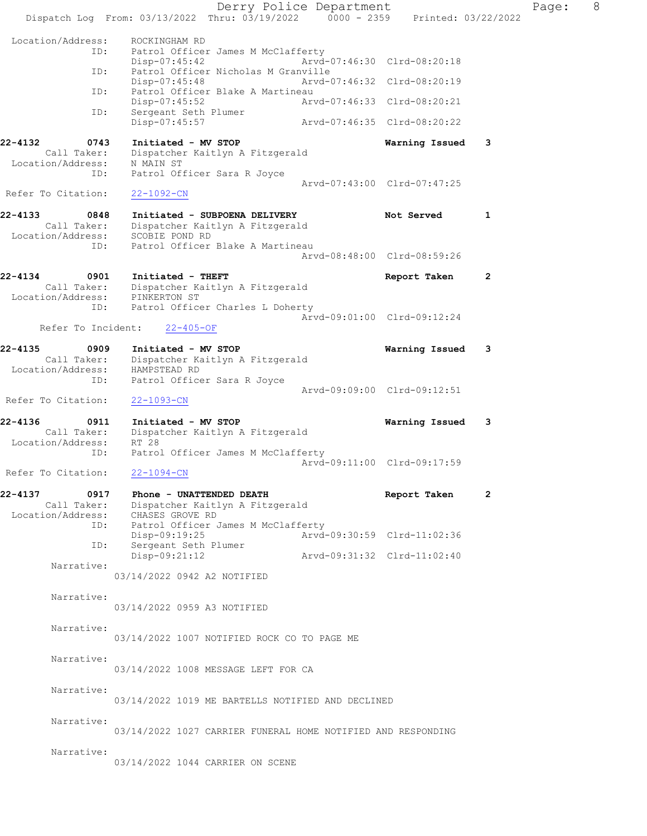Derry Police Department Fage: 8 Dispatch Log From: 03/13/2022 Thru: 03/19/2022 0000 - 2359 Printed: 03/22/2022 Location/Address: ROCKINGHAM RD ID: Patrol Officer James M McClafferty<br>Disp-07:45:42 Arvd- Disp-07:45:42 Arvd-07:46:30 Clrd-08:20:18 ID: Patrol Officer Nicholas M Granville Disp-07:45:48 Arvd-07:46:32 Clrd-08:20:19 ID: Patrol Officer Blake A Martineau<br>Disp-07:45:52 Arvd-07:46:33 Clrd-08:20:21 Disp-07:45:52 Arvd-07:46:33 Clrd-08:20:21 ID: Sergeant Seth Plumer Disp-07:45:57 Arvd-07:46:35 Clrd-08:20:22 22-4132 0743 Initiated - MV STOP Warning Issued 3 Call Taker: Dispatcher Kaitlyn A Fitzgerald Location/Address: N MAIN ST ID: Patrol Officer Sara R Joyce Arvd-07:43:00 Clrd-07:47:25 Refer To Citation: 22-1092-CN 22-4133 0848 Initiated - SUBPOENA DELIVERY Not Served 1 Call Taker: Dispatcher Kaitlyn A Fitzgerald Location/Address: SCOBIE POND RD ID: Patrol Officer Blake A Martineau Arvd-08:48:00 Clrd-08:59:26 22-4134 0901 Initiated - THEFT Report Taken 2 Call Taker: Dispatcher Kaitlyn A Fitzgerald Location/Address: PINKERTON ST ID: Patrol Officer Charles L Doherty Arvd-09:01:00 Clrd-09:12:24 Refer To Incident: 22-405-OF 22-4135 0909 Initiated - MV STOP Warning Issued 3 Call Taker: Dispatcher Kaitlyn A Fitzgerald Location/Address: HAMPSTEAD RD ID: Patrol Officer Sara R Joyce Arvd-09:09:00 Clrd-09:12:51 Refer To Citation: 22-1093-CN 22-4136 0911 Initiated - MV STOP Warning Issued 3 Call Taker: Dispatcher Kaitlyn A Fitzgerald Location/Address: RT 28 ID: Patrol Officer James M McClafferty Arvd-09:11:00 Clrd-09:17:59 Refer To Citation: 22-1094-CN 22-4137 0917 Phone - UNATTENDED DEATH **Report Taken** 2 Call Taker: Dispatcher Kaitlyn A Fitzgerald Location/Address: CHASES GROVE RD ID: Patrol Officer James M McClafferty<br>Disp-09:19:25 Arvd- Disp-09:19:25 Arvd-09:30:59 Clrd-11:02:36 ID: Sergeant Setherness<br>Disp-09:21:12 Disp-09:21:12 Arvd-09:31:32 Clrd-11:02:40 Narrative: 03/14/2022 0942 A2 NOTIFIED Narrative: 03/14/2022 0959 A3 NOTIFIED Narrative: 03/14/2022 1007 NOTIFIED ROCK CO TO PAGE ME Narrative: 03/14/2022 1008 MESSAGE LEFT FOR CA Narrative: 03/14/2022 1019 ME BARTELLS NOTIFIED AND DECLINED Narrative: 03/14/2022 1027 CARRIER FUNERAL HOME NOTIFIED AND RESPONDING Narrative: 03/14/2022 1044 CARRIER ON SCENE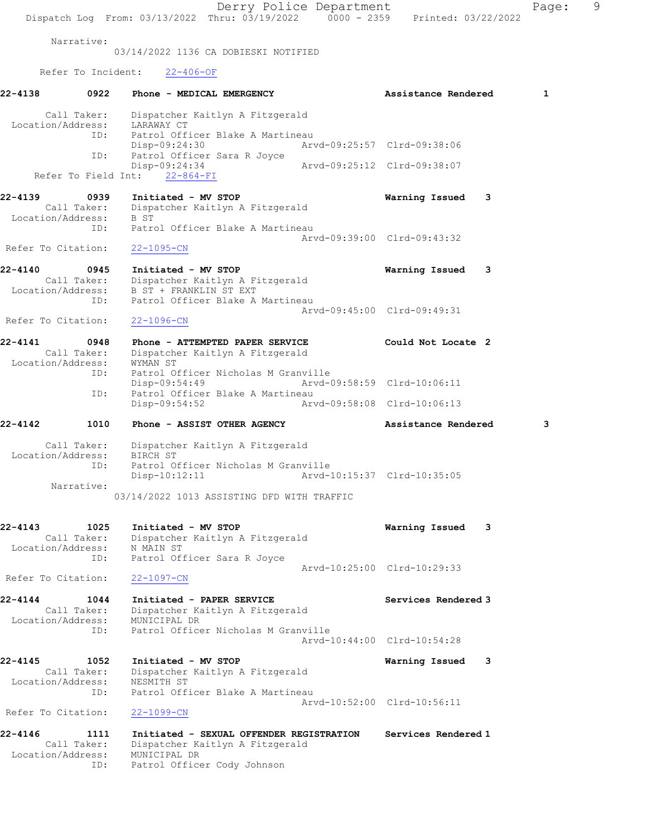Derry Police Department Page: 9 Dispatch Log From: 03/13/2022 Thru: 03/19/2022 0000 - 2359 Printed: 03/22/2022 Narrative: 03/14/2022 1136 CA DOBIESKI NOTIFIED Refer To Incident: 22-406-OF 22-4138 0922 Phone - MEDICAL EMERGENCY Assistance Rendered 1 Call Taker: Dispatcher Kaitlyn A Fitzgerald Location/Address: LARAWAY CT ID: Patrol Officer Blake A Martineau<br>Disp-09:24:30 Art Disp-09:24:30 Arvd-09:25:57 Clrd-09:38:06<br>Disp-09:24:34 Arvd-09:25:12 Clrd-09:38:07<br>Disp-09:24:34 Arvd-09:25:12 Clrd-09:38:07 Patrol Officer Sara R Joyce Disp-09:24:34 Arvd-09:25:12 Clrd-09:38:07 Refer To Field Int: 22-864-FI 22-4139 0939 Initiated - MV STOP Warning Issued 3 Call Taker: Dispatcher Kaitlyn A Fitzgerald Location/Address: B ST ID: Patrol Officer Blake A Martineau Arvd-09:39:00 Clrd-09:43:32 Refer To Citation: 22-1095-CN 22-4140 0945 Initiated - MV STOP Warning Issued 3 Call Taker: Dispatcher Kaitlyn A Fitzgerald Location/Address: B ST + FRANKLIN ST EXT ID: Patrol Officer Blake A Martineau Arvd-09:45:00 Clrd-09:49:31 Refer To Citation: 22-1096-CN 22-4141 0948 Phone - ATTEMPTED PAPER SERVICE Could Not Locate 2 Call Taker: Dispatcher Kaitlyn A Fitzgerald Location/Address: WYMAN ST ID: Patrol Officer Nicholas M Granville Disp-09:54:49 Arvd-09:58:59 Clrd-10:06:11 ID: Patrol Officer Blake A Martineau Disp-09:54:52 Arvd-09:58:08 Clrd-10:06:13 22-4142 1010 Phone - ASSIST OTHER AGENCY **Assistance Rendered** 3 Call Taker: Dispatcher Kaitlyn A Fitzgerald Location/Address: BIRCH ST ID: Patrol Officer Nicholas M Granville Arvd-10:15:37 Clrd-10:35:05 Narrative: 03/14/2022 1013 ASSISTING DFD WITH TRAFFIC 22-4143 1025 Initiated - MV STOP Warning Issued 3 Call Taker: Dispatcher Kaitlyn A Fitzgerald Location/Address: N MAIN ST ID: Patrol Officer Sara R Joyce Arvd-10:25:00 Clrd-10:29:33 Refer To Citation: 22-1097-CN 22-4144 1044 Initiated - PAPER SERVICE Services Rendered 3 Call Taker: Dispatcher Kaitlyn A Fitzgerald Location/Address: MUNICIPAL DR ID: Patrol Officer Nicholas M Granville Arvd-10:44:00 Clrd-10:54:28 22-4145 1052 Initiated - MV STOP Warning Issued 3 Call Taker: Dispatcher Kaitlyn A Fitzgerald Location/Address: NESMITH ST ID: Patrol Officer Blake A Martineau Arvd-10:52:00 Clrd-10:56:11<br>22-1099-CN Refer To Citation: 22-4146 1111 Initiated - SEXUAL OFFENDER REGISTRATION Services Rendered 1 Call Taker: Dispatcher Kaitlyn A Fitzgerald Location/Address: MUNICIPAL DR ID: Patrol Officer Cody Johnson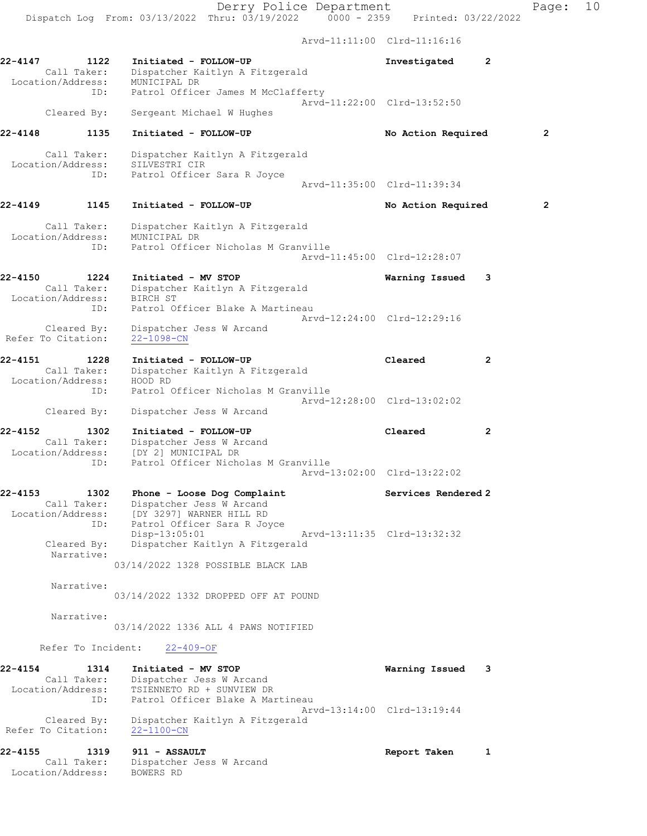Derry Police Department Page: 10 Dispatch Log From: 03/13/2022 Thru: 03/19/2022 0000 - 2359 Printed: 03/22/2022 Arvd-11:11:00 Clrd-11:16:16 22-4147 1122 Initiated - FOLLOW-UP Investigated 2 Call Taker: Dispatcher Kaitlyn A Fitzgerald Location/Address: MUNICIPAL DR ID: Patrol Officer James M McClafferty Arvd-11:22:00 Clrd-13:52:50 Cleared By: Sergeant Michael W Hughes 22-4148 1135 Initiated - FOLLOW-UP No Action Required 2 Call Taker: Dispatcher Kaitlyn A Fitzgerald Location/Address: SILVESTRI CIR ID: Patrol Officer Sara R Joyce Arvd-11:35:00 Clrd-11:39:34 22-4149 1145 Initiated - FOLLOW-UP 12 No Action Required 2 Call Taker: Dispatcher Kaitlyn A Fitzgerald Location/Address: MUNICIPAL DR ID: Patrol Officer Nicholas M Granville Arvd-11:45:00 Clrd-12:28:07 22-4150 1224 Initiated - MV STOP Warning Issued 3 Call Taker: Dispatcher Kaitlyn A Fitzgerald Location/Address: BIRCH ST ID: Patrol Officer Blake A Martineau Arvd-12:24:00 Clrd-12:29:16 Cleared By: Dispatcher Jess W Arcand Refer To Citation: 22-1098-CN 22-4151 1228 Initiated - FOLLOW-UP Cleared 2 Call Taker: Dispatcher Kaitlyn A Fitzgerald Location/Address: HOOD RD ID: Patrol Officer Nicholas M Granville Arvd-12:28:00 Clrd-13:02:02 Cleared By: Dispatcher Jess W Arcand 22-4152 1302 Initiated - FOLLOW-UP Cleared 2 Call Taker: Dispatcher Jess W Arcand Location/Address: [DY 2] MUNICIPAL DR ID: Patrol Officer Nicholas M Granville Arvd-13:02:00 Clrd-13:22:02 22-4153 1302 Phone - Loose Dog Complaint Services Rendered 2 Call Taker: Dispatcher Jess W Arcand Location/Address: [DY 3297] WARNER HILL RD ID: Patrol Officer Sara R Joyce Disp-13:05:01 Arvd-13:11:35 Clrd-13:32:32 Cleared By: Dispatcher Kaitlyn A Fitzgerald Narrative: 03/14/2022 1328 POSSIBLE BLACK LAB Narrative: 03/14/2022 1332 DROPPED OFF AT POUND Narrative: 03/14/2022 1336 ALL 4 PAWS NOTIFIED Refer To Incident: 22-409-OF 22-4154 1314 Initiated - MV STOP Warning Issued 3 Call Taker: Dispatcher Jess W Arcand Location/Address: TSIENNETO RD + SUNVIEW DR ID: Patrol Officer Blake A Martineau Arvd-13:14:00 Clrd-13:19:44 Cleared By: Dispatcher Kaitlyn A Fitzgerald Refer To Citation: 22-1100-CN 22-4155 1319 911 - ASSAULT Report Taken 1 Call Taker: Dispatcher Jess W Arcand Location/Address: BOWERS RD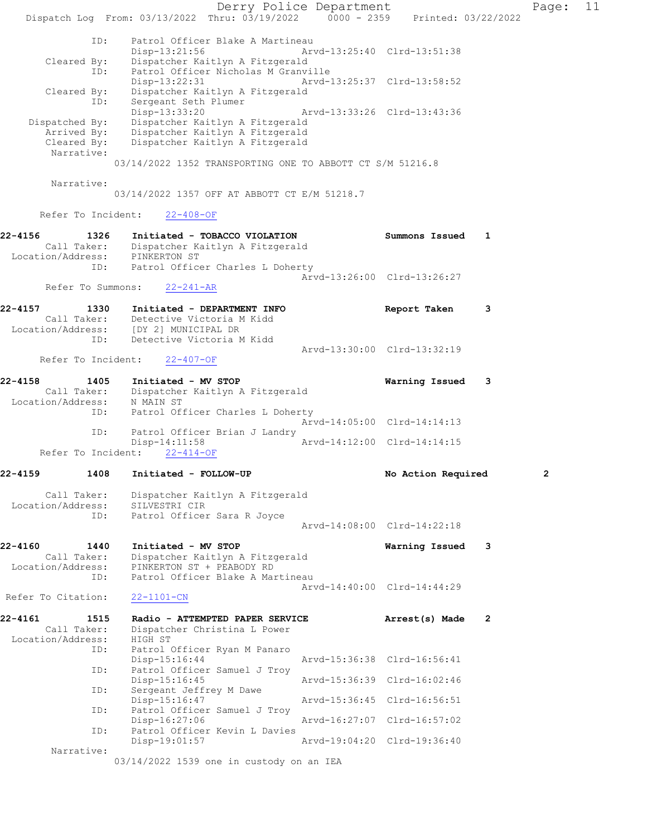Derry Police Department Fage: 11 Dispatch Log From: 03/13/2022 Thru: 03/19/2022 0000 - 2359 Printed: 03/22/2022 ID: Patrol Officer Blake A Martineau Disp-13:21:56 Arvd-13:25:40 Clrd-13:51:38 Cleared By: Dispatcher Kaitlyn A Fitzgerald ID: Patrol Officer Nicholas M Granville Disp-13:22:31 Arvd-13:25:37 Clrd-13:58:52 Cleared By: Dispatcher Kaitlyn A Fitzgerald ID: Sergeant Seth Plumer Disp-13:33:20 Arvd-13:33:26 Clrd-13:43:36 Dispatched By: Dispatcher Kaitlyn A Fitzgerald Arrived By: Dispatcher Kaitlyn A Fitzgerald Cleared By: Dispatcher Kaitlyn A Fitzgerald Narrative: 03/14/2022 1352 TRANSPORTING ONE TO ABBOTT CT S/M 51216.8 Narrative: 03/14/2022 1357 OFF AT ABBOTT CT E/M 51218.7 Refer To Incident: 22-408-OF 22-4156 1326 Initiated - TOBACCO VIOLATION Summons Issued 1 Call Taker: Dispatcher Kaitlyn A Fitzgerald Location/Address: PINKERTON ST ID: Patrol Officer Charles L Doherty Arvd-13:26:00 Clrd-13:26:27 Refer To Summons: 22-241-AR 22-4157 1330 Initiated - DEPARTMENT INFO Report Taken 3 Call Taker: Detective Victoria M Kidd Location/Address: [DY 2] MUNICIPAL DR ID: Detective Victoria M Kidd Arvd-13:30:00 Clrd-13:32:19 Refer To Incident: 22-407-OF 22-4158 1405 Initiated - MV STOP Warning Issued 3 Call Taker: Dispatcher Kaitlyn A Fitzgerald Location/Address: N MAIN ST ID: Patrol Officer Charles L Doherty Arvd-14:05:00 Clrd-14:14:13 ID: Patrol Officer Brian J Landry Disp-14:11:58 Arvd-14:12:00 Clrd-14:14:15 Refer To Incident: 22-414-OF 22-4159 1408 Initiated - FOLLOW-UP No Action Required 2 Call Taker: Dispatcher Kaitlyn A Fitzgerald Location/Address: SILVESTRI CIR ID: Patrol Officer Sara R Joyce Arvd-14:08:00 Clrd-14:22:18 22-4160 1440 Initiated - MV STOP Warning Issued 3 Call Taker: Dispatcher Kaitlyn A Fitzgerald Location/Address: PINKERTON ST + PEABODY RD ID: Patrol Officer Blake A Martineau Arvd-14:40:00 Clrd-14:44:29 Refer To Citation: 22-1101-CN 22-4161 1515 Radio - ATTEMPTED PAPER SERVICE Arrest(s) Made 2 Call Taker: Dispatcher Christina L Power Call Taker: Dispatc<br>Location/Address: HIGH ST ID: Patrol Officer Ryan M Panaro Disp-15:16:44 Arvd-15:36:38 Clrd-16:56:41 ID: Patrol Officer Samuel J Troy Disp-15:16:45 Arvd-15:36:39 Clrd-16:02:46 ID: Sergeant Jeffrey M Dawe<br>Disp-15:16:47 Disp-15:16:47 Arvd-15:36:45 Clrd-16:56:51 ID: Patrol Officer Samuel J Troy Disp-16:27:06 Arvd-16:27:07 Clrd-16:57:02 ID: Patrol Officer Kevin L Davies Disp-19:01:57 Arvd-19:04:20 Clrd-19:36:40 Narrative: 03/14/2022 1539 one in custody on an IEA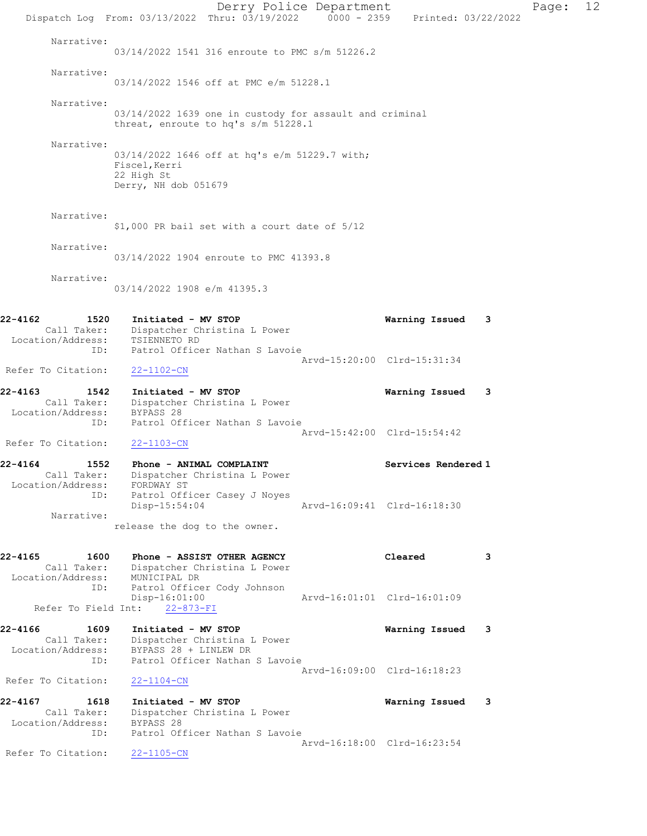Derry Police Department Page: 12 Dispatch Log From: 03/13/2022 Thru: 03/19/2022 0000 - 2359 Printed: 03/22/2022 Narrative: 03/14/2022 1541 316 enroute to PMC s/m 51226.2 Narrative: 03/14/2022 1546 off at PMC e/m 51228.1 Narrative: 03/14/2022 1639 one in custody for assault and criminal threat, enroute to hq's s/m 51228.1 Narrative: 03/14/2022 1646 off at hq's e/m 51229.7 with; Fiscel,Kerri 22 High St Derry, NH dob 051679 Narrative: \$1,000 PR bail set with a court date of 5/12 Narrative: 03/14/2022 1904 enroute to PMC 41393.8 Narrative: 03/14/2022 1908 e/m 41395.3 22-4162 1520 Initiated - MV STOP Warning Issued 3 Call Taker: Dispatcher Christina L Power Location/Address: TSIENNETO RD ID: Patrol Officer Nathan S Lavoie Arvd-15:20:00 Clrd-15:31:34 Refer To Citation: 22-1102-CN 22-4163 1542 Initiated - MV STOP Warning Issued 3 Call Taker: Dispatcher Christina L Power Location/Address: BYPASS 28 ID: Patrol Officer Nathan S Lavoie Arvd-15:42:00 Clrd-15:54:42 Refer To Citation: 22-1103-CN 22-4164 1552 Phone - ANIMAL COMPLAINT 1988 Services Rendered 1 Call Taker: Dispatcher Christina L Power Location/Address: FORDWAY ST ID: Patrol Officer Casey J Noyes Disp-15:54:04 Arvd-16:09:41 Clrd-16:18:30 Narrative: release the dog to the owner. 22-4165 1600 Phone - ASSIST OTHER AGENCY Cleared 3 Call Taker: Dispatcher Christina L Power Location/Address: MUNICIPAL DR ID: Patrol Officer Cody Johnson Disp-16:01:00 Arvd-16:01:01 Clrd-16:01:09 Refer To Field Int: 22-873-FI 22-4166 1609 Initiated - MV STOP Warning Issued 3 Call Taker: Dispatcher Christina L Power Location/Address: BYPASS 28 + LINLEW DR ID: Patrol Officer Nathan S Lavoie Arvd-16:09:00 Clrd-16:18:23<br>22-1104-CN Refer To Citation: 22-4167 1618 Initiated - MV STOP Warning Issued 3 Call Taker: Dispatcher Christina L Power Location/Address: BYPASS 28 ID: Patrol Officer Nathan S Lavoie Arvd-16:18:00 Clrd-16:23:54 Refer To Citation: 22-1105-CN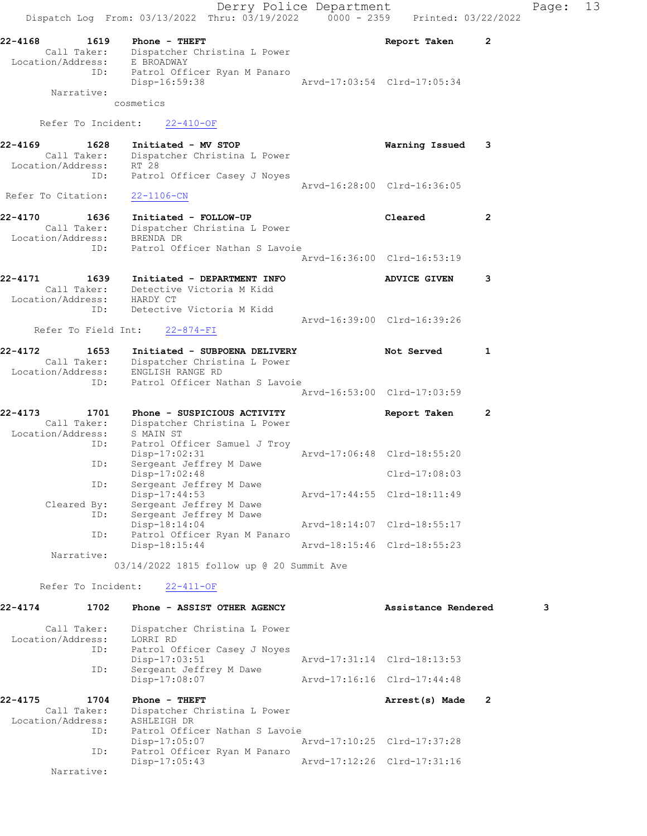Derry Police Department Fage: 13 Dispatch Log From:  $03/13/2022$  Thru:  $03/19/2022$  0000 - 2359 Printed:  $03/22/2022$ 22-4168 1619 Phone - THEFT Report Taken 2 Call Taker: Dispatcher Christina L Power Location/Address: E BROADWAY ID: Patrol Officer Ryan M Panaro Disp-16:59:38 Arvd-17:03:54 Clrd-17:05:34 Narrative: cosmetics Refer To Incident: 22-410-OF 22-4169 1628 Initiated - MV STOP Warning Issued 3 Call Taker: Dispatcher Christina L Power Location/Address: RT 28 ID: Patrol Officer Casey J Noyes Arvd-16:28:00 Clrd-16:36:05 Refer To Citation: 22-1106-CN 22-4170 1636 Initiated - FOLLOW-UP Cleared 2 Call Taker: Dispatcher Christina L Power Location/Address: BRENDA DR ID: Patrol Officer Nathan S Lavoie Arvd-16:36:00 Clrd-16:53:19 22-4171 1639 Initiated - DEPARTMENT INFO ADVICE GIVEN 3 Call Taker: Detective Victoria M Kidd Location/Address: HARDY CT ID: Detective Victoria M Kidd Arvd-16:39:00 Clrd-16:39:26 Refer To Field Int: 22-874-FI 22-4172 1653 Initiated - SUBPOENA DELIVERY Not Served 1 Call Taker: Dispatcher Christina L Power Location/Address: ENGLISH RANGE RD ID: Patrol Officer Nathan S Lavoie Arvd-16:53:00 Clrd-17:03:59 22-4173 1701 Phone - SUSPICIOUS ACTIVITY Report Taken 2 Call Taker: Dispatcher Christina L Power Location/Address: S MAIN ST ID: Patrol Officer Samuel J Troy Disp-17:02:31 Arvd-17:06:48 Clrd-18:55:20 ID: Sergeant Jeffrey M Dawe Disp-17:02:48 Clrd-17:08:03 ID: Sergeant Jeffrey M Dawe<br>Disp-17:44:53 Disp-17:44:53 Arvd-17:44:55 Clrd-18:11:49 Cleared By: Sergeant Jeffrey M Dawe ID: Sergeant Jeffrey M Dawe Disp-18:14:04 Arvd-18:14:07 Clrd-18:55:17<br>
D. Patrol Officer Ryan M Panaro<br>
Disp-18:15:44 Arvd-18:15:46 Clrd-18:55:23 Patrol Officer Ryan M Panaro Arvd-18:15:46 Clrd-18:55:23 Narrative: 03/14/2022 1815 follow up @ 20 Summit Ave Refer To Incident: 22-411-OF 22-4174 1702 Phone - ASSIST OTHER AGENCY Assistance Rendered 3 Call Taker: Dispatcher Christina L Power Location/Address: LORRI RD ID: Patrol Officer Casey J Noyes<br>Disp-17:03:51 Disp-17:03:51 Arvd-17:31:14 Clrd-18:13:53 ID: Sergeant Jeffrey M Dawe Disp-17:08:07 Arvd-17:16:16 Clrd-17:44:48 22-4175 1704 Phone - THEFT **Arrest(s)** Made 2

 Call Taker: Dispatcher Christina L Power Location/Address: ASHLEIGH DR ID: Patrol Officer Nathan S Lavoie<br>Disp-17:05:07 Disp-17:05:07 Arvd-17:10:25 Clrd-17:37:28 ID: Patrol Officer Ryan M Panaro<br>Disp-17:05:43 Disp-17:05:43 Arvd-17:12:26 Clrd-17:31:16

Narrative: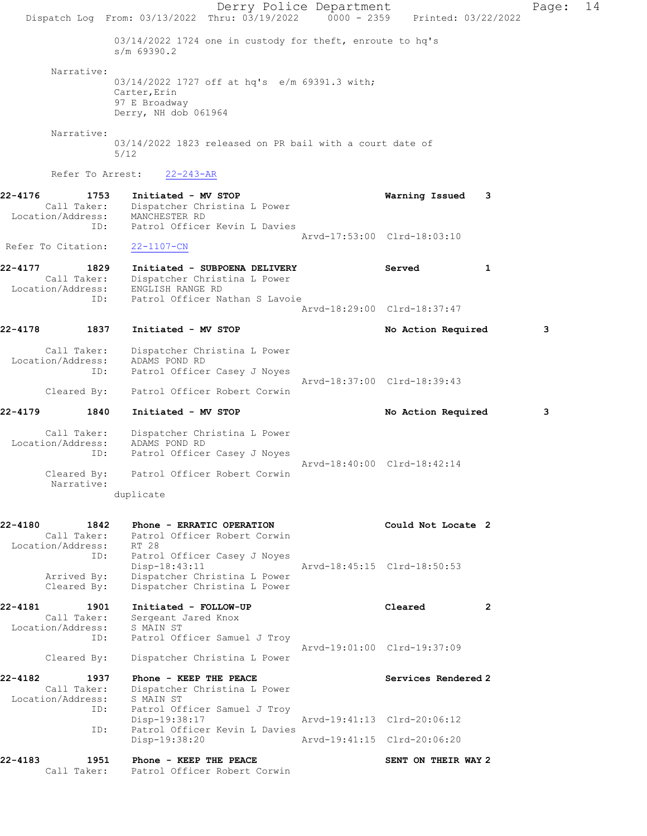Derry Police Department Fage: 14 Dispatch Log From: 03/13/2022 Thru: 03/19/2022 0000 - 2359 Printed: 03/22/2022 03/14/2022 1724 one in custody for theft, enroute to hq's s/m 69390.2 Narrative: 03/14/2022 1727 off at hq's e/m 69391.3 with; Carter,Erin 97 E Broadway Derry, NH dob 061964 Narrative: 03/14/2022 1823 released on PR bail with a court date of 5/12 Refer To Arrest: 22-243-AR 22-4176 1753 Initiated - MV STOP Warning Issued 3 Call Taker: Dispatcher Christina L Power Location/Address: MANCHESTER RD ID: Patrol Officer Kevin L Davies Arvd-17:53:00 Clrd-18:03:10 Refer To Citation: 22-1107-CN 22-4177 1829 Initiated - SUBPOENA DELIVERY Served 1 Call Taker: Dispatcher Christina L Power Location/Address: ENGLISH RANGE RD ID: Patrol Officer Nathan S Lavoie Arvd-18:29:00 Clrd-18:37:47 22-4178 1837 Initiated - MV STOP No No Action Required 3 Call Taker: Dispatcher Christina L Power Location/Address: ADAMS POND RD ID: Patrol Officer Casey J Noyes Arvd-18:37:00 Clrd-18:39:43 Cleared By: Patrol Officer Robert Corwin 22-4179 1840 Initiated - MV STOP No Action Required 3 Call Taker: Dispatcher Christina L Power Location/Address: ADAMS POND RD ID: Patrol Officer Casey J Noyes Arvd-18:40:00 Clrd-18:42:14 Cleared By: Patrol Officer Robert Corwin Narrative: duplicate 22-4180 1842 Phone - ERRATIC OPERATION Could Not Locate 2 Call Taker: Patrol Officer Robert Corwin Location/Address: RT 28 ID: Patrol Officer Casey J Noyes Disp-18:43:11 Arvd-18:45:15 Clrd-18:50:53 Arrived By: Dispatcher Christina L Power Cleared By: Dispatcher Christina L Power 22-4181 1901 Initiated - FOLLOW-UP Cleared 2 Call Taker: Sergeant Jared Knox Location/Address: S MAIN ST ID: Patrol Officer Samuel J Troy Arvd-19:01:00 Clrd-19:37:09 Cleared By: Dispatcher Christina L Power 22-4182 1937 Phone - KEEP THE PEACE Services Rendered 2 Call Taker: Dispatcher Christina L Power Location/Address: S MAIN ST ID: Patrol Officer Samuel J Troy<br>Disp-19:38:17 Disp-19:38:17 <br>
Disp-19:38:17 <br>
Dispose arvd-19:41:13 Clrd-20:06:12<br>
Dispose are arrow by Dispose are are at the part of ficer Kevin L Davies Patrol Officer Kevin L Davies Disp-19:38:20 Arvd-19:41:15 Clrd-20:06:20 22-4183 1951 Phone - KEEP THE PEACE SENT ON THEIR WAY 2 Call Taker: Patrol Officer Robert Corwin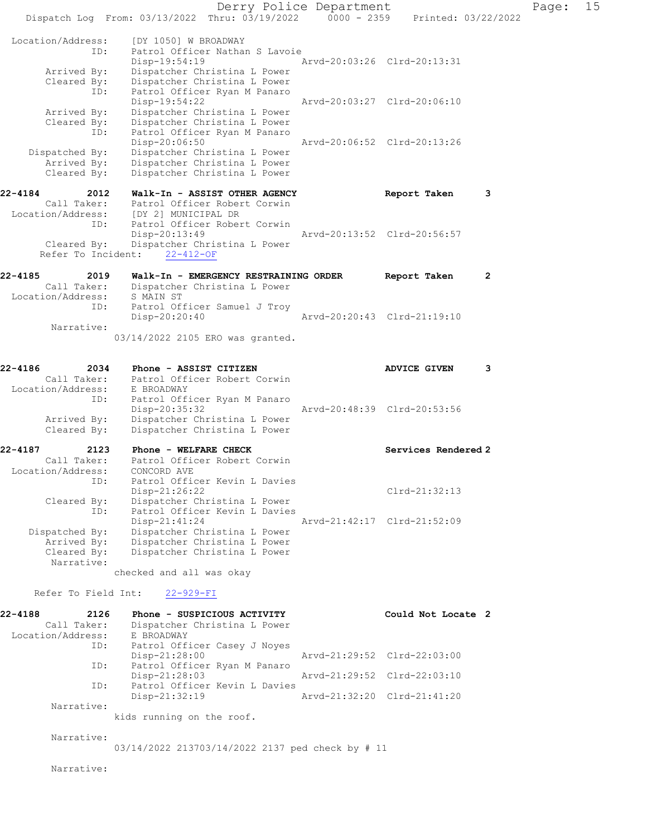Derry Police Department Fage: 15 Dispatch Log From: 03/13/2022 Thru: 03/19/2022 0000 - 2359 Printed: 03/22/2022 Location/Address: [DY 1050] W BROADWAY ID: Patrol Officer Nathan S Lavoie<br>Disp-19:54:19 Mrvd-20:03:26 Clrd-20:13:31 Disp-19:54:19 Arvd-20:03:26 Clrd-20:13:31 Arrived By: Dispatcher Christina L Power Cleared By: Dispatcher Christina L Power ID: Patrol Officer Ryan M Panaro Disp-19:54:22 Arvd-20:03:27 Clrd-20:06:10 Arrived By: Dispatcher Christina L Power Cleared By: Dispatcher Christina L Power ID: Patrol Officer Ryan M Panaro Disp-20:06:50 Arvd-20:06:52 Clrd-20:13:26 Dispatched By: Dispatcher Christina L Power Arrived By: Dispatcher Christina L Power Cleared By: Dispatcher Christina L Power 22-4184 2012 Walk-In - ASSIST OTHER AGENCY Report Taken 3 Call Taker: Patrol Officer Robert Corwin Location/Address: [DY 2] MUNICIPAL DR ID: Patrol Officer Robert Corwin<br>Disp-20:13:49 Arvd-20:13:52 Clrd-20:56:57 Cleared By: Dispatcher Christina L Power Refer To Incident: 22-412-OF 22-4185 2019 Walk-In - EMERGENCY RESTRAINING ORDER Report Taken 2 Call Taker: Dispatcher Christina L Power Location/Address: S MAIN ST ID: Patrol Officer Samuel J Troy Disp-20:20:40 Arvd-20:20:43 Clrd-21:19:10 Narrative: 03/14/2022 2105 ERO was granted. 22-4186 2034 Phone - ASSIST CITIZEN 2004 ADVICE GIVEN 3<br>Call Taker: Patrol Officer Robert Corwin Call Taker: Patrol Officer Robert Corwin Location/Address: E BROADWAY ID: Patrol Officer Ryan M Panaro<br>Disp-20:35:32 Disp-20:35:32 Arvd-20:48:39 Clrd-20:53:56 Arrived By: Dispatcher Christina L Power Cleared By: Dispatcher Christina L Power 22-4187 2123 Phone - WELFARE CHECK Services Rendered 2 Call Taker: Patrol Officer Robert Corwin Location/Address: CONCORD AVE ID: Patrol Officer Kevin L Davies Disp-21:26:22 Clrd-21:32:13 Cleared By: Dispatcher Christina L Power ID: Patrol Officer Kevin L Davies Disp-21:41:24 Arvd-21:42:17 Clrd-21:52:09 Dispatched By: Dispatcher Christina L Power Arrived By: Dispatcher Christina L Power<br>Cleared By: Dispatcher Christina L Power Dispatcher Christina L Power Narrative: checked and all was okay Refer To Field Int: 22-929-FI 22-4188 2126 Phone - SUSPICIOUS ACTIVITY Could Not Locate 2 Call Taker: Dispatcher Christina L Power Location/Address: E BROADWAY ID: Patrol Officer Casey J Noyes Disp-21:28:00 Arvd-21:29:52 Clrd-22:03:00 ID: Patrol Officer Ryan M Panaro Disp-21:28:03 Arvd-21:29:52 Clrd-22:03:10 ID: Patrol Officer Kevin L Davies<br>Disp-21:32:19 Disp-21:32:19 Arvd-21:32:20 Clrd-21:41:20 Narrative: kids running on the roof. Narrative: 03/14/2022 213703/14/2022 2137 ped check by # 11 Narrative: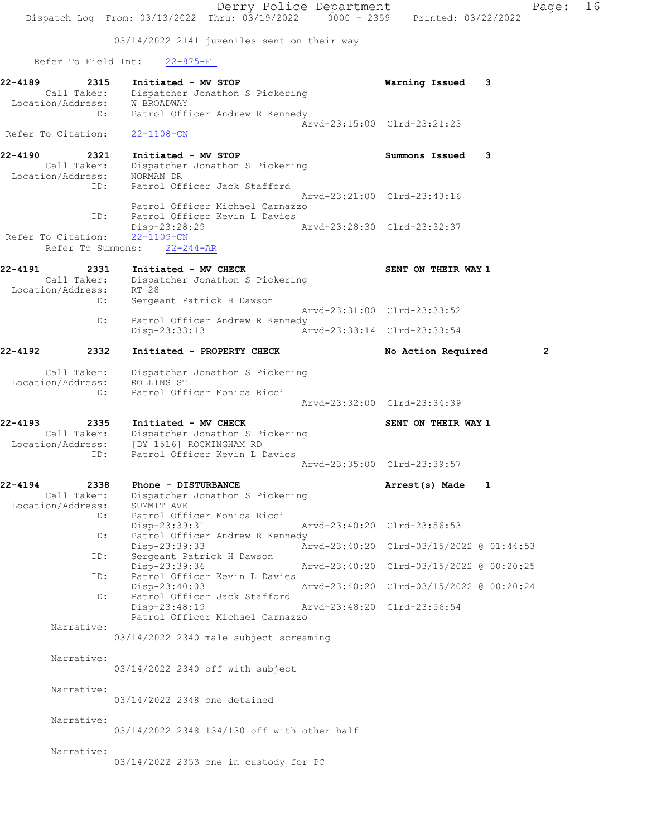Derry Police Department Page: 16 Dispatch Log From: 03/13/2022 Thru: 03/19/2022 0000 - 2359 Printed: 03/22/2022 03/14/2022 2141 juveniles sent on their way Refer To Field Int: 22-875-FI 22-4189 2315 Initiated - MV STOP Warning Issued 3 Call Taker: Dispatcher Jonathon S Pickering Location/Address: W BROADWAY ID: Patrol Officer Andrew R Kennedy Arvd-23:15:00 Clrd-23:21:23 Refer To Citation: 22-1108-CN 22-4190 2321 Initiated - MV STOP Summons Issued 3 Call Taker: Dispatcher Jonathon S Pickering Location/Address: NORMAN DR ID: Patrol Officer Jack Stafford Arvd-23:21:00 Clrd-23:43:16 Patrol Officer Michael Carnazzo ID: Patrol Officer Kevin L Davies<br>Disp-23:28:29 Arvd-23:28:30 Clrd-23:32:37 Disp-23:28:29 Refer To Citation: 22-1109-CN Refer To Summons: 22-244-AR 22-4191 2331 Initiated - MV CHECK SENT ON THEIR WAY 1 Call Taker: Dispatcher Jonathon S Pickering Location/Address: RT 28 ID: Sergeant Patrick H Dawson Arvd-23:31:00 Clrd-23:33:52 ID: Patrol Officer Andrew R Kennedy Disp-23:33:13 Arvd-23:33:14 Clrd-23:33:54 22-4192 2332 Initiated - PROPERTY CHECK No Action Required 2 Call Taker: Dispatcher Jonathon S Pickering Location/Address: ROLLINS ST ID: Patrol Officer Monica Ricci Arvd-23:32:00 Clrd-23:34:39 22-4193 2335 Initiated - MV CHECK SENT ON THEIR WAY 1 Call Taker: Dispatcher Jonathon S Pickering Location/Address: [DY 1516] ROCKINGHAM RD ID: Patrol Officer Kevin L Davies Arvd-23:35:00 Clrd-23:39:57 22-4194 2338 Phone - DISTURBANCE Arrest(s) Made 1 Call Taker: Dispatcher Jonathon S Pickering Location/Address: SUMMIT AVE ID: Patrol Officer Monica Ricci Disp-23:39:31 Arvd-23:40:20 Clrd-23:56:53 ID: Patrol Officer Andrew R Kennedy<br>Disp-23:39:33 Arvd-23:40:20 Clrd-03/15/2022 @ 01:44:53 Disp-23:39:33 Arvd-23:40:20 Clrd-03/15/2022 @ 01:44:53 ID: Sergeant Patrick H Dawson Disp-23:39:36 Arvd-23:40:20 Clrd-03/15/2022 @ 00:20:25 ID: Patrol Officer Kevin L Davies Disp-23:40:03 Arvd-23:40:20 Clrd-03/15/2022 @ 00:20:24<br>ID: Patrol Officer Jack Stafford Patrol Officer Jack Stafford Disp-23:48:19 Arvd-23:48:20 Clrd-23:56:54 Patrol Officer Michael Carnazzo Narrative: 03/14/2022 2340 male subject screaming Narrative: 03/14/2022 2340 off with subject Narrative: 03/14/2022 2348 one detained Narrative: 03/14/2022 2348 134/130 off with other half Narrative: 03/14/2022 2353 one in custody for PC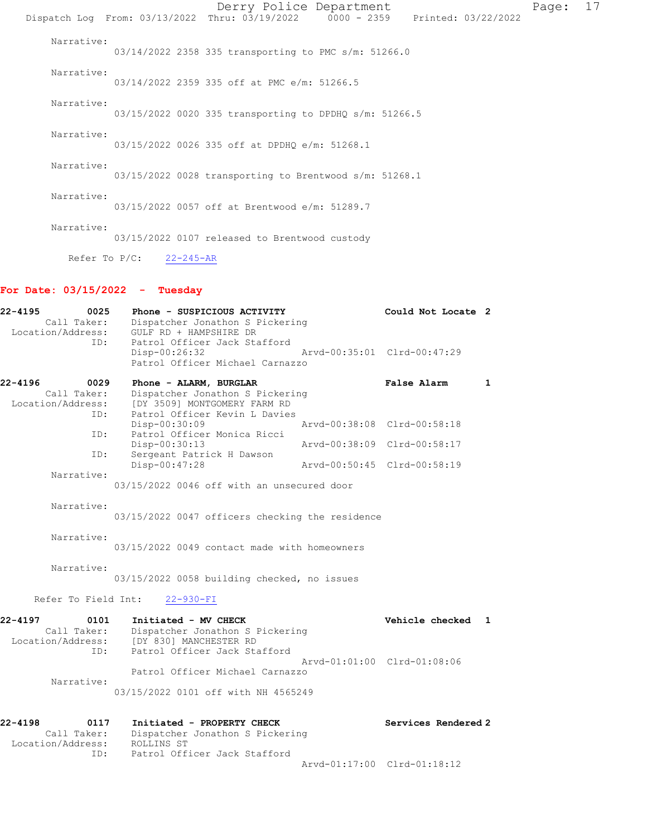|                  |                 | Derry Police Department<br>Dispatch Log From: 03/13/2022 Thru: 03/19/2022 0000 - 2359 Printed: 03/22/2022 |  |  | Page: | 17 |
|------------------|-----------------|-----------------------------------------------------------------------------------------------------------|--|--|-------|----|
| Narrative:       |                 | 03/14/2022 2358 335 transporting to PMC s/m: 51266.0                                                      |  |  |       |    |
| Narrative:       |                 | 03/14/2022 2359 335 off at PMC e/m: 51266.5                                                               |  |  |       |    |
| Narrative:       |                 | 03/15/2022 0020 335 transporting to DPDHQ s/m: 51266.5                                                    |  |  |       |    |
| Narrative:       |                 | 03/15/2022 0026 335 off at DPDHO e/m: 51268.1                                                             |  |  |       |    |
| Narrative:       |                 | 03/15/2022 0028 transporting to Brentwood s/m: 51268.1                                                    |  |  |       |    |
| Narrative:       |                 | 03/15/2022 0057 off at Brentwood e/m: 51289.7                                                             |  |  |       |    |
| Narrative:       |                 | 03/15/2022 0107 released to Brentwood custody                                                             |  |  |       |    |
| Refer To $P/C$ : | $22 - 245 - AR$ |                                                                                                           |  |  |       |    |

# For Date: 03/15/2022 - Tuesday

| $22 - 4195$<br>0025<br>Call Taker:<br>Location/Address:        | Phone - SUSPICIOUS ACTIVITY<br>Dispatcher Jonathon S Pickering<br>GULF RD + HAMPSHIRE DR                                            | Could Not Locate 2          |
|----------------------------------------------------------------|-------------------------------------------------------------------------------------------------------------------------------------|-----------------------------|
| ID:                                                            | Patrol Officer Jack Stafford<br>Disp-00:26:32<br>Patrol Officer Michael Carnazzo                                                    | Arvd-00:35:01 Clrd-00:47:29 |
| $22 - 4196$<br>0029<br>Call Taker:<br>Location/Address:<br>ID: | Phone - ALARM, BURGLAR<br>Dispatcher Jonathon S Pickering<br>[DY 3509] MONTGOMERY FARM RD<br>Patrol Officer Kevin L Davies          | False Alarm<br>1            |
|                                                                | Disp-00:30:09                                                                                                                       | Arvd-00:38:08 Clrd-00:58:18 |
| ID:                                                            | Patrol Officer Monica Ricci<br>Disp-00:30:13                                                                                        | Arvd-00:38:09 Clrd-00:58:17 |
| ID:                                                            | Sergeant Patrick H Dawson<br>Disp-00:47:28                                                                                          | Arvd-00:50:45 Clrd-00:58:19 |
| Narrative:                                                     | 03/15/2022 0046 off with an unsecured door                                                                                          |                             |
| Narrative:                                                     | 03/15/2022 0047 officers checking the residence                                                                                     |                             |
| Narrative:                                                     | 03/15/2022 0049 contact made with homeowners                                                                                        |                             |
| Narrative:                                                     | 03/15/2022 0058 building checked, no issues                                                                                         |                             |
| Refer To Field Int:                                            | $22 - 930 - FI$                                                                                                                     |                             |
| 22-4197<br>0101<br>Call Taker:<br>ID:                          | Initiated - MV CHECK<br>Dispatcher Jonathon S Pickering<br>Location/Address: [DY 830] MANCHESTER RD<br>Patrol Officer Jack Stafford | Vehicle checked<br>1        |
|                                                                |                                                                                                                                     | Aryd-01:01:00 Clrd-01:08:06 |
| Narrative:                                                     | Patrol Officer Michael Carnazzo                                                                                                     |                             |
|                                                                | 03/15/2022 0101 off with NH 4565249                                                                                                 |                             |
| $22 - 4198$<br>0117                                            | Initiated - PROPERTY CHECK                                                                                                          | Services Rendered 2         |
|                                                                | Call Taker: Dispatcher Jonathon & Dickering                                                                                         |                             |

| Call Taker:<br>Location/Address: | Dispatcher Jonathon S Pickering<br>ROLLINS ST |                             |  |
|----------------------------------|-----------------------------------------------|-----------------------------|--|
| TD:                              | Patrol Officer Jack Stafford                  |                             |  |
|                                  |                                               | Arvd-01:17:00 Clrd-01:18:12 |  |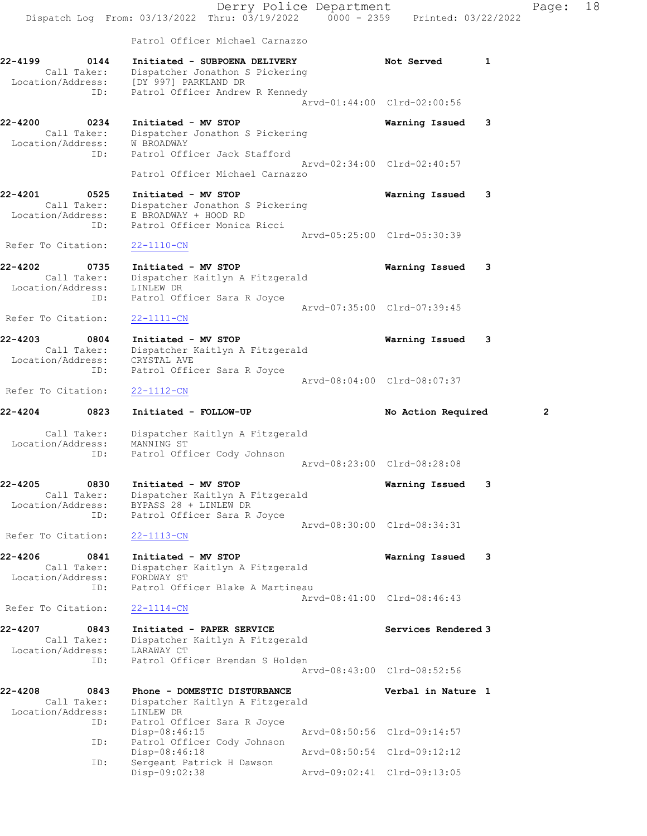|                                             |             | Dispatch Log From: 03/13/2022 Thru: 03/19/2022                                                                 | Derry Police Department<br>$0000 - 2359$ | Printed: 03/22/2022         | Page:          | 18 |
|---------------------------------------------|-------------|----------------------------------------------------------------------------------------------------------------|------------------------------------------|-----------------------------|----------------|----|
|                                             |             | Patrol Officer Michael Carnazzo                                                                                |                                          |                             |                |    |
| 22-4199                                     | 0144        | Initiated - SUBPOENA DELIVERY                                                                                  |                                          | Not Served<br>1             |                |    |
| Call Taker:<br>Location/Address:            |             | Dispatcher Jonathon S Pickering<br>[DY 997] PARKLAND DR                                                        |                                          |                             |                |    |
|                                             | ID:         | Patrol Officer Andrew R Kennedy                                                                                |                                          | Arvd-01:44:00 Clrd-02:00:56 |                |    |
| 22-4200<br>Call Taker:                      | 0234        | Initiated - MV STOP<br>Dispatcher Jonathon S Pickering                                                         |                                          | Warning Issued<br>3         |                |    |
| Location/Address:                           | ID:         | <b>W BROADWAY</b><br>Patrol Officer Jack Stafford                                                              |                                          | Arvd-02:34:00 Clrd-02:40:57 |                |    |
|                                             |             | Patrol Officer Michael Carnazzo                                                                                |                                          |                             |                |    |
| 22-4201<br>Call Taker:<br>Location/Address: | 0525<br>ID: | Initiated - MV STOP<br>Dispatcher Jonathon S Pickering<br>E BROADWAY + HOOD RD<br>Patrol Officer Monica Ricci  |                                          | Warning Issued<br>3         |                |    |
| Refer To Citation:                          |             |                                                                                                                |                                          | Arvd-05:25:00 Clrd-05:30:39 |                |    |
|                                             |             | $22 - 1110 - CN$                                                                                               |                                          |                             |                |    |
| 22-4202<br>Call Taker:<br>Location/Address: | 0735<br>ID: | Initiated - MV STOP<br>Dispatcher Kaitlyn A Fitzgerald<br>LINLEW DR                                            |                                          | Warning Issued<br>3         |                |    |
| Refer To Citation:                          |             | Patrol Officer Sara R Joyce<br>$22 - 1111 - CN$                                                                |                                          | Arvd-07:35:00 Clrd-07:39:45 |                |    |
| 22-4203<br>Call Taker:<br>Location/Address: | 0804        | Initiated - MV STOP<br>Dispatcher Kaitlyn A Fitzgerald<br>CRYSTAL AVE                                          |                                          | Warning Issued<br>3         |                |    |
|                                             | ID:         | Patrol Officer Sara R Joyce                                                                                    |                                          | Arvd-08:04:00 Clrd-08:07:37 |                |    |
| Refer To Citation:                          |             | $22 - 1112 - CN$                                                                                               |                                          |                             |                |    |
| $22 - 4204$                                 | 0823        | Initiated - FOLLOW-UP                                                                                          |                                          | No Action Required          | $\overline{2}$ |    |
| Call Taker:<br>Location/Address:            | ID:         | Dispatcher Kaitlyn A Fitzgerald<br>MANNING ST<br>Patrol Officer Cody Johnson                                   |                                          |                             |                |    |
|                                             |             |                                                                                                                |                                          | Arvd-08:23:00 Clrd-08:28:08 |                |    |
| 22-4205<br>Call Taker:<br>Location/Address: | 0830<br>ID: | Initiated - MV STOP<br>Dispatcher Kaitlyn A Fitzgerald<br>BYPASS 28 + LINLEW DR<br>Patrol Officer Sara R Joyce |                                          | Warning Issued<br>3         |                |    |
| Refer To Citation:                          |             | $22 - 1113 - CN$                                                                                               |                                          | Arvd-08:30:00 Clrd-08:34:31 |                |    |
| 22-4206<br>Call Taker:<br>Location/Address: | 0841        | Initiated - MV STOP<br>Dispatcher Kaitlyn A Fitzgerald<br>FORDWAY ST                                           |                                          | Warning Issued<br>3         |                |    |
|                                             | ID:         | Patrol Officer Blake A Martineau                                                                               |                                          | Aryd-08:41:00 Clrd-08:46:43 |                |    |
| Refer To Citation:                          |             | $22 - 1114 - CN$                                                                                               |                                          |                             |                |    |
| 22-4207<br>Call Taker:<br>Location/Address: | 0843        | Initiated - PAPER SERVICE<br>Dispatcher Kaitlyn A Fitzgerald<br>LARAWAY CT                                     |                                          | Services Rendered 3         |                |    |
|                                             | ID:         | Patrol Officer Brendan S Holden                                                                                |                                          | Arvd-08:43:00 Clrd-08:52:56 |                |    |
| 22-4208<br>Call Taker:<br>Location/Address: | 0843        | Phone - DOMESTIC DISTURBANCE<br>Dispatcher Kaitlyn A Fitzgerald<br>LINLEW DR                                   |                                          | Verbal in Nature 1          |                |    |
|                                             | ID:         | Patrol Officer Sara R Joyce<br>Disp-08:46:15                                                                   |                                          | Arvd-08:50:56 Clrd-09:14:57 |                |    |
|                                             | ID:         | Patrol Officer Cody Johnson                                                                                    |                                          |                             |                |    |
|                                             |             | Disp-08:46:18                                                                                                  | Arvd-08:50:54 Clrd-09:12:12              |                             |                |    |
|                                             | ID:         | Sergeant Patrick H Dawson<br>Disp-09:02:38                                                                     |                                          | Arvd-09:02:41 Clrd-09:13:05 |                |    |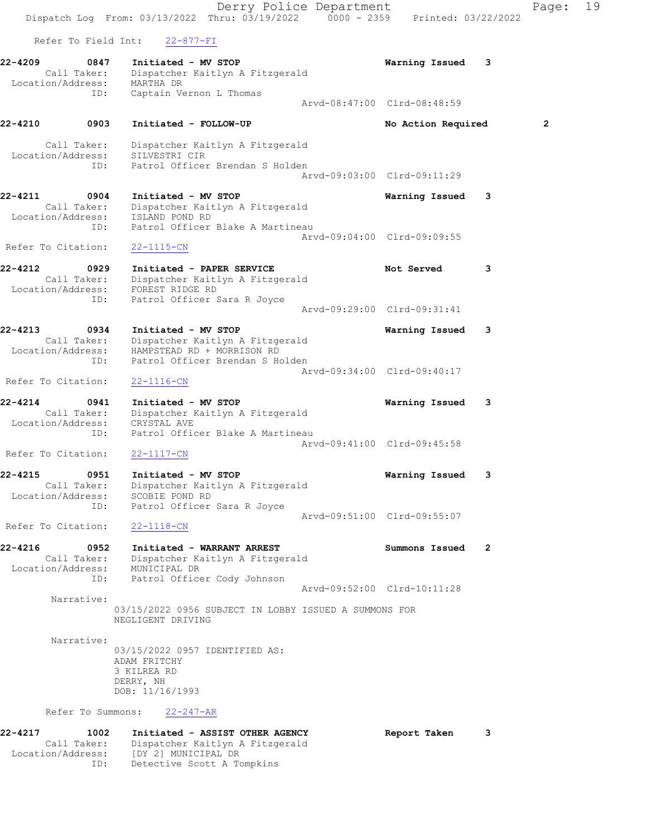Derry Police Department Fage: 19 Dispatch Log From: 03/13/2022 Thru: 03/19/2022 0000 - 2359 Printed: 03/22/2022 Refer To Field Int: 22-877-FI 22-4209 0847 Initiated - MV STOP Warning Issued 3 Call Taker: Dispatcher Kaitlyn A Fitzgerald Location/Address: MARTHA DR ID: Captain Vernon L Thomas Arvd-08:47:00 Clrd-08:48:59 22-4210 0903 Initiated - FOLLOW-UP No Action Required 2 Call Taker: Dispatcher Kaitlyn A Fitzgerald Location/Address: SILVESTRI CIR ID: Patrol Officer Brendan S Holden Arvd-09:03:00 Clrd-09:11:29 22-4211 0904 Initiated - MV STOP Warning Issued 3 Call Taker: Dispatcher Kaitlyn A Fitzgerald Location/Address: ISLAND POND RD ID: Patrol Officer Blake A Martineau Arvd-09:04:00 Clrd-09:09:55 Refer To Citation: 22-1115-CN 22-4212 0929 Initiated - PAPER SERVICE Not Served 3 Call Taker: Dispatcher Kaitlyn A Fitzgerald Location/Address: FOREST RIDGE RD ID: Patrol Officer Sara R Joyce Arvd-09:29:00 Clrd-09:31:41 22-4213 0934 Initiated - MV STOP Warning Issued 3 Call Taker: Dispatcher Kaitlyn A Fitzgerald Location/Address: HAMPSTEAD RD + MORRISON RD ID: Patrol Officer Brendan S Holden Arvd-09:34:00 Clrd-09:40:17 Refer To Citation: 22-1116-CN 22-4214 0941 Initiated - MV STOP Warning Issued 3 Call Taker: Dispatcher Kaitlyn A Fitzgerald Location/Address: CRYSTAL AVE ID: Patrol Officer Blake A Martineau Arvd-09:41:00 Clrd-09:45:58 Refer To Citation: 22-1117-CN 22-4215 0951 Initiated - MV STOP Warning Issued 3 Call Taker: Dispatcher Kaitlyn A Fitzgerald Location/Address: SCOBIE POND RD ID: Patrol Officer Sara R Joyce Arvd-09:51:00 Clrd-09:55:07 Refer To Citation: 22-1118-CN 22-4216 0952 Initiated - WARRANT ARREST Summons Issued 2 Call Taker: Dispatcher Kaitlyn A Fitzgerald Location/Address: MUNICIPAL DR ID: Patrol Officer Cody Johnson Arvd-09:52:00 Clrd-10:11:28 Narrative: 03/15/2022 0956 SUBJECT IN LOBBY ISSUED A SUMMONS FOR NEGLIGENT DRIVING Narrative: 03/15/2022 0957 IDENTIFIED AS: ADAM FRITCHY 3 KILREA RD DERRY, NH DOB: 11/16/1993 Refer To Summons: 22-247-AR 22-4217 1002 Initiated - ASSIST OTHER AGENCY Report Taken 3 Call Taker: Dispatcher Kaitlyn A Fitzgerald

Location/Address: [DY 2] MUNICIPAL DR

ID: Detective Scott A Tompkins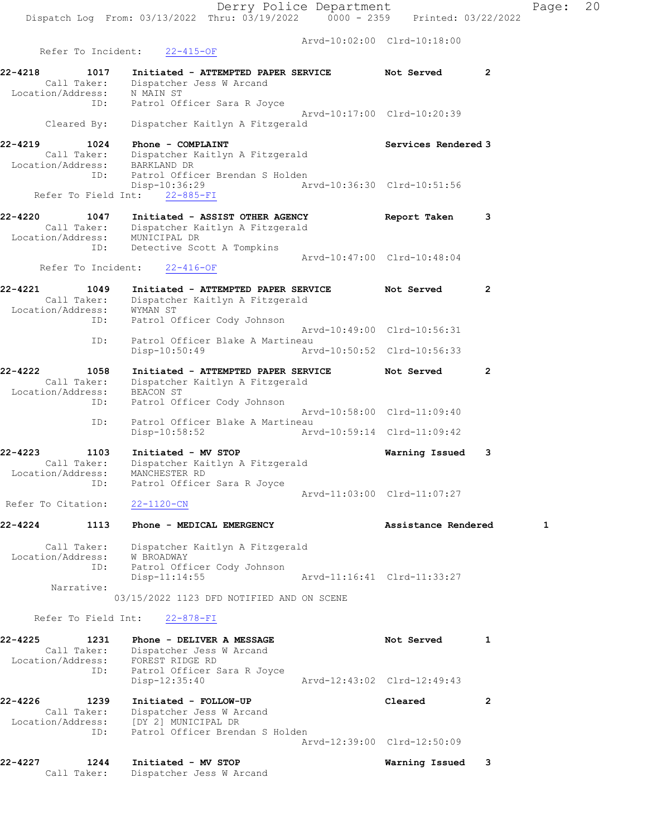Arvd-10:02:00 Clrd-10:18:00 Refer To Incident: 22-415-OF 22-4218 1017 Initiated - ATTEMPTED PAPER SERVICE Not Served 2 Call Taker: Dispatcher Jess W Arcand Location/Address: N MAIN ST ID: Patrol Officer Sara R Joyce Arvd-10:17:00 Clrd-10:20:39 Cleared By: Dispatcher Kaitlyn A Fitzgerald 22-4219 1024 Phone - COMPLAINT Services Rendered 3 Call Taker: Dispatcher Kaitlyn A Fitzgerald Location/Address: BARKLAND DR ID: Patrol Officer Brendan S Holden<br>Disp-10:36:29 Ar Disp-10:36:29 Arvd-10:36:30 Clrd-10:51:56 Refer To Field Int: 22-885-FI 22-4220 1047 Initiated - ASSIST OTHER AGENCY Report Taken 3 Call Taker: Dispatcher Kaitlyn A Fitzgerald Location/Address: MUNICIPAL DR ID: Detective Scott A Tompkins Arvd-10:47:00 Clrd-10:48:04 Refer To Incident: 22-416-OF 22-4221 1049 Initiated - ATTEMPTED PAPER SERVICE Not Served 2 Call Taker: Dispatcher Kaitlyn A Fitzgerald Location/Address: WYMAN ST ID: Patrol Officer Cody Johnson Arvd-10:49:00 Clrd-10:56:31 ID: Patrol Officer Blake A Martineau Disp-10:50:49 Arvd-10:50:52 Clrd-10:56:33 22-4222 1058 Initiated - ATTEMPTED PAPER SERVICE Not Served 2 Call Taker: Dispatcher Kaitlyn A Fitzgerald Location/Address: BEACON ST ID: Patrol Officer Cody Johnson Arvd-10:58:00 Clrd-11:09:40 ID: Patrol Officer Blake A Martineau Disp-10:58:52 Arvd-10:59:14 Clrd-11:09:42 22-4223 1103 Initiated - MV STOP Warning Issued 3 Call Taker: Dispatcher Kaitlyn A Fitzgerald Location/Address: MANCHESTER RD ID: Patrol Officer Sara R Joyce Arvd-11:03:00 Clrd-11:07:27 Refer To Citation: 22-1120-CN 22-4224 1113 Phone - MEDICAL EMERGENCY NERTHALL Assistance Rendered 1 Call Taker: Dispatcher Kaitlyn A Fitzgerald Location/Address: W BROADWAY ID: Patrol Officer Cody Johnson Disp-11:14:55 Arvd-11:16:41 Clrd-11:33:27 Narrative: 03/15/2022 1123 DFD NOTIFIED AND ON SCENE Refer To Field Int: 22-878-FI 22-4225 1231 Phone - DELIVER A MESSAGE Not Served 1 Call Taker: Dispatcher Jess W Arcand Location/Address: FOREST RIDGE RD ID: Patrol Officer Sara R Joyce Disp-12:35:40 Arvd-12:43:02 Clrd-12:49:43 22-4226 1239 Initiated - FOLLOW-UP Cleared 2 Call Taker: Dispatcher Jess W Arcand Location/Address: [DY 2] MUNICIPAL DR ID: Patrol Officer Brendan S Holden Arvd-12:39:00 Clrd-12:50:09 22-4227 1244 Initiated - MV STOP Warning Issued 3

Call Taker: Dispatcher Jess W Arcand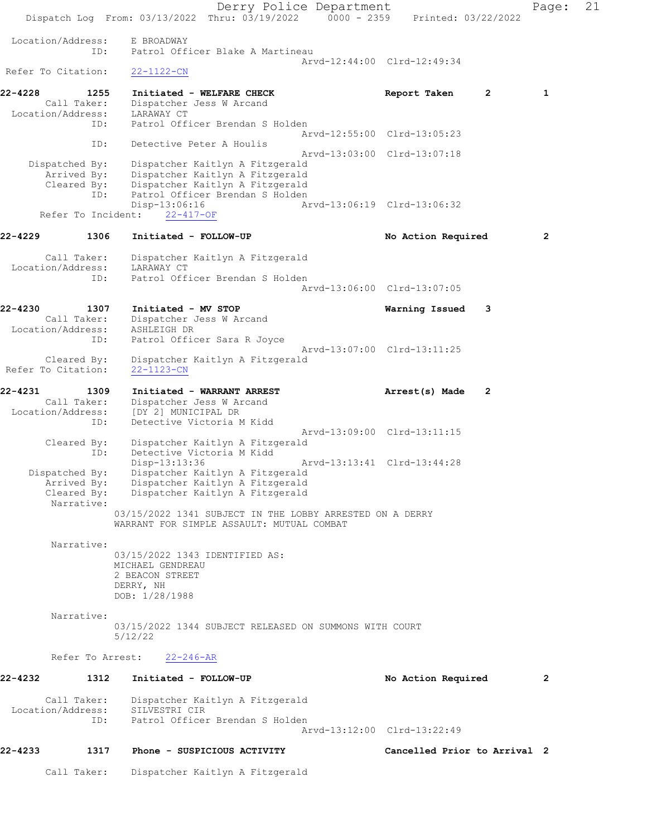Derry Police Department Page: 21 Dispatch Log From: 03/13/2022 Thru: 03/19/2022 0000 - 2359 Printed: 03/22/2022 Location/Address: E BROADWAY ID: Patrol Officer Blake A Martineau Arvd-12:44:00 Clrd-12:49:34 Refer To Citation: 22-1122-CN 22-4228 1255 Initiated - WELFARE CHECK 1 Report Taken 2 1 Call Taker: Dispatcher Jess W Arcand Location/Address: LARAWAY CT ID: Patrol Officer Brendan S Holden Arvd-12:55:00 Clrd-13:05:23 ID: Detective Peter A Houlis Arvd-13:03:00 Clrd-13:07:18 Dispatched By: Dispatcher Kaitlyn A Fitzgerald Arrived By: Dispatcher Kaitlyn A Fitzgerald Cleared By: Dispatcher Kaitlyn A Fitzgerald ID: Patrol Officer Brendan S Holden<br>Disp-13:06:16 A Disp-13:06:16 Arvd-13:06:19 Clrd-13:06:32 Refer To Incident: 22-417-OF 22-4229 1306 Initiated - FOLLOW-UP No Action Required 2 Call Taker: Dispatcher Kaitlyn A Fitzgerald Location/Address: LARAWAY CT ID: Patrol Officer Brendan S Holden Arvd-13:06:00 Clrd-13:07:05 22-4230 1307 Initiated - MV STOP Warning Issued 3 Call Taker: Dispatcher Jess W Arcand Location/Address: ASHLEIGH DR ID: Patrol Officer Sara R Joyce Arvd-13:07:00 Clrd-13:11:25 Cleared By: Dispatcher Kaitlyn A Fitzgerald Refer To Citation: 22-1123-CN 22-4231 1309 Initiated - WARRANT ARREST Arrest(s) Made 2 Call Taker: Dispatcher Jess W Arcand Location/Address: [DY 2] MUNICIPAL DR ID: Detective Victoria M Kidd Arvd-13:09:00 Clrd-13:11:15 Cleared By: Dispatcher Kaitlyn A Fitzgerald ID: Detective Victoria M Kidd Disp-13:13:36 Arvd-13:13:41 Clrd-13:44:28 Dispatched By: Dispatcher Kaitlyn A Fitzgerald Arrived By: Dispatcher Kaitlyn A Fitzgerald Cleared By: Dispatcher Kaitlyn A Fitzgerald Narrative: 03/15/2022 1341 SUBJECT IN THE LOBBY ARRESTED ON A DERRY WARRANT FOR SIMPLE ASSAULT: MUTUAL COMBAT Narrative: 03/15/2022 1343 IDENTIFIED AS: MICHAEL GENDREAU 2 BEACON STREET DERRY, NH DOB: 1/28/1988 Narrative: 03/15/2022 1344 SUBJECT RELEASED ON SUMMONS WITH COURT 5/12/22 Refer To Arrest: 22-246-AR 22-4232 1312 Initiated - FOLLOW-UP No Action Required 2 Call Taker: Dispatcher Kaitlyn A Fitzgerald Location/Address: SILVESTRI CIR ID: Patrol Officer Brendan S Holden Arvd-13:12:00 Clrd-13:22:49 22-4233 1317 Phone - SUSPICIOUS ACTIVITY Cancelled Prior to Arrival 2 Call Taker: Dispatcher Kaitlyn A Fitzgerald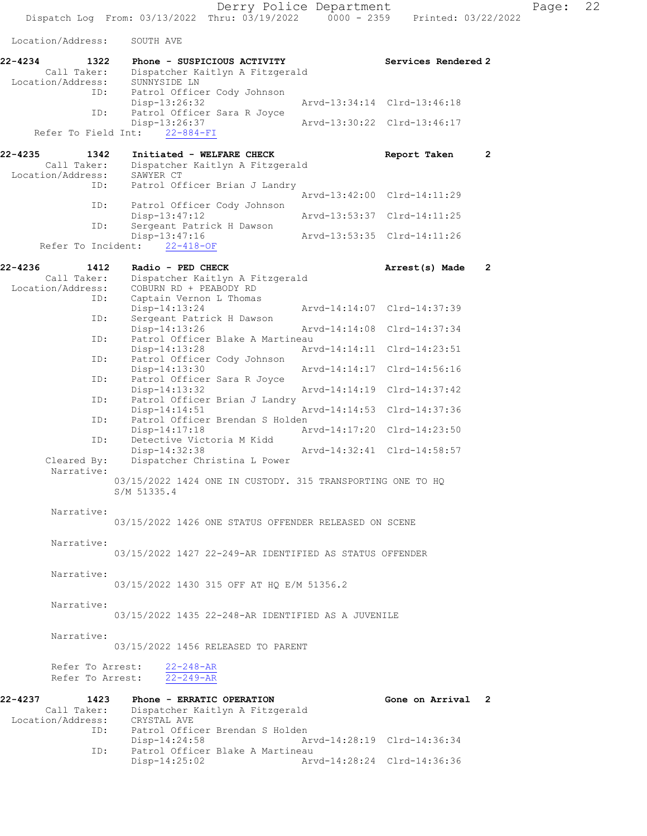Derry Police Department Fage: 22

Dispatch Log From: 03/13/2022 Thru: 03/19/2022 0000 - 2359 Printed: 03/22/2022

Location/Address: SOUTH AVE

| rocation/Address:                                   | <b>SOUTH AVE</b>                                                                    |                                  |
|-----------------------------------------------------|-------------------------------------------------------------------------------------|----------------------------------|
| 22-4234<br>1322<br>Call Taker:<br>Location/Address: | Phone - SUSPICIOUS ACTIVITY<br>Dispatcher Kaitlyn A Fitzgerald<br>SUNNYSIDE LN      | Services Rendered 2              |
| ID:                                                 | Patrol Officer Cody Johnson<br>Disp-13:26:32                                        | Arvd-13:34:14 Clrd-13:46:18      |
| ID:<br>Refer To Field Int:                          | Patrol Officer Sara R Joyce<br>Disp-13:26:37<br>$22 - 884 - FI$                     | Arvd-13:30:22 Clrd-13:46:17      |
|                                                     |                                                                                     |                                  |
| 22-4235<br>1342<br>Call Taker:<br>Location/Address: | Initiated - WELFARE CHECK<br>Dispatcher Kaitlyn A Fitzgerald<br>SAWYER CT           | $\mathbf{2}$<br>Report Taken     |
| ID:                                                 | Patrol Officer Brian J Landry                                                       | Arvd-13:42:00<br>$Clrd-14:11:29$ |
| ID:                                                 | Patrol Officer Cody Johnson<br>Disp-13:47:12                                        | Arvd-13:53:37<br>$Clrd-14:11:25$ |
| ID:<br>Refer To Incident:                           | Sergeant Patrick H Dawson<br>$Disp-13:47:16$<br>$22 - 418 - OF$                     | Arvd-13:53:35 Clrd-14:11:26      |
|                                                     |                                                                                     |                                  |
| 22-4236<br>1412<br>Call Taker:<br>Location/Address: | Radio - PED CHECK<br>Dispatcher Kaitlyn A Fitzgerald<br>COBURN RD + PEABODY RD      | $\mathbf{2}$<br>Arrest(s) Made   |
| ID:<br>ID:                                          | Captain Vernon L Thomas<br>$Disp-14:13:24$<br>Sergeant Patrick H Dawson             | Arvd-14:14:07 Clrd-14:37:39      |
|                                                     | $Disp-14:13:26$                                                                     | Arvd-14:14:08<br>$Clrd-14:37:34$ |
| ID:                                                 | Patrol Officer Blake A Martineau<br>Disp-14:13:28                                   | Arvd-14:14:11<br>Clrd-14:23:51   |
| ID:<br>ID:                                          | Patrol Officer Cody Johnson<br>Disp-14:13:30<br>Patrol Officer Sara R Joyce         | $Clrd-14:56:16$<br>Arvd-14:14:17 |
|                                                     | Disp-14:13:32                                                                       | Arvd-14:14:19<br>$Clrd-14:37:42$ |
| ID:<br>ID:                                          | Patrol Officer Brian J Landry<br>$Disp-14:14:51$<br>Patrol Officer Brendan S Holden | Arvd-14:14:53<br>Clrd-14:37:36   |
|                                                     | $Disp-14:17:18$                                                                     | Arvd-14:17:20<br>Clrd-14:23:50   |
| ID:<br>Cleared By:                                  | Detective Victoria M Kidd<br>Disp-14:32:38<br>Dispatcher Christina L Power          | Arvd-14:32:41<br>$Clrd-14:58:57$ |
| Narrative:                                          | 03/15/2022 1424 ONE IN CUSTODY. 315 TRANSPORTING ONE TO HQ                          |                                  |
|                                                     | S/M 51335.4                                                                         |                                  |
| Narrative:                                          | 03/15/2022 1426 ONE STATUS OFFENDER RELEASED ON SCENE                               |                                  |
| Narrative:                                          | 03/15/2022 1427 22-249-AR IDENTIFIED AS STATUS OFFENDER                             |                                  |
| Narrative:                                          |                                                                                     |                                  |
|                                                     | 03/15/2022 1430 315 OFF AT HQ E/M 51356.2                                           |                                  |
| Narrative:                                          | 03/15/2022 1435 22-248-AR IDENTIFIED AS A JUVENILE                                  |                                  |
| Narrative:                                          | 03/15/2022 1456 RELEASED TO PARENT                                                  |                                  |
| Refer To Arrest:<br>Refer To Arrest:                | $22 - 248 - AR$<br>$22 - 249 - AR$                                                  |                                  |
| 22-4237<br>1423                                     | Phone - ERRATIC OPERATION                                                           | Gone on Arrival 2                |
| Call Taker:<br>Location/Address: CRYSTAL AVE        | Dispatcher Kaitlyn A Fitzgerald                                                     |                                  |
| ID:                                                 | Patrol Officer Brendan S Holden<br>$Disp-14:24:58$                                  | Arvd-14:28:19 Clrd-14:36:34      |
| ID:                                                 | Patrol Officer Blake A Martineau<br>Disp-14:25:02                                   | Arvd-14:28:24 Clrd-14:36:36      |
|                                                     |                                                                                     |                                  |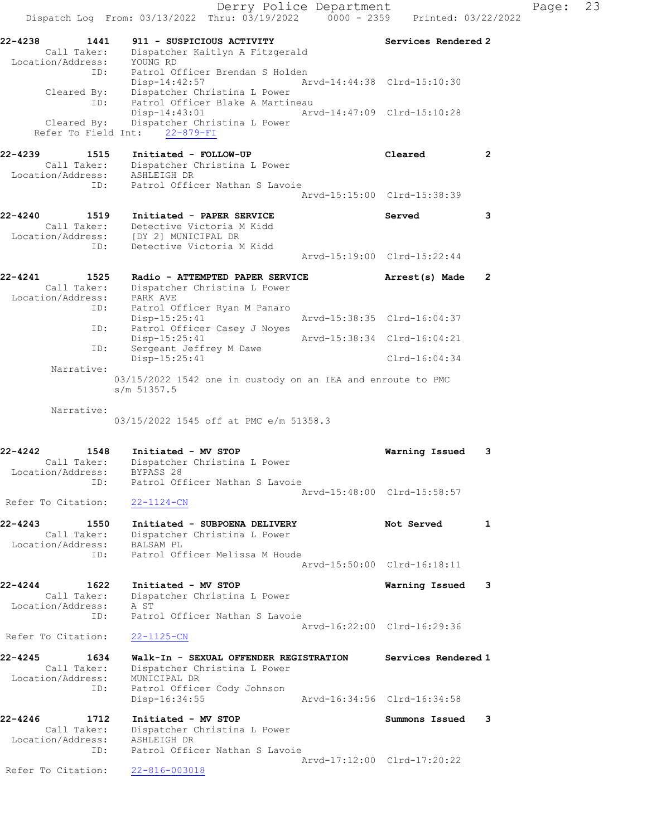Derry Police Department Fage: 23 Dispatch Log From:  $03/13/2022$  Thru:  $03/19/2022$  0000 - 2359 Printed:  $03/22/2022$ 22-4238 1441 911 - SUSPICIOUS ACTIVITY Services Rendered 2 Call Taker: Dispatcher Kaitlyn A Fitzgerald Location/Address: YOUNG RD ID: Patrol Officer Brendan S Holden Disp-14:42:57 Arvd-14:44:38 Clrd-15:10:30 Cleared By: Dispatcher Christina L Power ID: Patrol Officer Blake A Martineau<br>Disp-14:43:01 Arv Disp-14:43:01 Arvd-14:47:09 Clrd-15:10:28 Cleared By: Dispatcher Christina L Power Refer To Field Int: 22-879-FI 22-4239 1515 Initiated - FOLLOW-UP Cleared 2 Call Taker: Dispatcher Christina L Power Location/Address: ASHLEIGH DR ID: Patrol Officer Nathan S Lavoie Arvd-15:15:00 Clrd-15:38:39 22-4240 1519 Initiated - PAPER SERVICE Served 3 Call Taker: Detective Victoria M Kidd Location/Address: [DY 2] MUNICIPAL DR ID: Detective Victoria M Kidd Arvd-15:19:00 Clrd-15:22:44 22-4241 1525 Radio - ATTEMPTED PAPER SERVICE Arrest(s) Made 2 Call Taker: Dispatcher Christina L Power Location/Address: PARK AVE ID: Patrol Officer Ryan M Panaro Arvd-15:38:35 Clrd-16:04:37 ID: Patrol Officer Casey J Noyes Disp-15:25:41 Arvd-15:38:34 Clrd-16:04:21 ID: Sergeant Jeffrey M Dawe Disp-15:25:41 Clrd-16:04:34 Narrative: 03/15/2022 1542 one in custody on an IEA and enroute to PMC s/m 51357.5 Narrative: 03/15/2022 1545 off at PMC e/m 51358.3 22-4242 1548 Initiated - MV STOP Warning Issued 3 Call Taker: Dispatcher Christina L Power Location/Address: BYPASS 28 ID: Patrol Officer Nathan S Lavoie Arvd-15:48:00 Clrd-15:58:57 Refer To Citation: 22-1124-CN 22-4243 1550 Initiated - SUBPOENA DELIVERY Not Served 1 Call Taker: Dispatcher Christina L Power Location/Address: BALSAM PL ESS: Enforce To Theory<br>ID: Patrol Officer Melissa M Houde Arvd-15:50:00 Clrd-16:18:11 22-4244 1622 Initiated - MV STOP Warning Issued 3 Call Taker: Dispatcher Christina L Power Location/Address: A ST ID: Patrol Officer Nathan S Lavoie Arvd-16:22:00 Clrd-16:29:36 Refer To Citation: 22-1125-CN 22-4245 1634 Walk-In - SEXUAL OFFENDER REGISTRATION Services Rendered 1 Call Taker: Dispatcher Christina L Power Location/Address: MUNICIPAL DR ID: Patrol Officer Cody Johnson Disp-16:34:55 Arvd-16:34:56 Clrd-16:34:58 22-4246 1712 Initiated - MV STOP Summons Issued 3 Call Taker: Dispatcher Christina L Power Location/Address: ASHLEIGH DR ID: Patrol Officer Nathan S Lavoie Arvd-17:12:00 Clrd-17:20:22 Refer To Citation: 22-816-003018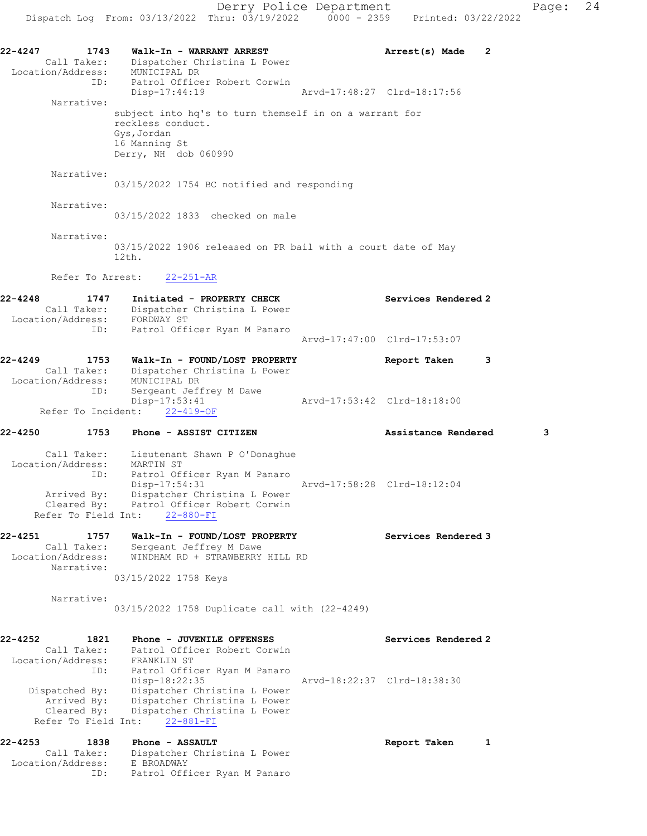22-4247 1743 Walk-In - WARRANT ARREST Arrest(s) Made 2 Call Taker: Dispatcher Christina L Power Location/Address: MUNICIPAL DR ID: Patrol Officer Robert Corwin Disp-17:44:19 Arvd-17:48:27 Clrd-18:17:56 Narrative: subject into hq's to turn themself in on a warrant for reckless conduct. Gys,Jordan 16 Manning St Derry, NH dob 060990 Narrative: 03/15/2022 1754 BC notified and responding Narrative: 03/15/2022 1833 checked on male Narrative: 03/15/2022 1906 released on PR bail with a court date of May 12th. Refer To Arrest: 22-251-AR 22-4248 1747 Initiated - PROPERTY CHECK Services Rendered 2 Call Taker: Dispatcher Christina L Power Location/Address: FORDWAY ST ID: Patrol Officer Ryan M Panaro Arvd-17:47:00 Clrd-17:53:07 22-4249 1753 Walk-In - FOUND/LOST PROPERTY Report Taken 3 Call Taker: Dispatcher Christina L Power Location/Address: MUNICIPAL DR ID: Sergeant Jeffrey M Dawe Disp-17:53:41 Arvd-17:53:42 Clrd-18:18:00 Refer To Incident: 22-419-OF 22-4250 1753 Phone - ASSIST CITIZEN Assistance Rendered 3 Call Taker: Lieutenant Shawn P O'Donaghue Location/Address: MARTIN ST ID: Patrol Officer Ryan M Panaro Disp-17:54:31 Arvd-17:58:28 Clrd-18:12:04 Arrived By: Dispatcher Christina L Power Cleared By: Patrol Officer Robert Corwin Refer To Field Int: 22-880-FI 22-4251 1757 Walk-In - FOUND/LOST PROPERTY Services Rendered 3 Call Taker: Sergeant Jeffrey M Dawe Location/Address: WINDHAM RD + STRAWBERRY HILL RD Narrative: 03/15/2022 1758 Keys Narrative: 03/15/2022 1758 Duplicate call with (22-4249) 22-4252 1821 Phone - JUVENILE OFFENSES Services Rendered 2 Call Taker: Patrol Officer Robert Corwin Location/Address: FRANKLIN ST ID: Patrol Officer Ryan M Panaro Disp-18:22:35 Arvd-18:22:37 Clrd-18:38:30 Dispatched By: Dispatcher Christina L Power Arrived By: Dispatcher Christina L Power Cleared By: Dispatcher Christina L Power Refer To Field Int: 22-881-FI 22-4253 1838 Phone - ASSAULT 1 22-4253 Report Taken 1 Call Taker: Dispatcher Christina L Power Location/Address: E BROADWAY ID: Patrol Officer Ryan M Panaro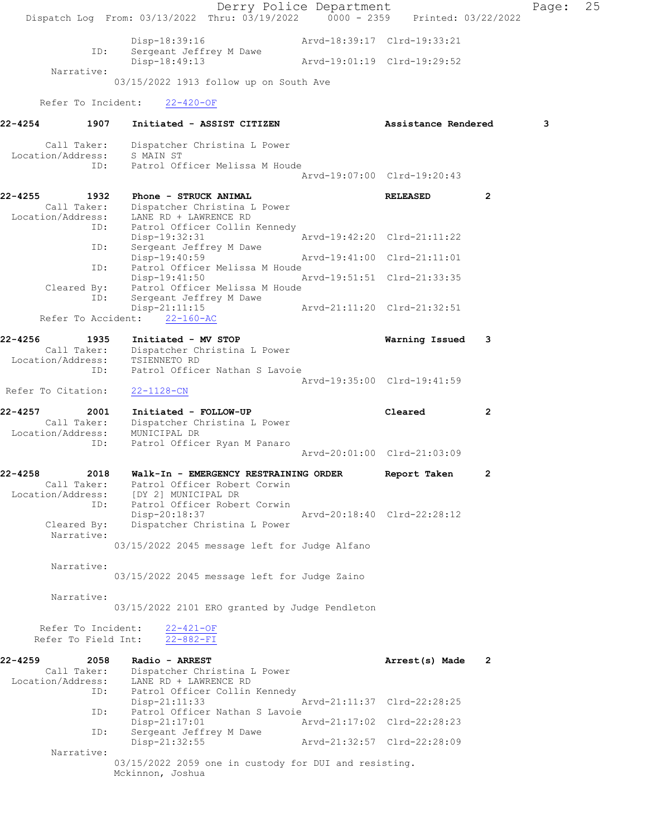|                                            | Dispatch Log From: 03/13/2022 Thru: 03/19/2022 0000 - 2359 Printed: 03/22/2022 | Derry Police Department |                             |              | Page: | 25 |
|--------------------------------------------|--------------------------------------------------------------------------------|-------------------------|-----------------------------|--------------|-------|----|
| ID:                                        | Disp-18:39:16<br>Sergeant Jeffrey M Dawe                                       |                         | Arvd-18:39:17 Clrd-19:33:21 |              |       |    |
|                                            | Disp-18:49:13                                                                  |                         | Arvd-19:01:19 Clrd-19:29:52 |              |       |    |
| Narrative:                                 | 03/15/2022 1913 follow up on South Ave                                         |                         |                             |              |       |    |
|                                            |                                                                                |                         |                             |              |       |    |
| Refer To Incident:                         | $22 - 420 - OF$                                                                |                         |                             |              |       |    |
| 22-4254<br>1907                            | Initiated - ASSIST CITIZEN                                                     |                         | Assistance Rendered         |              | 3     |    |
| Call Taker:<br>Location/Address: S MAIN ST | Dispatcher Christina L Power                                                   |                         |                             |              |       |    |
| ID:                                        | Patrol Officer Melissa M Houde                                                 |                         | Arvd-19:07:00 Clrd-19:20:43 |              |       |    |
|                                            |                                                                                |                         |                             |              |       |    |
| 22-4255<br>1932<br>Call Taker:             | Phone - STRUCK ANIMAL<br>Dispatcher Christina L Power                          |                         | <b>RELEASED</b>             | $\mathbf{2}$ |       |    |
| Location/Address:                          | LANE RD + LAWRENCE RD                                                          |                         |                             |              |       |    |
| ID:                                        | Patrol Officer Collin Kennedy<br>Disp-19:32:31                                 |                         | Arvd-19:42:20 Clrd-21:11:22 |              |       |    |
| ID:                                        | Sergeant Jeffrey M Dawe                                                        |                         |                             |              |       |    |
|                                            | Disp-19:40:59<br>Patrol Officer Melissa M Houde                                |                         | Arvd-19:41:00 Clrd-21:11:01 |              |       |    |
| ID:                                        | Disp-19:41:50                                                                  |                         | Arvd-19:51:51 Clrd-21:33:35 |              |       |    |
| Cleared By:                                | Patrol Officer Melissa M Houde                                                 |                         |                             |              |       |    |
| ID:                                        | Sergeant Jeffrey M Dawe<br>$Disp-21:11:15$                                     |                         | Arvd-21:11:20 Clrd-21:32:51 |              |       |    |
| Refer To Accident:                         | $22 - 160 - AC$                                                                |                         |                             |              |       |    |
| 22-4256<br>1935                            | Initiated - MV STOP                                                            |                         | Warning Issued              | 3            |       |    |
| Call Taker:                                | Dispatcher Christina L Power<br>TSIENNETO RD                                   |                         |                             |              |       |    |
| Location/Address:<br>ID:                   | Patrol Officer Nathan S Lavoie                                                 |                         |                             |              |       |    |
|                                            |                                                                                |                         | Arvd-19:35:00 Clrd-19:41:59 |              |       |    |
| Refer To Citation:                         | $22 - 1128 - CN$                                                               |                         |                             |              |       |    |
| 22-4257<br>2001                            | Initiated - FOLLOW-UP                                                          |                         | Cleared                     | 2            |       |    |
| Call Taker:<br>Location/Address:           | Dispatcher Christina L Power<br>MUNICIPAL DR                                   |                         |                             |              |       |    |
| ID:                                        | Patrol Officer Ryan M Panaro                                                   |                         |                             |              |       |    |
|                                            |                                                                                |                         | Arvd-20:01:00 Clrd-21:03:09 |              |       |    |
| $22 - 4258$<br>2018                        | Walk-In - EMERGENCY RESTRAINING ORDER                                          |                         | Report Taken                | 2            |       |    |
| Call Taker:                                | Patrol Officer Robert Corwin<br>Location/Address: [DY 2] MUNICIPAL DR          |                         |                             |              |       |    |
| ID:                                        | Patrol Officer Robert Corwin                                                   |                         |                             |              |       |    |
| Cleared By:                                | Disp-20:18:37<br>Dispatcher Christina L Power                                  |                         | Arvd-20:18:40 Clrd-22:28:12 |              |       |    |
| Narrative:                                 |                                                                                |                         |                             |              |       |    |
|                                            | 03/15/2022 2045 message left for Judge Alfano                                  |                         |                             |              |       |    |
| Narrative:                                 |                                                                                |                         |                             |              |       |    |
|                                            | 03/15/2022 2045 message left for Judge Zaino                                   |                         |                             |              |       |    |
| Narrative:                                 |                                                                                |                         |                             |              |       |    |
|                                            | 03/15/2022 2101 ERO granted by Judge Pendleton                                 |                         |                             |              |       |    |
| Refer To Incident:                         | $22 - 421 - OF$                                                                |                         |                             |              |       |    |
| Refer To Field Int:                        | $22 - 882 - FI$                                                                |                         |                             |              |       |    |
| 22-4259<br>2058                            | Radio - ARREST                                                                 |                         | Arrest(s) Made 2            |              |       |    |
| Call Taker:<br>Location/Address:           | Dispatcher Christina L Power<br>LANE RD + LAWRENCE RD                          |                         |                             |              |       |    |
| ID:                                        | Patrol Officer Collin Kennedy                                                  |                         |                             |              |       |    |
| ID:                                        | $Disp-21:11:33$<br>Patrol Officer Nathan S Lavoie                              |                         | Arvd-21:11:37 Clrd-22:28:25 |              |       |    |
|                                            | Disp-21:17:01                                                                  |                         | Arvd-21:17:02 Clrd-22:28:23 |              |       |    |
| ID:                                        | Sergeant Jeffrey M Dawe<br>Disp-21:32:55                                       |                         | Arvd-21:32:57 Clrd-22:28:09 |              |       |    |
| Narrative:                                 |                                                                                |                         |                             |              |       |    |
|                                            | 03/15/2022 2059 one in custody for DUI and resisting.<br>Mckinnon, Joshua      |                         |                             |              |       |    |
|                                            |                                                                                |                         |                             |              |       |    |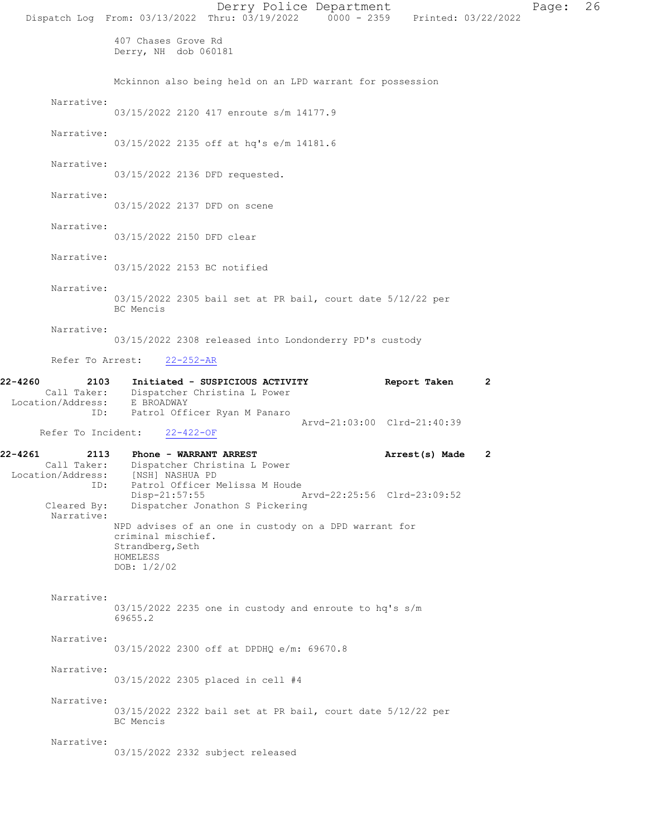|                                                                                           |                                                                     | Derry Police Department<br>Dispatch Log From: 03/13/2022 Thru: 03/19/2022 0000 - 2359 Printed: 03/22/2022 |                             |                |              | Page: | 26 |
|-------------------------------------------------------------------------------------------|---------------------------------------------------------------------|-----------------------------------------------------------------------------------------------------------|-----------------------------|----------------|--------------|-------|----|
|                                                                                           | 407 Chases Grove Rd<br>Derry, NH dob 060181                         |                                                                                                           |                             |                |              |       |    |
|                                                                                           |                                                                     | Mckinnon also being held on an LPD warrant for possession                                                 |                             |                |              |       |    |
| Narrative:                                                                                |                                                                     | 03/15/2022 2120 417 enroute s/m 14177.9                                                                   |                             |                |              |       |    |
| Narrative:                                                                                |                                                                     | 03/15/2022 2135 off at hq's e/m 14181.6                                                                   |                             |                |              |       |    |
| Narrative:                                                                                | 03/15/2022 2136 DFD requested.                                      |                                                                                                           |                             |                |              |       |    |
| Narrative:                                                                                | 03/15/2022 2137 DFD on scene                                        |                                                                                                           |                             |                |              |       |    |
| Narrative:                                                                                | 03/15/2022 2150 DFD clear                                           |                                                                                                           |                             |                |              |       |    |
| Narrative:                                                                                | 03/15/2022 2153 BC notified                                         |                                                                                                           |                             |                |              |       |    |
| Narrative:                                                                                | BC Mencis                                                           | 03/15/2022 2305 bail set at PR bail, court date 5/12/22 per                                               |                             |                |              |       |    |
| Narrative:                                                                                |                                                                     | 03/15/2022 2308 released into Londonderry PD's custody                                                    |                             |                |              |       |    |
|                                                                                           | Refer To Arrest: 22-252-AR                                          |                                                                                                           |                             |                |              |       |    |
| 22-4260<br>2103<br>Location/Address: E BROADWAY<br>ID:                                    | Call Taker: Dispatcher Christina L Power                            | Initiated - SUSPICIOUS ACTIVITY<br>Patrol Officer Ryan M Panaro                                           |                             | Report Taken   | 2            |       |    |
| Refer To Incident:                                                                        | 22-422-OF                                                           |                                                                                                           | Arvd-21:03:00 Clrd-21:40:39 |                |              |       |    |
| 22-4261<br>2113<br>Call Taker:<br>Location/Address: [NSH] NASHUA PD<br>ID:<br>Cleared By: | <b>Phone - WARRANT ARREST</b><br>Disp-21:57:55                      | Dispatcher Christina L Power<br>Patrol Officer Melissa M Houde<br>Dispatcher Jonathon S Pickering         | Arvd-22:25:56 Clrd-23:09:52 | Arrest(s) Made | $\mathbf{2}$ |       |    |
| Narrative:                                                                                | criminal mischief.<br>Strandberg, Seth<br>HOMELESS<br>DOB: $1/2/02$ | NPD advises of an one in custody on a DPD warrant for                                                     |                             |                |              |       |    |
| Narrative:                                                                                | 69655.2                                                             | 03/15/2022 2235 one in custody and enroute to hq's s/m                                                    |                             |                |              |       |    |
| Narrative:                                                                                |                                                                     | 03/15/2022 2300 off at DPDHQ e/m: 69670.8                                                                 |                             |                |              |       |    |
| Narrative:                                                                                |                                                                     | 03/15/2022 2305 placed in cell #4                                                                         |                             |                |              |       |    |
| Narrative:                                                                                | BC Mencis                                                           | 03/15/2022 2322 bail set at PR bail, court date 5/12/22 per                                               |                             |                |              |       |    |
| Narrative:                                                                                |                                                                     | 03/15/2022 2332 subject released                                                                          |                             |                |              |       |    |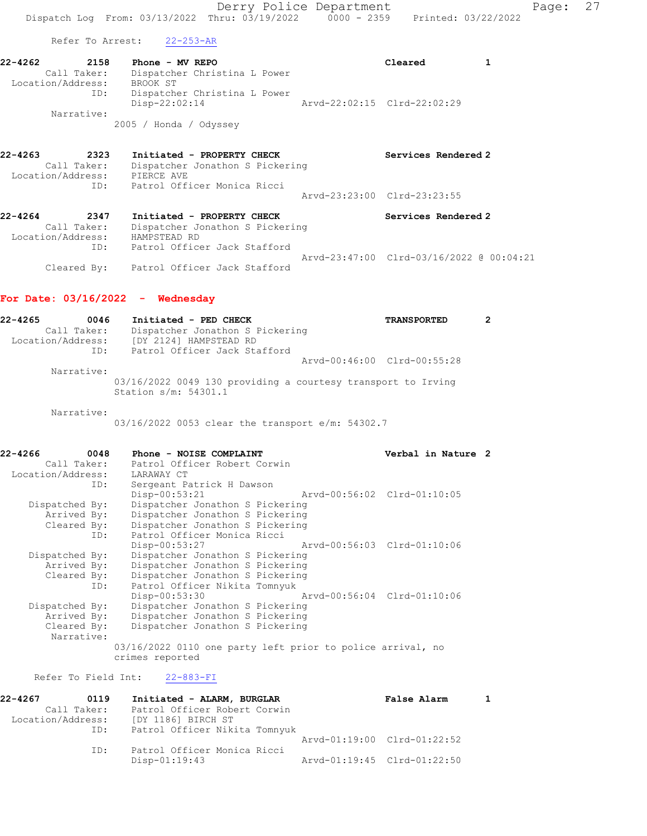Derry Police Department Fage: 27 Dispatch Log From: 03/13/2022 Thru: 03/19/2022 0000 - 2359 Printed: 03/22/2022

Refer To Arrest: 22-253-AR

22-4262 2158 Phone - MV REPO Cleared 1 Call Taker: Dispatcher Christina L Power Location/Address: BROOK ST ID: Dispatcher Christina L Power Disp-22:02:14 Arvd-22:02:15 Clrd-22:02:29 Narrative:

2005 / Honda / Odyssey

- 22-4263 2323 Initiated PROPERTY CHECK Services Rendered 2 Call Taker: Dispatcher Jonathon S Pickering Location/Address: PIERCE AVE ID: Patrol Officer Monica Ricci Arvd-23:23:00 Clrd-23:23:55
- 22-4264 2347 Initiated PROPERTY CHECK Services Rendered 2 Call Taker: Dispatcher Jonathon S Pickering Location/Address: HAMPSTEAD RD ID: Patrol Officer Jack Stafford Arvd-23:47:00 Clrd-03/16/2022 @ 00:04:21 Cleared By: Patrol Officer Jack Stafford

### For Date: 03/16/2022 - Wednesday

| 22-4265           | 0046        | Initiated - PED CHECK<br><b>TRANSPORTED</b>                                          |  |
|-------------------|-------------|--------------------------------------------------------------------------------------|--|
|                   | Call Taker: | Dispatcher Jonathon S Pickering                                                      |  |
| Location/Address: |             | [DY 2124] HAMPSTEAD RD                                                               |  |
|                   | ID:         | Patrol Officer Jack Stafford                                                         |  |
|                   |             | Arvd-00:46:00 Clrd-00:55:28                                                          |  |
|                   | Narrative:  |                                                                                      |  |
|                   |             | 03/16/2022 0049 130 providing a courtesy transport to Irving<br>Station s/m: 54301.1 |  |
|                   | Narrative:  |                                                                                      |  |

03/16/2022 0053 clear the transport e/m: 54302.7

| 22-4266<br>0048              | Phone - NOISE COMPLAINT                                    | Verbal in Nature 2 |  |
|------------------------------|------------------------------------------------------------|--------------------|--|
| Call Taker:                  | Patrol Officer Robert Corwin                               |                    |  |
| Location/Address: LARAWAY CT |                                                            |                    |  |
|                              | Sergeant Patrick H Dawson<br>ID:                           |                    |  |
|                              | $Disp-00:53:21$<br>Arvd-00:56:02 Clrd-01:10:05             |                    |  |
| Dispatched By:               | Dispatcher Jonathon S Pickering                            |                    |  |
| Arrived By:                  | Dispatcher Jonathon S Pickering                            |                    |  |
|                              | Cleared By: Dispatcher Jonathon S Pickering                |                    |  |
|                              | Patrol Officer Monica Ricci<br>ID:                         |                    |  |
|                              | Disp-00:53:27<br>Arvd-00:56:03 Clrd-01:10:06               |                    |  |
| Dispatched By:               | Dispatcher Jonathon S Pickering                            |                    |  |
| Arrived By:                  | Dispatcher Jonathon S Pickering                            |                    |  |
|                              | Cleared By: Dispatcher Jonathon S Pickering                |                    |  |
|                              | Patrol Officer Nikita Tomnyuk<br>ID:                       |                    |  |
|                              | Disp-00:53:30<br>Arvd-00:56:04 Clrd-01:10:06               |                    |  |
| Dispatched By:               | Dispatcher Jonathon S Pickering                            |                    |  |
| Arrived By:                  | Dispatcher Jonathon S Pickering                            |                    |  |
| Cleared By:                  | Dispatcher Jonathon S Pickering                            |                    |  |
| Narrative:                   |                                                            |                    |  |
|                              | 03/16/2022 0110 one party left prior to police arrival, no |                    |  |
|                              | crimes reported                                            |                    |  |

Refer To Field Int: 22-883-FI

| 22-4267           | 0119        | Initiated - ALARM, BURGLAR    |                             | <b>False Alarm</b>          |  |
|-------------------|-------------|-------------------------------|-----------------------------|-----------------------------|--|
|                   | Call Taker: | Patrol Officer Robert Corwin  |                             |                             |  |
| Location/Address: |             | [DY 1186] BIRCH ST            |                             |                             |  |
|                   | ID:         | Patrol Officer Nikita Tomnyuk |                             |                             |  |
|                   |             |                               |                             | Arvd-01:19:00 Clrd-01:22:52 |  |
|                   | ID:         | Patrol Officer Monica Ricci   |                             |                             |  |
|                   |             | Disp-01:19:43                 | Arvd-01:19:45 Clrd-01:22:50 |                             |  |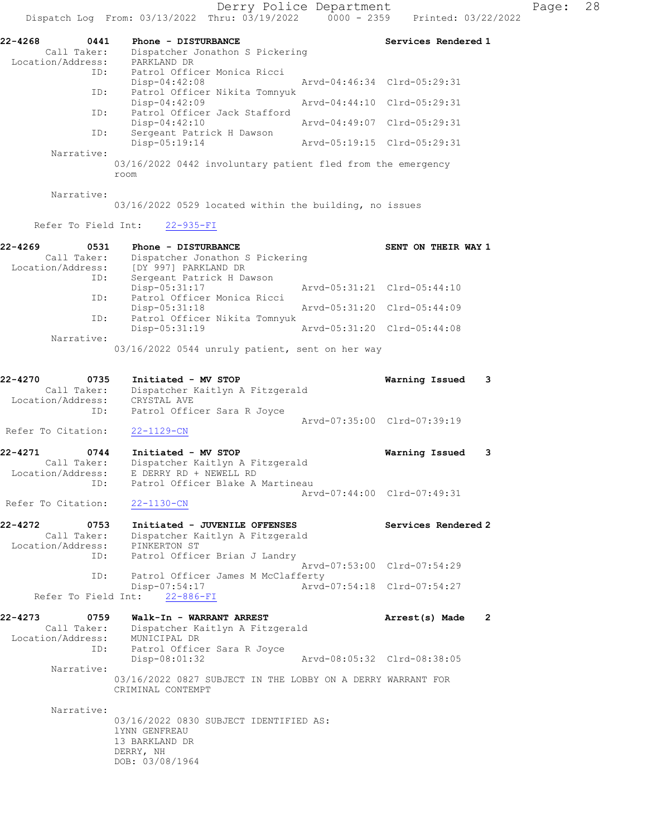Derry Police Department Page: 28

|                                                     | Dispatch Log From: 03/13/2022 Thru: 03/19/2022                                                | $0000 - 2359$               | Printed: 03/22/2022 |              |
|-----------------------------------------------------|-----------------------------------------------------------------------------------------------|-----------------------------|---------------------|--------------|
| 22-4268<br>0441<br>Call Taker:                      | Phone - DISTURBANCE<br>Dispatcher Jonathon S Pickering                                        |                             | Services Rendered 1 |              |
| Location/Address:<br>ID:                            | PARKLAND DR<br>Patrol Officer Monica Ricci<br>$Disp-04:42:08$                                 | Aryd-04:46:34 Clrd-05:29:31 |                     |              |
| ID:                                                 | Patrol Officer Nikita Tomnyuk                                                                 |                             |                     |              |
| ID:                                                 | $Disp-04:42:09$<br>Patrol Officer Jack Stafford                                               | Arvd-04:44:10 Clrd-05:29:31 |                     |              |
| ID:                                                 | $Disp-04:42:10$<br>Sergeant Patrick H Dawson                                                  | Arvd-04:49:07 Clrd-05:29:31 |                     |              |
| Narrative:                                          | $Disp-05:19:14$                                                                               | Arvd-05:19:15 Clrd-05:29:31 |                     |              |
|                                                     | 03/16/2022 0442 involuntary patient fled from the emergency<br>room                           |                             |                     |              |
| Narrative:                                          | 03/16/2022 0529 located within the building, no issues                                        |                             |                     |              |
| Refer To Field Int:                                 | $22 - 935 - FI$                                                                               |                             |                     |              |
| 22-4269<br>0531                                     | Phone - DISTURBANCE                                                                           |                             | SENT ON THEIR WAY 1 |              |
| Call Taker:<br>Location/Address:<br>ID:             | Dispatcher Jonathon S Pickering<br>[DY 997] PARKLAND DR<br>Sergeant Patrick H Dawson          |                             |                     |              |
| ID:                                                 | Disp-05:31:17<br>Patrol Officer Monica Ricci                                                  | Arvd-05:31:21 Clrd-05:44:10 |                     |              |
| ID:                                                 | $Disp-05:31:18$<br>Patrol Officer Nikita Tomnyuk                                              | Aryd-05:31:20 Clrd-05:44:09 |                     |              |
|                                                     | $Disp-05:31:19$                                                                               | Arvd-05:31:20 Clrd-05:44:08 |                     |              |
| Narrative:                                          | 03/16/2022 0544 unruly patient, sent on her way                                               |                             |                     |              |
| 22-4270<br>0735<br>Call Taker:<br>Location/Address: | Initiated - MV STOP<br>Dispatcher Kaitlyn A Fitzgerald<br>CRYSTAL AVE                         |                             | Warning Issued      | 3            |
| ID:<br>Refer To Citation:                           | Patrol Officer Sara R Joyce<br>$22 - 1129 - CN$                                               | Arvd-07:35:00 Clrd-07:39:19 |                     |              |
| 22-4271<br>0744                                     | Initiated - MV STOP                                                                           |                             | Warning Issued      | 3            |
| Call Taker:<br>Location/Address:<br>ID:             | Dispatcher Kaitlyn A Fitzgerald<br>E DERRY RD + NEWELL RD<br>Patrol Officer Blake A Martineau |                             |                     |              |
| Refer To Citation: 22-1130-CN                       |                                                                                               | Arvd-07:44:00 Clrd-07:49:31 |                     |              |
| 22-4272<br>0753<br>Call Taker:<br>Location/Address: | Initiated - JUVENILE OFFENSES<br>Dispatcher Kaitlyn A Fitzgerald<br>PINKERTON ST              |                             | Services Rendered 2 |              |
| ID:<br>ID:                                          | Patrol Officer Brian J Landry<br>Patrol Officer James M McClafferty                           | Arvd-07:53:00 Clrd-07:54:29 |                     |              |
|                                                     | $Disp-07:54:17$<br>Refer To Field Int: 22-886-FI                                              | Arvd-07:54:18 Clrd-07:54:27 |                     |              |
| 22-4273<br>0759                                     | Walk-In - WARRANT ARREST                                                                      |                             | Arrest(s) Made      | $\mathbf{2}$ |
| Call Taker:<br>Location/Address: MUNICIPAL DR       | Dispatcher Kaitlyn A Fitzgerald                                                               |                             |                     |              |
| ID:                                                 | Patrol Officer Sara R Joyce<br>$Disp-08:01:32$                                                | Arvd-08:05:32 Clrd-08:38:05 |                     |              |
| Narrative:                                          | 03/16/2022 0827 SUBJECT IN THE LOBBY ON A DERRY WARRANT FOR                                   |                             |                     |              |
|                                                     | CRIMINAL CONTEMPT                                                                             |                             |                     |              |
| Narrative:                                          | 03/16/2022 0830 SUBJECT IDENTIFIED AS:<br>1YNN GENFREAU<br>13 BARKLAND DR<br>DERRY, NH        |                             |                     |              |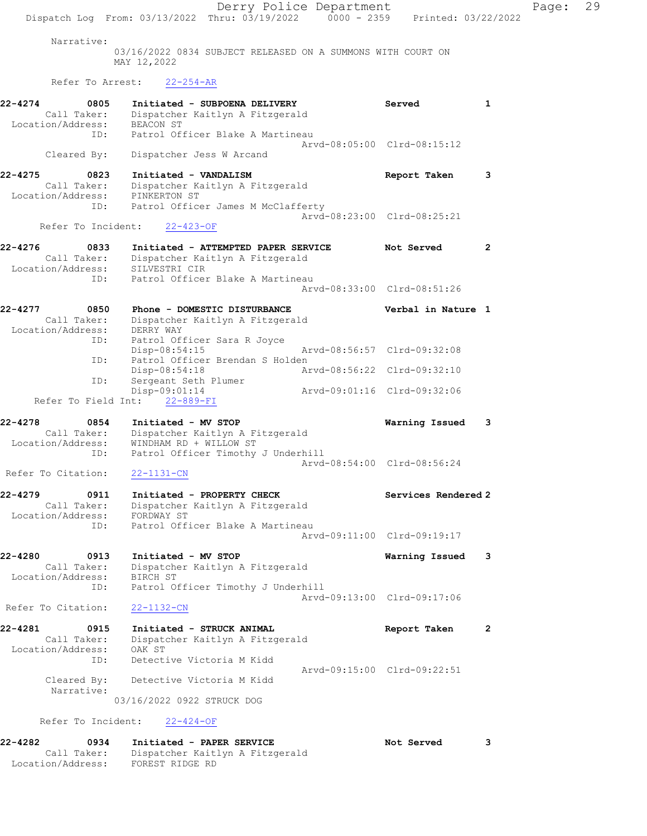Derry Police Department Fage: 29 Dispatch Log From: 03/13/2022 Thru: 03/19/2022 0000 - 2359 Printed: 03/22/2022 Narrative: 03/16/2022 0834 SUBJECT RELEASED ON A SUMMONS WITH COURT ON MAY 12,2022 Refer To Arrest: 22-254-AR 22-4274 0805 Initiated - SUBPOENA DELIVERY Served 1 Call Taker: Dispatcher Kaitlyn A Fitzgerald Location/Address: BEACON ST ID: Patrol Officer Blake A Martineau Arvd-08:05:00 Clrd-08:15:12 Cleared By: Dispatcher Jess W Arcand 22-4275 0823 Initiated - VANDALISM Report Taken 3 Call Taker: Dispatcher Kaitlyn A Fitzgerald Location/Address: PINKERTON ST ID: Patrol Officer James M McClafferty Arvd-08:23:00 Clrd-08:25:21 Refer To Incident: 22-423-OF 22-4276 0833 Initiated - ATTEMPTED PAPER SERVICE Not Served 2 Call Taker: Dispatcher Kaitlyn A Fitzgerald Location/Address: SILVESTRI CIR ID: Patrol Officer Blake A Martineau Arvd-08:33:00 Clrd-08:51:26 22-4277 0850 Phone - DOMESTIC DISTURBANCE Verbal in Nature 1 Call Taker: Dispatcher Kaitlyn A Fitzgerald Location/Address: DERRY WAY ID: Patrol Officer Sara R Joyce Disp-08:54:15 Arvd-08:56:57 Clrd-09:32:08 ID: Patrol Officer Brendan S Holden Disp-08:54:18 Arvd-08:56:22 Clrd-09:32:10 ID: Sergeant Seth Plumer Disp-09:01:14 Arvd-09:01:16 Clrd-09:32:06 Refer To Field Int: 22-889-FI 22-4278 0854 Initiated - MV STOP Warning Issued 3 Call Taker: Dispatcher Kaitlyn A Fitzgerald Location/Address: WINDHAM RD + WILLOW ST ID: Patrol Officer Timothy J Underhill Arvd-08:54:00 Clrd-08:56:24 Refer To Citation: 22-1131-CN 22-4279 0911 Initiated - PROPERTY CHECK Services Rendered 2 Call Taker: Dispatcher Kaitlyn A Fitzgerald Location/Address: FORDWAY ST ID: Patrol Officer Blake A Martineau Arvd-09:11:00 Clrd-09:19:17 22-4280 0913 Initiated - MV STOP Warning Issued 3 Call Taker: Dispatcher Kaitlyn A Fitzgerald Location/Address: BIRCH ST ID: Patrol Officer Timothy J Underhill Arvd-09:13:00 Clrd-09:17:06 Refer To Citation: 22-1132-CN 22-4281 0915 Initiated - STRUCK ANIMAL Report Taken 2 Call Taker: Dispatcher Kaitlyn A Fitzgerald Location/Address: OAK ST ID: Detective Victoria M Kidd Arvd-09:15:00 Clrd-09:22:51 Cleared By: Detective Victoria M Kidd Narrative: 03/16/2022 0922 STRUCK DOG Refer To Incident: 22-424-OF

22-4282 0934 Initiated - PAPER SERVICE Not Served 3 Call Taker: Dispatcher Kaitlyn A Fitzgerald Location/Address: FOREST RIDGE RD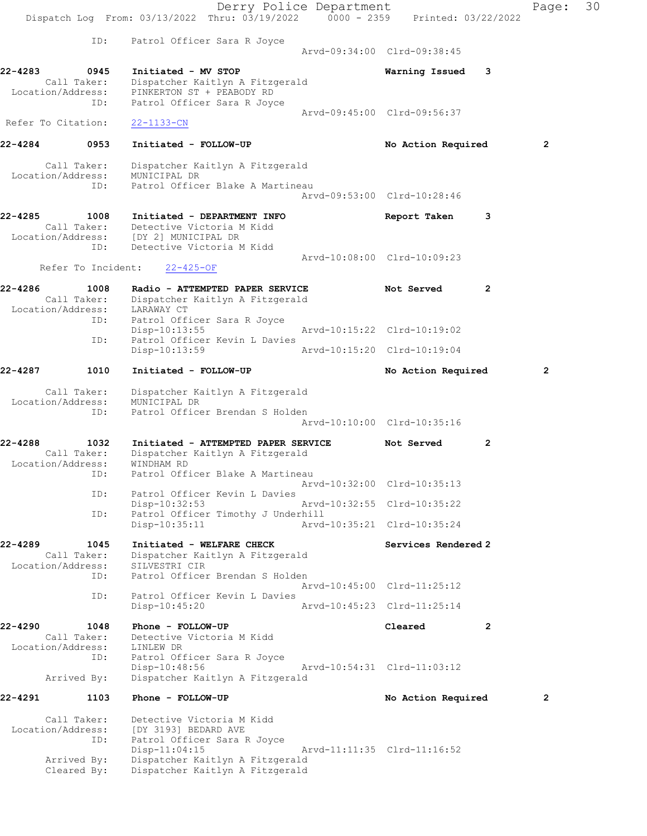Derry Police Department Fage: 30 Dispatch Log From: 03/13/2022 Thru: 03/19/2022 0000 - 2359 Printed: 03/22/2022 ID: Patrol Officer Sara R Joyce Arvd-09:34:00 Clrd-09:38:45 22-4283 0945 Initiated - MV STOP Warning Issued 3 Call Taker: Dispatcher Kaitlyn A Fitzgerald Location/Address: PINKERTON ST + PEABODY RD ID: Patrol Officer Sara R Joyce Arvd-09:45:00 Clrd-09:56:37 Refer To Citation: 22-1133-CN 22-4284 0953 Initiated - FOLLOW-UP No Action Required 2 Call Taker: Dispatcher Kaitlyn A Fitzgerald Location/Address: MUNICIPAL DR ID: Patrol Officer Blake A Martineau Arvd-09:53:00 Clrd-10:28:46 22-4285 1008 Initiated - DEPARTMENT INFO Report Taken 3 Call Taker: Detective Victoria M Kidd Location/Address: [DY 2] MUNICIPAL DR ID: Detective Victoria M Kidd Arvd-10:08:00 Clrd-10:09:23 Refer To Incident: 22-425-OF 22-4286 1008 Radio - ATTEMPTED PAPER SERVICE Not Served 2 Call Taker: Dispatcher Kaitlyn A Fitzgerald Location/Address: LARAWAY CT ID: Patrol Officer Sara R Joyce Disp-10:13:55 Arvd-10:15:22 Clrd-10:19:02 Disp-10:13:55<br>ID: Patrol Officer Kevin L Davies<br>Disp-10:13:59 Disp-10:13:59 Arvd-10:15:20 Clrd-10:19:04 22-4287 1010 Initiated - FOLLOW-UP No Action Required 2 Call Taker: Dispatcher Kaitlyn A Fitzgerald Location/Address: MUNICIPAL DR ID: Patrol Officer Brendan S Holden Arvd-10:10:00 Clrd-10:35:16 22-4288 1032 Initiated - ATTEMPTED PAPER SERVICE Not Served 2 Call Taker: Dispatcher Kaitlyn A Fitzgerald Location/Address: WINDHAM RD ID: Patrol Officer Blake A Martineau Arvd-10:32:00 Clrd-10:35:13 ID: Patrol Officer Kevin L Davies<br>Disp-10:32:53 Disp-10:32:53 Arvd-10:32:55 Clrd-10:35:22<br>ID: Patrol Officer Timothy J Underhill Patrol Officer Timothy J Underhill Disp-10:35:11 Arvd-10:35:21 Clrd-10:35:24 22-4289 1045 Initiated - WELFARE CHECK North Services Rendered 2 Call Taker: Dispatcher Kaitlyn A Fitzgerald Location/Address: SILVESTRI CIR ID: Patrol Officer Brendan S Holden Arvd-10:45:00 Clrd-11:25:12 ID: Patrol Officer Kevin L Davies Disp-10:45:20 Arvd-10:45:23 Clrd-11:25:14 22-4290 1048 Phone - FOLLOW-UP Cleared 2 Call Taker: Detective Victoria M Kidd Location/Address: LINLEW DR ID: Patrol Officer Sara R Joyce Disp-10:48:56 Arvd-10:54:31 Clrd-11:03:12 Arrived By: Dispatcher Kaitlyn A Fitzgerald 22-4291 1103 Phone - FOLLOW-UP **No Action Required** 2 Call Taker: Detective Victoria M Kidd Location/Address: [DY 3193] BEDARD AVE ID: Patrol Officer Sara R Joyce Disp-11:04:15 Arvd-11:11:35 Clrd-11:16:52 Arrived By: Dispatcher Kaitlyn A Fitzgerald Cleared By: Dispatcher Kaitlyn A Fitzgerald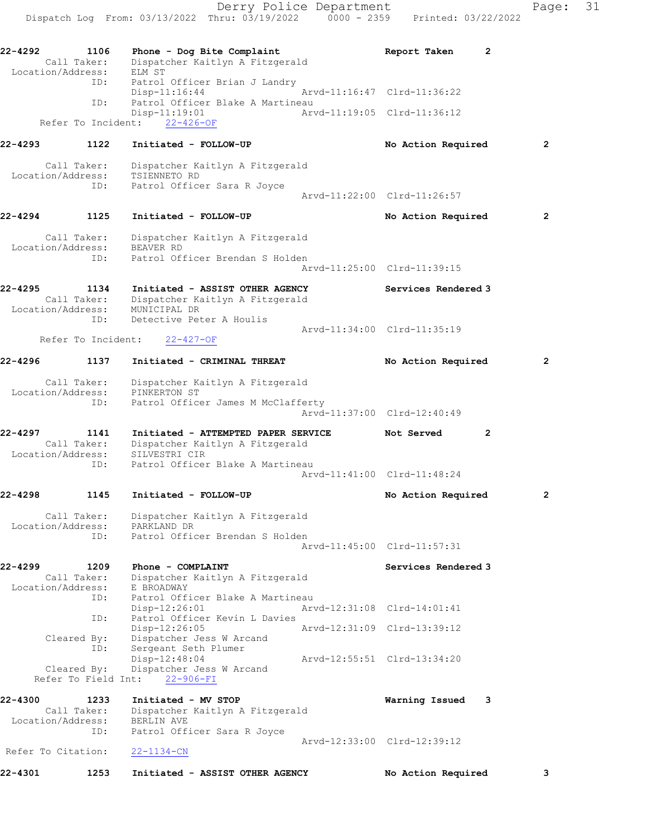Dispatch Log From: 03/13/2022 Thru: 03/19/2022 0000 - 2359 Printed: 03/22/2022 22-4292 1106 Phone - Dog Bite Complaint Neport Taken 2 Call Taker: Dispatcher Kaitlyn A Fitzgerald Location/Address: ELM ST ID: Patrol Officer Brian J Landry Disp-11:16:44 Arvd-11:16:47 Clrd-11:36:22 ID: Patrol Officer Blake A Martineau  $Disp-11:19:01$  Refer To Incident: 22-426-OF 22-4293 1122 Initiated - FOLLOW-UP 12 No Action Required 2 Call Taker: Dispatcher Kaitlyn A Fitzgerald Location/Address: TSIENNETO RD ID: Patrol Officer Sara R Joyce Arvd-11:22:00 Clrd-11:26:57 22-4294 1125 Initiated - FOLLOW-UP No Action Required 2 Call Taker: Dispatcher Kaitlyn A Fitzgerald Location/Address: BEAVER RD ID: Patrol Officer Brendan S Holden Arvd-11:25:00 Clrd-11:39:15 22-4295 1134 Initiated - ASSIST OTHER AGENCY Services Rendered 3 Call Taker: Dispatcher Kaitlyn A Fitzgerald Location/Address: MUNICIPAL DR ID: Detective Peter A Houlis Arvd-11:34:00 Clrd-11:35:19 Refer To Incident: 22-427-OF 22-4296 1137 Initiated - CRIMINAL THREAT No Action Required 2 Call Taker: Dispatcher Kaitlyn A Fitzgerald Location/Address: PINKERTON ST ID: Patrol Officer James M McClafferty Arvd-11:37:00 Clrd-12:40:49 22-4297 1141 Initiated - ATTEMPTED PAPER SERVICE Not Served 2 Call Taker: Dispatcher Kaitlyn A Fitzgerald Location/Address: SILVESTRI CIR ID: Patrol Officer Blake A Martineau Arvd-11:41:00 Clrd-11:48:24 22-4298 1145 Initiated - FOLLOW-UP No Action Required 2 Call Taker: Dispatcher Kaitlyn A Fitzgerald Location/Address: PARKLAND DR ID: Patrol Officer Brendan S Holden Arvd-11:45:00 Clrd-11:57:31 22-4299 1209 Phone - COMPLAINT Services Rendered 3 Call Taker: Dispatcher Kaitlyn A Fitzgerald Location/Address: E BROADWAY ID: Patrol Officer Blake A Martineau<br>Disp-12:26:01 Mrvd-12:31:08 Clrd-14:01:41 Disp-12:26:01 Arvd-12:31:08 Clrd-14:01:41 ID: Patrol Officer Kevin L Davies Disp-12:26:05 Arvd-12:31:09 Clrd-13:39:12 Cleared By: Dispatcher Jess W Arcand ID: Sergeant Seth Plumer Disp-12:48:04 Arvd-12:55:51 Clrd-13:34:20 Cleared By: Dispatcher Jess W Arcand Refer To Field Int: 22-906-FI 22-4300 1233 Initiated - MV STOP Warning Issued 3 Call Taker: Dispatcher Kaitlyn A Fitzgerald Location/Address: BERLIN AVE ID: Patrol Officer Sara R Joyce Arvd-12:33:00 Clrd-12:39:12 Refer To Citation: 22-1134-CN 22-4301 1253 Initiated - ASSIST OTHER AGENCY No Action Required 3

Derry Police Department Fage: 31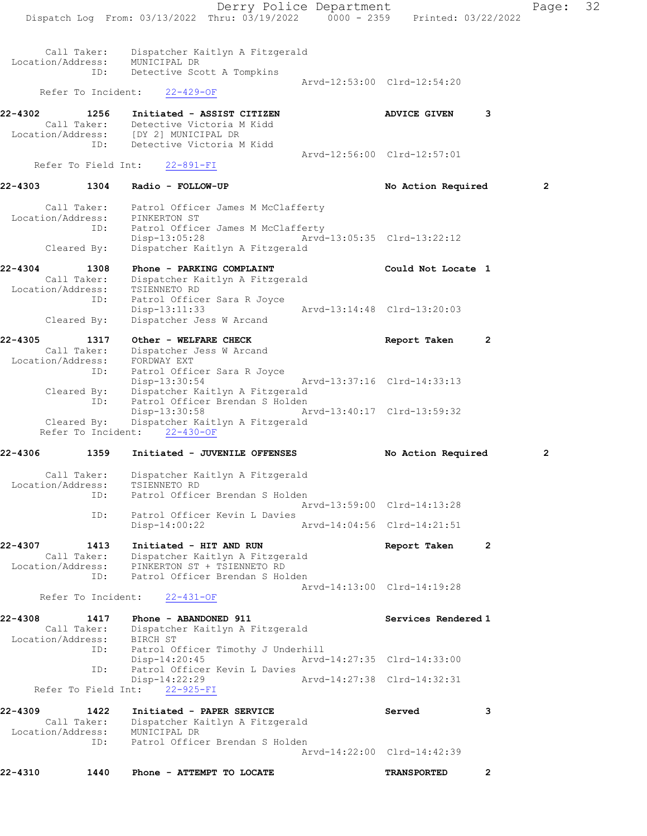Derry Police Department Page: 32 Dispatch Log From: 03/13/2022 Thru: 03/19/2022 0000 - 2359 Printed: 03/22/2022 Call Taker: Dispatcher Kaitlyn A Fitzgerald Location/Address: MUNICIPAL DR ID: Detective Scott A Tompkins Arvd-12:53:00 Clrd-12:54:20 Refer To Incident: 22-429-OF 22-4302 1256 Initiated - ASSIST CITIZEN ADVICE GIVEN 3 Call Taker: Detective Victoria M Kidd Location/Address: [DY 2] MUNICIPAL DR ID: Detective Victoria M Kidd Arvd-12:56:00 Clrd-12:57:01 Refer To Field Int: 22-891-FI 22-4303 1304 Radio - FOLLOW-UP **No Action Required** 2 Call Taker: Patrol Officer James M McClafferty Location/Address: PINKERTON ST ID: Patrol Officer James M McClafferty Disp-13:05:28 Arvd-13:05:35 Clrd-13:22:12 Cleared By: Dispatcher Kaitlyn A Fitzgerald 22-4304 1308 Phone - PARKING COMPLAINT COULD Could Not Locate 1 Call Taker: Dispatcher Kaitlyn A Fitzgerald Location/Address: TSIENNETO RD ID: Patrol Officer Sara R Joyce Disp-13:11:33 Arvd-13:14:48 Clrd-13:20:03 Cleared By: Dispatcher Jess W Arcand 22-4305 1317 Other - WELFARE CHECK Report Taken 2 Call Taker: Dispatcher Jess W Arcand Location/Address: FORDWAY EXT ID: Patrol Officer Sara R Joyce Disp-13:30:54 Arvd-13:37:16 Clrd-14:33:13 Cleared By: Dispatcher Kaitlyn A Fitzgerald ID: Patrol Officer Brendan S Holden Disp-13:30:58 Arvd-13:40:17 Clrd-13:59:32 Cleared By: Dispatcher Kaitlyn A Fitzgerald Refer To Incident: 22-430-OF 22-4306 1359 Initiated - JUVENILE OFFENSES No Action Required 2 Call Taker: Dispatcher Kaitlyn A Fitzgerald Location/Address: TSIENNETO RD ID: Patrol Officer Brendan S Holden Arvd-13:59:00 Clrd-14:13:28 ID: Patrol Officer Kevin L Davies Disp-14:00:22 Arvd-14:04:56 Clrd-14:21:51 22-4307 1413 Initiated - HIT AND RUN Report Taken 2 Call Taker: Dispatcher Kaitlyn A Fitzgerald Location/Address: PINKERTON ST + TSIENNETO RD ID: Patrol Officer Brendan S Holden Arvd-14:13:00 Clrd-14:19:28 Refer To Incident: 22-431-OF 22-4308 1417 Phone - ABANDONED 911 Services Rendered 1 Call Taker: Dispatcher Kaitlyn A Fitzgerald Location/Address: BIRCH ST ID: Patrol Officer Timothy J Underhill<br>Disp-14:20:45 Mrvd-14:27:35 Clrd-14:33:00 Disp-14:20:45 ID: Patrol Officer Kevin L Davies Disp-14:22:29 Arvd-14:27:38 Clrd-14:32:31 Refer To Field Int:  $22-925-FI$ 22-4309 1422 Initiated - PAPER SERVICE Served 3 Call Taker: Dispatcher Kaitlyn A Fitzgerald Location/Address: MUNICIPAL DR ID: Patrol Officer Brendan S Holden Arvd-14:22:00 Clrd-14:42:39 22-4310 1440 Phone - ATTEMPT TO LOCATE TRANSPORTED 2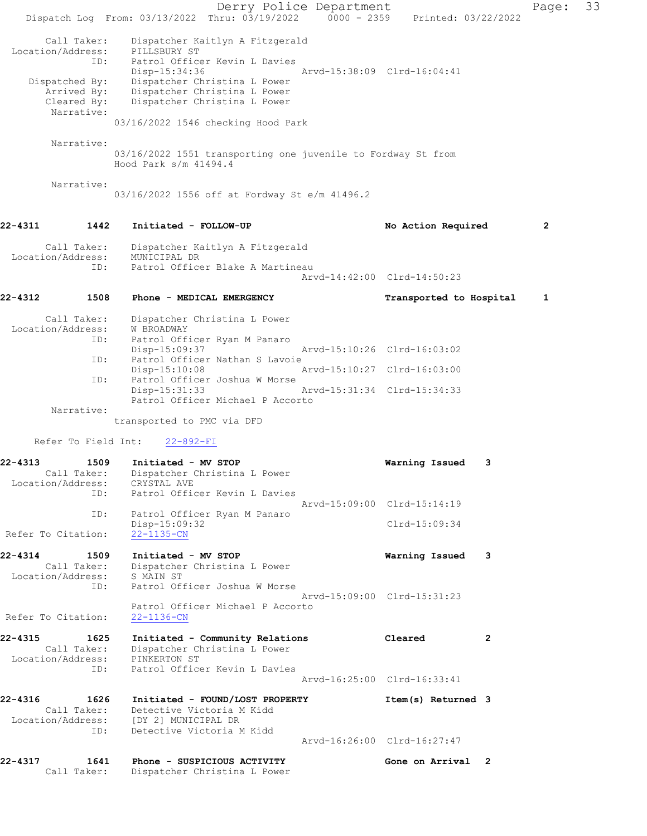Derry Police Department Form Page: 33 Dispatch Log From: 03/13/2022 Thru: 03/19/2022 0000 - 2359 Printed: 03/22/2022 Call Taker: Dispatcher Kaitlyn A Fitzgerald Location/Address: PILLSBURY ST ID: Patrol Officer Kevin L Davies Disp-15:34:36 Arvd-15:38:09 Clrd-16:04:41 Dispatched By: Dispatcher Christina L Power Arrived By: Dispatcher Christina L Power Cleared By: Dispatcher Christina L Power Narrative: 03/16/2022 1546 checking Hood Park Narrative: 03/16/2022 1551 transporting one juvenile to Fordway St from Hood Park s/m 41494.4 Narrative: 03/16/2022 1556 off at Fordway St e/m 41496.2 22-4311 1442 Initiated - FOLLOW-UP No Action Required 2 Call Taker: Dispatcher Kaitlyn A Fitzgerald<br>ion/Address: MUNICIPAL DR Location/Address:<br>ID: Patrol Officer Blake A Martineau Arvd-14:42:00 Clrd-14:50:23 22-4312 1508 Phone - MEDICAL EMERGENCY 1 Transported to Hospital 1 Call Taker: Dispatcher Christina L Power Location/Address: W BROADWAY ID: Patrol Officer Ryan M Panaro Disp-15:09:37 Arvd-15:10:26 Clrd-16:03:02<br>ID: Patrol Officer Nathan S Lavoie Patrol Officer Nathan S Lavoie<br>Disp-15:10:08 A Disp-15:10:08 Arvd-15:10:27 Clrd-16:03:00 ID: Patrol Officer Joshua W Morse Disp-15:31:33 Arvd-15:31:34 Clrd-15:34:33 Patrol Officer Michael P Accorto Narrative: transported to PMC via DFD Refer To Field Int: 22-892-FI 22-4313 1509 Initiated - MV STOP Warning Issued 3 Call Taker: Dispatcher Christina L Power Location/Address: CRYSTAL AVE ID: Patrol Officer Kevin L Davies Arvd-15:09:00 Clrd-15:14:19 ID: Patrol Officer Ryan M Panaro Disp-15:09:32 Clrd-15:09:34<br>22-1135-CN Refer To Citation: 22-4314 1509 Initiated - MV STOP Warning Issued 3 Call Taker: Dispatcher Christina L Power Location/Address: S MAIN ST ID: Patrol Officer Joshua W Morse Arvd-15:09:00 Clrd-15:31:23 Patrol Officer Michael P Accorto Refer To Citation: 22-1136-CN 22-4315 1625 Initiated - Community Relations Cleared 2 Call Taker: Dispatcher Christina L Power Location/Address: PINKERTON ST ID: Patrol Officer Kevin L Davies Arvd-16:25:00 Clrd-16:33:41 22-4316 1626 Initiated - FOUND/LOST PROPERTY Item(s) Returned 3 Call Taker: Detective Victoria M Kidd Location/Address: [DY 2] MUNICIPAL DR ID: Detective Victoria M Kidd Arvd-16:26:00 Clrd-16:27:47 22-4317 1641 Phone - SUSPICIOUS ACTIVITY Gone on Arrival 2 Call Taker: Dispatcher Christina L Power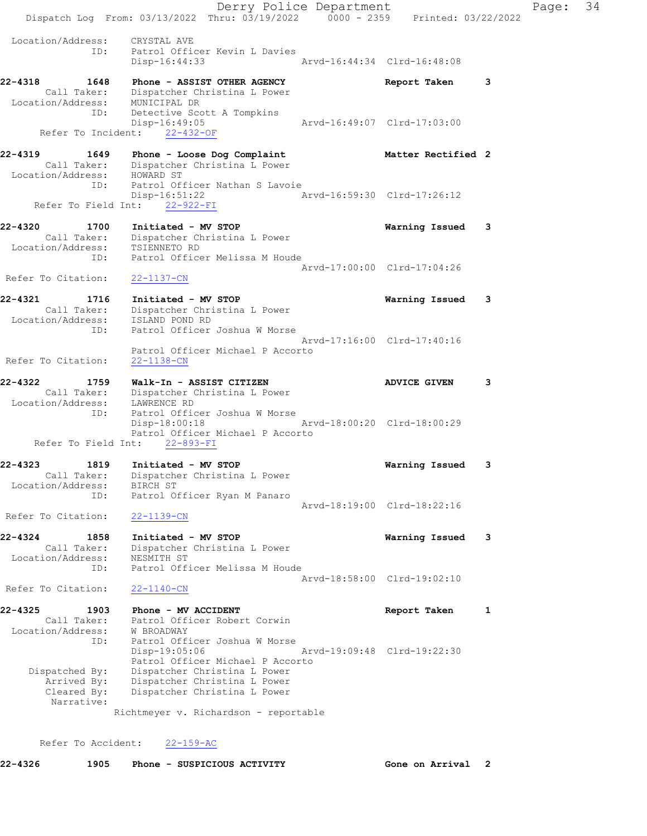Derry Police Department Fage: 34 Dispatch Log From:  $03/13/2022$  Thru:  $03/19/2022$  0000 - 2359 Printed:  $03/22/2022$  Location/Address: CRYSTAL AVE ID: Patrol Officer Kevin L Davies Disp-16:44:33 Arvd-16:44:34 Clrd-16:48:08 22-4318 1648 Phone - ASSIST OTHER AGENCY 1880 Report Taken 3 Call Taker: Dispatcher Christina L Power Location/Address: MUNICIPAL DR ID: Detective Scott A Tompkins<br>Disp-16:49:05 Arvd-16:49:07 Clrd-17:03:00 Refer To Incident: 22-432-OF 22-4319 1649 Phone - Loose Dog Complaint Matter Rectified 2 Call Taker: Dispatcher Christina L Power Location/Address: HOWARD ST ID: Patrol Officer Nathan S Lavoie Disp-16:51:22 Arvd-16:59:30 Clrd-17:26:12 Refer To Field Int: 22-922-FI 22-4320 1700 Initiated - MV STOP Warning Issued 3 Call Taker: Dispatcher Christina L Power Location/Address: TSIENNETO RD ID: Patrol Officer Melissa M Houde Arvd-17:00:00 Clrd-17:04:26 Refer To Citation: 22-1137-CN 22-4321 1716 Initiated - MV STOP Warning Issued 3 Call Taker: Dispatcher Christina L Power Location/Address: ISLAND POND RD ID: Patrol Officer Joshua W Morse<br>Arvd-17:16:00 Clrd-17:40:16 Arvd-17:16:00 Clrd-17:40:16 Patrol Officer Michael P Accorto Refer To Citation: 22-1138-CN 22-4322 1759 Walk-In - ASSIST CITIZEN ADVICE GIVEN 3 Call Taker: Dispatcher Christina L Power Location/Address: LAWRENCE RD ID: Patrol Officer Joshua W Morse Disp-18:00:18 Arvd-18:00:20 Clrd-18:00:29 Patrol Officer Michael P Accorto Refer To Field Int: 22-893-FI 22-4323 1819 Initiated - MV STOP Warning Issued 3 Call Taker: Dispatcher Christina L Power Location/Address: BIRCH ST ID: Patrol Officer Ryan M Panaro Arvd-18:19:00 Clrd-18:22:16 Refer To Citation: 22-1139-CN 22-4324 1858 Initiated - MV STOP Warning Issued 3 Call Taker: Dispatcher Christina L Power Location/Address: NESMITH ST ID: Patrol Officer Melissa M Houde Arvd-18:58:00 Clrd-19:02:10 Refer To Citation: 22-1140-CN 22-4325 1903 Phone - MV ACCIDENT **Report Taken** 1 Call Taker: Patrol Officer Robert Corwin Location/Address: W BROADWAY ID: Patrol Officer Joshua W Morse Disp-19:05:06 Arvd-19:09:48 Clrd-19:22:30 Patrol Officer Michael P Accorto Dispatched By: Dispatcher Christina L Power Arrived By: Dispatcher Christina L Power Cleared By: Dispatcher Christina L Power Narrative: Richtmeyer v. Richardson - reportable

Refer To Accident: 22-159-AC

22-4326 1905 Phone - SUSPICIOUS ACTIVITY Cone on Arrival 2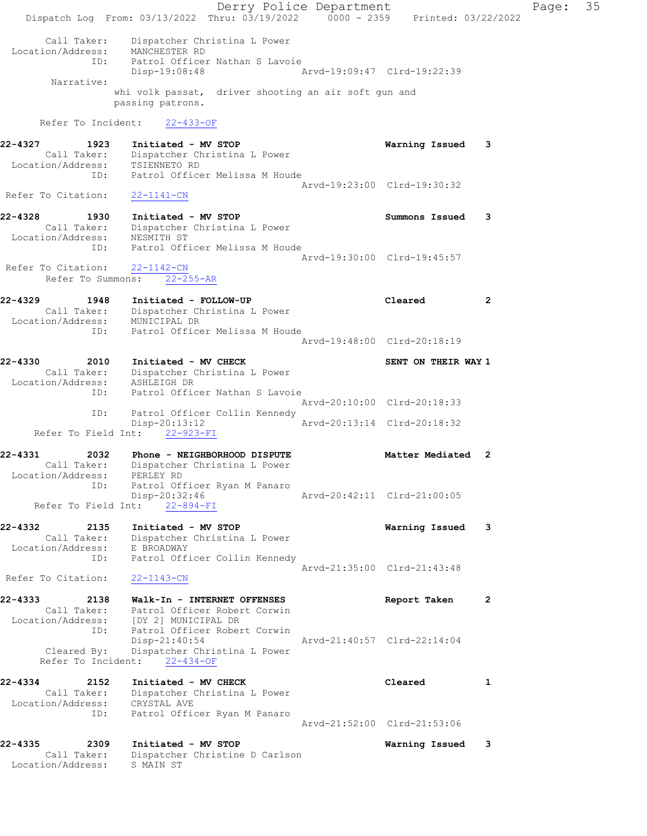Derry Police Department Fage: 35 Dispatch Log From: 03/13/2022 Thru: 03/19/2022 0000 - 2359 Printed: 03/22/2022 Call Taker: Dispatcher Christina L Power Location/Address: MANCHESTER RD ID: Patrol Officer Nathan S Lavoie Disp-19:08:48 Arvd-19:09:47 Clrd-19:22:39 Narrative: whi volk passat, driver shooting an air soft gun and passing patrons. Refer To Incident: 22-433-OF 22-4327 1923 Initiated - MV STOP Warning Issued 3 Call Taker: Dispatcher Christina L Power Location/Address: TSIENNETO RD ID: Patrol Officer Melissa M Houde Arvd-19:23:00 Clrd-19:30:32 Refer To Citation: 22-1141-CN 22-4328 1930 Initiated - MV STOP Summons Issued 3 Call Taker: Dispatcher Christina L Power Location/Address: NESMITH ST ID: Patrol Officer Melissa M Houde Arvd-19:30:00 Clrd-19:45:57 Refer To Citation: 22-1142-CN Refer To Summons: 22-255-AR 22-4329 1948 Initiated - FOLLOW-UP Cleared 2 Call Taker: Dispatcher Christina L Power Location/Address: MUNICIPAL DR ID: Patrol Officer Melissa M Houde Arvd-19:48:00 Clrd-20:18:19 22-4330 2010 Initiated - MV CHECK SENT ON THEIR WAY 1 Call Taker: Dispatcher Christina L Power Location/Address: ASHLEIGH DR ID: Patrol Officer Nathan S Lavoie Arvd-20:10:00 Clrd-20:18:33 ID: Patrol Officer Collin Kennedy<br>Disp-20:13:12 Arvd-20:13:14 Clrd-20:18:32  $Disp-20:13:12$ Refer To Field Int:  $22-923-FI$ 22-4331 2032 Phone - NEIGHBORHOOD DISPUTE NERRA Matter Mediated 2 Call Taker: Dispatcher Christina L Power Location/Address: PERLEY RD ID: Patrol Officer Ryan M Panaro Disp-20:32:46 Arvd-20:42:11 Clrd-21:00:05 Refer To Field Int: 22-894-FI 22-4332 2135 Initiated - MV STOP Warning Issued 3 Call Taker: Dispatcher Christina L Power Location/Address: E BROADWAY ID: Patrol Officer Collin Kennedy Arvd-21:35:00 Clrd-21:43:48 Refer To Citation: 22-1143-CN 22-4333 2138 Walk-In - INTERNET OFFENSES Report Taken 2 Call Taker: Patrol Officer Robert Corwin Location/Address: [DY 2] MUNICIPAL DR ID: Patrol Officer Robert Corwin Disp-21:40:54 Arvd-21:40:57 Clrd-22:14:04 Cleared By: Dispatcher Christina L Power Refer To Incident: 22-434-OF 22-4334 2152 Initiated - MV CHECK Cleared 1 Call Taker: Dispatcher Christina L Power Location/Address: CRYSTAL AVE ID: Patrol Officer Ryan M Panaro Arvd-21:52:00 Clrd-21:53:06 22-4335 2309 Initiated - MV STOP Warning Issued 3 Call Taker: Dispatcher Christine D Carlson Location/Address: S MAIN ST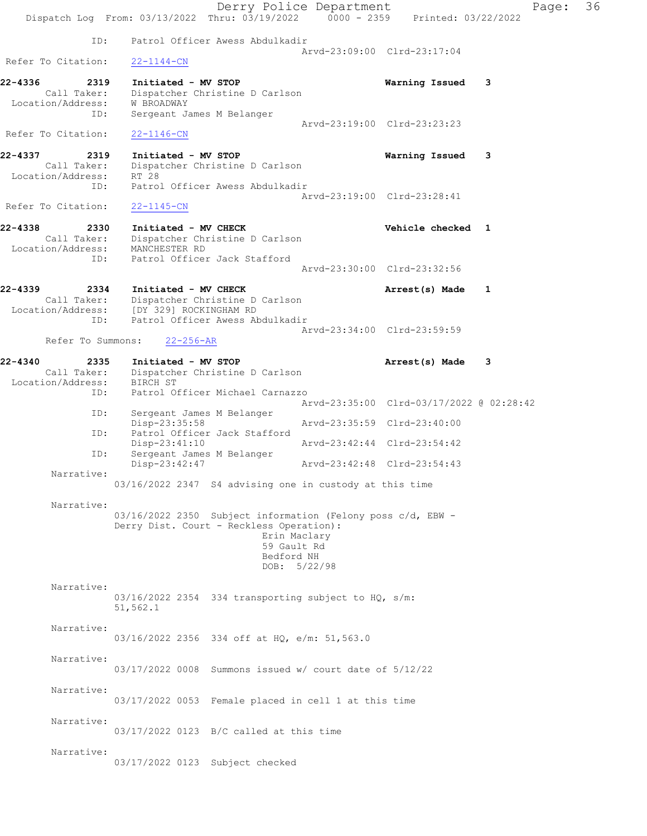Derry Police Department Page: 36 Dispatch Log From: 03/13/2022 Thru: 03/19/2022 0000 - 2359 Printed: 03/22/2022 ID: Patrol Officer Awess Abdulkadir Arvd-23:09:00 Clrd-23:17:04 Refer To Citation: 22-1144-CN 22-4336 2319 Initiated - MV STOP Warning Issued 3 Call Taker: Dispatcher Christine D Carlson Location/Address: W BROADWAY ID: Sergeant James M Belanger Arvd-23:19:00 Clrd-23:23:23 Refer To Citation: 22-1146-CN 22-4337 2319 Initiated - MV STOP Warning Issued 3 Call Taker: Dispatcher Christine D Carlson Location/Address: RT 28 ID: Patrol Officer Awess Abdulkadir Arvd-23:19:00 Clrd-23:28:41 Refer To Citation: 22-1145-CN 22-4338 2330 Initiated - MV CHECK 22-4338 Vehicle checked 1 Call Taker: Dispatcher Christine D Carlson Location/Address: MANCHESTER RD ID: Patrol Officer Jack Stafford Arvd-23:30:00 Clrd-23:32:56 22-4339 2334 Initiated - MV CHECK 22-4339 Arrest(s) Made 1 Call Taker: Dispatcher Christine D Carlson Location/Address: [DY 329] ROCKINGHAM RD ID: Patrol Officer Awess Abdulkadir Arvd-23:34:00 Clrd-23:59:59 Refer To Summons: 22-256-AR 22-4340 2335 Initiated - MV STOP Arrest(s) Made 3 Call Taker: Dispatcher Christine D Carlson Location/Address: BIRCH ST ID: Patrol Officer Michael Carnazzo Arvd-23:35:00 Clrd-03/17/2022 @ 02:28:42<br>ID: Sergeant James M Belanger Sergeant James M Belanger<br>Disp-23:35:58 Disp-23:35:58 Arvd-23:35:59 Clrd-23:40:00<br>TD: Patrol Officer Jack Stafford Patrol Officer Jack Stafford<br>Disp-23:41:10 Arvd-23:42:44 Clrd-23:54:42 ID: Sergeant James M Belanger Disp-23:42:47 Arvd-23:42:48 Clrd-23:54:43 Narrative: 03/16/2022 2347 S4 advising one in custody at this time Narrative: 03/16/2022 2350 Subject information (Felony poss c/d, EBW - Derry Dist. Court - Reckless Operation): Erin Maclary 59 Gault Rd Bedford NH DOB: 5/22/98 Narrative: 03/16/2022 2354 334 transporting subject to HQ, s/m: 51,562.1 Narrative: 03/16/2022 2356 334 off at HQ, e/m: 51,563.0 Narrative: 03/17/2022 0008 Summons issued w/ court date of 5/12/22 Narrative: 03/17/2022 0053 Female placed in cell 1 at this time Narrative: 03/17/2022 0123 B/C called at this time Narrative: 03/17/2022 0123 Subject checked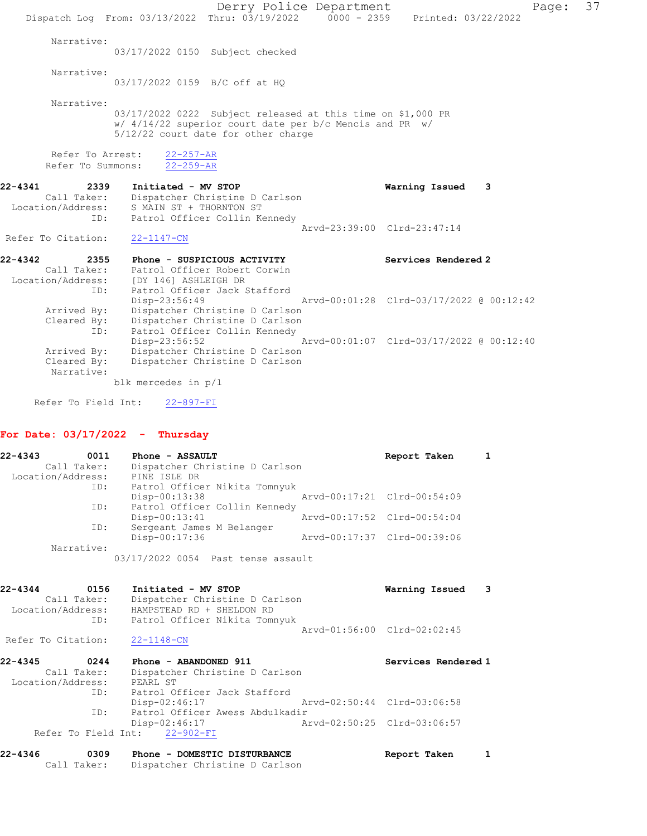Derry Police Department Page: 37 Dispatch Log From: 03/13/2022 Thru: 03/19/2022 0000 - 2359 Printed: 03/22/2022 Narrative: 03/17/2022 0150 Subject checked Narrative: 03/17/2022 0159 B/C off at HQ Narrative: 03/17/2022 0222 Subject released at this time on \$1,000 PR w/ 4/14/22 superior court date per b/c Mencis and PR w/ 5/12/22 court date for other charge Refer To Arrest:  $\frac{22-257-AR}{22-259-AR}$ Refer To Summons: 22-4341 2339 Initiated - MV STOP Warning Issued 3 Call Taker: Dispatcher Christine D Carlson Location/Address: S MAIN ST + THORNTON ST ID: Patrol Officer Collin Kennedy Arvd-23:39:00 Clrd-23:47:14 Refer To Citation: 22-1147-CN 22-4342 2355 Phone - SUSPICIOUS ACTIVITY Services Rendered 2 Call Taker: Patrol Officer Robert Corwin Location/Address: [DY 146] ASHLEIGH DR ID: Patrol Officer Jack Stafford<br>Disp-23:56:49 Disp-23:56:49 Arvd-00:01:28 Clrd-03/17/2022 @ 00:12:42 Arrived By: Dispatcher Christine D Carlson Cleared By: Dispatcher Christine D Carlson ID: Patrol Officer Collin Kennedy Disp-23:56:52 Arvd-00:01:07 Clrd-03/17/2022 @ 00:12:40<br>Arrived By: Dispatcher Christine D Carlson Arrived By: Dispatcher Christine D Carlson Cleared By: Dispatcher Christine D Carlson Narrative: blk mercedes in p/l

Refer To Field Int: 22-897-FI

## For Date: 03/17/2022 - Thursday

| $22 - 4343$<br>0011 | Phone - ASSAULT                    | Report Taken                |  |
|---------------------|------------------------------------|-----------------------------|--|
| Call Taker:         | Dispatcher Christine D Carlson     |                             |  |
| Location/Address:   | PINE ISLE DR                       |                             |  |
| ID:                 | Patrol Officer Nikita Tomnyuk      |                             |  |
|                     | $Disp-00:13:38$                    | Arvd-00:17:21 Clrd-00:54:09 |  |
| ID:                 | Patrol Officer Collin Kennedy      |                             |  |
|                     | $Disp-00:13:41$                    | Arvd-00:17:52 Clrd-00:54:04 |  |
| ID:                 | Sergeant James M Belanger          |                             |  |
|                     | Disp-00:17:36                      | Arvd-00:17:37 Clrd-00:39:06 |  |
| Narrative:          |                                    |                             |  |
|                     | 03/17/2022 0054 Past tense assault |                             |  |

| 22-4344<br>Call Taker:<br>Location/Address:     | 0156<br>ID: | Initiated - MV STOP<br>Dispatcher Christine D Carlson<br>HAMPSTEAD RD + SHELDON RD<br>Patrol Officer Nikita Tomnyuk | Warning Issued              | з |
|-------------------------------------------------|-------------|---------------------------------------------------------------------------------------------------------------------|-----------------------------|---|
| Refer To Citation:                              |             | $22 - 1148 - CN$                                                                                                    | Arvd-01:56:00 Clrd-02:02:45 |   |
|                                                 |             |                                                                                                                     |                             |   |
| $22 - 4345$<br>Call Taker:<br>Location/Address: | 0244<br>ID: | Phone - ABANDONED 911<br>Dispatcher Christine D Carlson<br>PEARL ST<br>Patrol Officer Jack Stafford                 | Services Rendered 1         |   |

Refer To Field Int: 22-902-FI

| 22-4346 | 0309        | Phone - DOMESTIC DISTURBANCE   | Report Taken |  |
|---------|-------------|--------------------------------|--------------|--|
|         | Call Taker: | Dispatcher Christine D Carlson |              |  |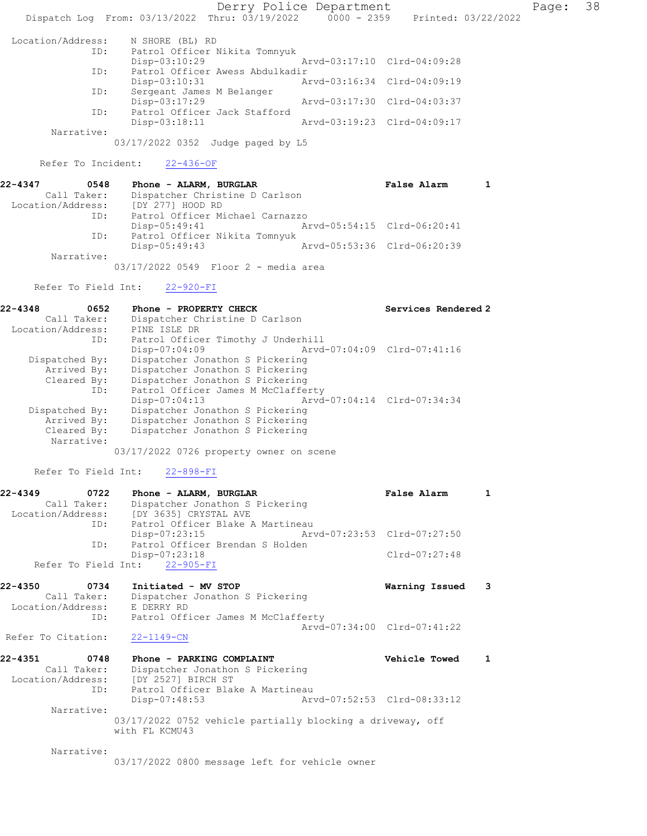Derry Police Department Fage: 38 Dispatch Log From: 03/13/2022 Thru: 03/19/2022 0000 - 2359 Printed: 03/22/2022 Location/Address: N SHORE (BL) RD<br>TD: Patrol Officer N Patrol Officer Nikita Tomnyuk<br>Disp-03:10:29 Disp-03:10:29 Arvd-03:17:10 Clrd-04:09:28 ID: Patrol Officer Awess Abdulkadir Disp-03:10:31 Arvd-03:16:34 Clrd-04:09:19 ID: Sergeant James M Belanger Disp-03:17:29 Arvd-03:17:30 Clrd-04:03:37<br>ID: Patrol Officer Jack Stafford Patrol Officer Jack Stafford<br>Disp-03:18:11 Arvd-03:19:23 Clrd-04:09:17 Narrative: 03/17/2022 0352 Judge paged by L5 Refer To Incident: 22-436-OF 22-4347 0548 Phone - ALARM, BURGLAR 1 False Alarm 1 Call Taker: Dispatcher Christine D Carlson Location/Address: [DY 277] HOOD RD ESS. ILL 2003 NOVE 1.2.<br>ID: Patrol Officer Michael Carnazzo Disp-05:49:41 Arvd-05:54:15 Clrd-06:20:41 ID: Patrol Officer Nikita Tomnyuk<br>Disp-05:49:43 Arvd-05:53:36 Clrd-06:20:39 Disp-05:49:43 Narrative: 03/17/2022 0549 Floor 2 - media area Refer To Field Int: 22-920-FI 22-4348 0652 Phone - PROPERTY CHECK Services Rendered 2 Call Taker: Dispatcher Christine D Carlson Location/Address: PINE ISLE DR ID: Patrol Officer Timothy J Underhill Disp-07:04:09 Arvd-07:04:09 Clrd-07:41:16 Dispatched By: Dispatcher Jonathon S Pickering Arrived By: Dispatcher Jonathon S Pickering Cleared By: Dispatcher Jonathon S Pickering ID: Patrol Officer James M McClafferty Disp-07:04:13 Arvd-07:04:14 Clrd-07:34:34 Dispatched By: Dispatcher Jonathon S Pickering Arrived By: Dispatcher Jonathon S Pickering Cleared By: Dispatcher Jonathon S Pickering Narrative: 03/17/2022 0726 property owner on scene Refer To Field Int: 22-898-FI 22-4349 0722 Phone - ALARM, BURGLAR False Alarm 1 Call Taker: Dispatcher Jonathon S Pickering Location/Address: [DY 3635] CRYSTAL AVE<br>ID: Patrol Officer Blake A Patrol Officer Blake A Martineau Disp-07:23:15 Arvd-07:23:53 Clrd-07:27:50<br>ID: Patrol Officer Brendan S Holden Patrol Officer Brendan S Holden Disp-07:23:18 Clrd-07:27:48 Refer To Field Int: 22-905-FI 22-4350 0734 Initiated - MV STOP Warning Issued 3 Call Taker: Dispatcher Jonathon S Pickering Location/Address: E DERRY RD ID: Patrol Officer James M McClafferty Arvd-07:34:00 Clrd-07:41:22 Refer To Citation: 22-1149-CN 22-4351 0748 Phone - PARKING COMPLAINT Vehicle Towed 1 Call Taker: Dispatcher Jonathon S Pickering

 Location/Address: [DY 2527] BIRCH ST ID: Patrol Officer Blake A Martineau Disp-07:48:53 Arvd-07:52:53 Clrd-08:33:12 Narrative: 03/17/2022 0752 vehicle partially blocking a driveway, off with FL KCMU43

Narrative:

03/17/2022 0800 message left for vehicle owner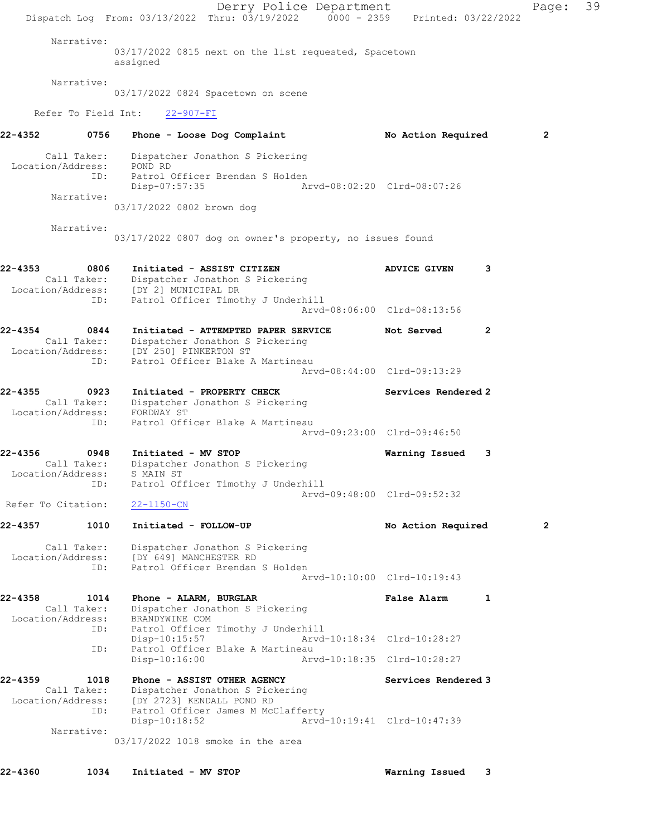Derry Police Department Page: 39 Dispatch Log From: 03/13/2022 Thru: 03/19/2022 0000 - 2359 Printed: 03/22/2022 Narrative: 03/17/2022 0815 next on the list requested, Spacetown assigned Narrative: 03/17/2022 0824 Spacetown on scene Refer To Field Int: 22-907-FI 22-4352 0756 Phone - Loose Dog Complaint No Action Required 2 Call Taker: Dispatcher Jonathon S Pickering Location/Address: POND RD ID: Patrol Officer Brendan S Holden Disp-07:57:35 Arvd-08:02:20 Clrd-08:07:26 Narrative: 03/17/2022 0802 brown dog Narrative: 03/17/2022 0807 dog on owner's property, no issues found 22-4353 0806 Initiated - ASSIST CITIZEN ADVICE GIVEN 3 Call Taker: Dispatcher Jonathon S Pickering Location/Address: [DY 2] MUNICIPAL DR ID: Patrol Officer Timothy J Underhill Arvd-08:06:00 Clrd-08:13:56 22-4354 0844 Initiated - ATTEMPTED PAPER SERVICE Not Served 2 Call Taker: Dispatcher Jonathon S Pickering Location/Address: [DY 250] PINKERTON ST ID: Patrol Officer Blake A Martineau Arvd-08:44:00 Clrd-09:13:29 22-4355 0923 Initiated - PROPERTY CHECK Services Rendered 2 Call Taker: Dispatcher Jonathon S Pickering Location/Address: FORDWAY ST ID: Patrol Officer Blake A Martineau Arvd-09:23:00 Clrd-09:46:50 22-4356 0948 Initiated - MV STOP Warning Issued 3 Call Taker: Dispatcher Jonathon S Pickering Location/Address: S MAIN ST ID: Patrol Officer Timothy J Underhill Arvd-09:48:00 Clrd-09:52:32 Refer To Citation: 22-1150-CN 22-4357 1010 Initiated - FOLLOW-UP No Action Required 2 Call Taker: Dispatcher Jonathon S Pickering Location/Address: [DY 649] MANCHESTER RD ID: Patrol Officer Brendan S Holden Arvd-10:10:00 Clrd-10:19:43 22-4358 1014 Phone - ALARM, BURGLAR 1 1 False Alarm 1 Call Taker: Dispatcher Jonathon S Pickering Location/Address: BRANDYWINE COM ID: Patrol Officer Timothy J Underhill Disp-10:15:57 Arvd-10:18:34 Clrd-10:28:27 ID: Patrol Officer Blake A Martineau<br>Disp-10:16:00 Arv Arvd-10:18:35 Clrd-10:28:27 22-4359 1018 Phone - ASSIST OTHER AGENCY Services Rendered 3 Call Taker: Dispatcher Jonathon S Pickering Location/Address: [DY 2723] KENDALL POND RD ID: Patrol Officer James M McClafferty<br>Disp-10:18:52 Arvd- Disp-10:18:52 Arvd-10:19:41 Clrd-10:47:39 Narrative: 03/17/2022 1018 smoke in the area

22-4360 1034 Initiated - MV STOP Warning Issued 3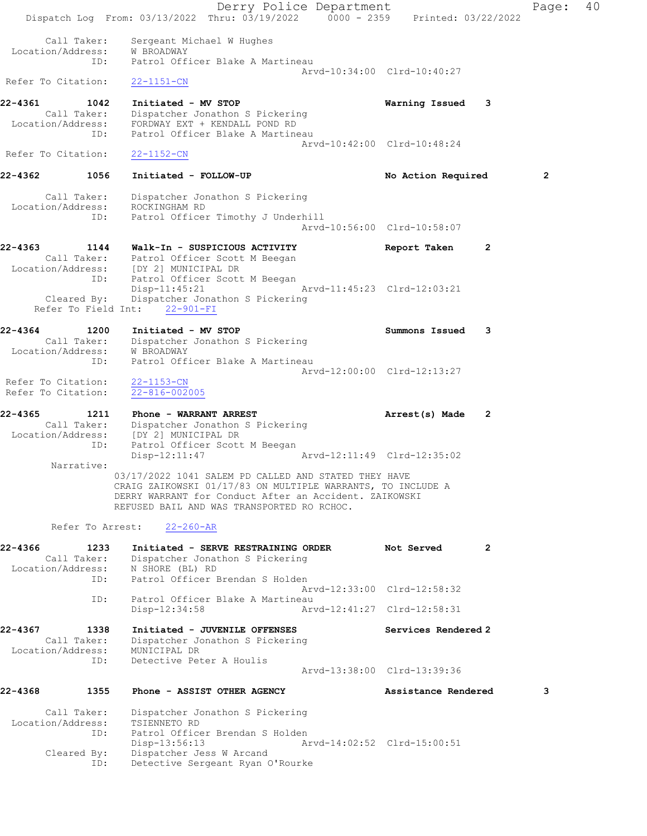Derry Police Department Fage: 40 Dispatch Log From: 03/13/2022 Thru: 03/19/2022 0000 - 2359 Printed: 03/22/2022 Call Taker: Sergeant Michael W Hughes Location/Address: W BROADWAY ID: Patrol Officer Blake A Martineau Arvd-10:34:00 Clrd-10:40:27 Refer To Citation: 22-1151-CN 22-4361 1042 Initiated - MV STOP Warning Issued 3 Call Taker: Dispatcher Jonathon S Pickering Location/Address: FORDWAY EXT + KENDALL POND RD ID: Patrol Officer Blake A Martineau Arvd-10:42:00 Clrd-10:48:24 Refer To Citation: 22-1152-CN 22-4362 1056 Initiated - FOLLOW-UP No Action Required 2 Call Taker: Dispatcher Jonathon S Pickering Location/Address: ROCKINGHAM RD ID: Patrol Officer Timothy J Underhill Arvd-10:56:00 Clrd-10:58:07 22-4363 1144 Walk-In - SUSPICIOUS ACTIVITY Report Taken 2 Call Taker: Patrol Officer Scott M Beegan Location/Address: [DY 2] MUNICIPAL DR ID: Patrol Officer Scott M Beegan Disp-11:45:21 Arvd-11:45:23 Clrd-12:03:21 Cleared By: Dispatcher Jonathon S Pickering Refer To Field Int: 22-901-FI 22-4364 1200 Initiated - MV STOP Summons Issued 3 Call Taker: Dispatcher Jonathon S Pickering Location/Address: W BROADWAY ID: Patrol Officer Blake A Martineau Arvd-12:00:00 Clrd-12:13:27 Refer To Citation: 22-1153-CN Refer To Citation: 22-816-002005 22-4365 1211 Phone - WARRANT ARREST 2 Arrest(s) Made 2 Call Taker: Dispatcher Jonathon S Pickering Location/Address: [DY 2] MUNICIPAL DR ID: Patrol Officer Scott M Beegan Disp-12:11:47 Arvd-12:11:49 Clrd-12:35:02 Narrative: 03/17/2022 1041 SALEM PD CALLED AND STATED THEY HAVE CRAIG ZAIKOWSKI 01/17/83 ON MULTIPLE WARRANTS, TO INCLUDE A DERRY WARRANT for Conduct After an Accident. ZAIKOWSKI REFUSED BAIL AND WAS TRANSPORTED RO RCHOC. Refer To Arrest: 22-260-AR 22-4366 1233 Initiated - SERVE RESTRAINING ORDER Not Served 2 Call Taker: Dispatcher Jonathon S Pickering Location/Address: N SHORE (BL) RD ID: Patrol Officer Brendan S Holden Arvd-12:33:00 Clrd-12:58:32 ID: Patrol Officer Blake A Martineau<br>Disp-12:34:58 Arv Disp-12:34:58 Arvd-12:41:27 Clrd-12:58:31 22-4367 1338 Initiated - JUVENILE OFFENSES Services Rendered 2 Call Taker: Dispatcher Jonathon S Pickering Location/Address: MUNICIPAL DR ID: Detective Peter A Houlis Arvd-13:38:00 Clrd-13:39:36 22-4368 1355 Phone - ASSIST OTHER AGENCY Assistance Rendered 3 Call Taker: Dispatcher Jonathon S Pickering Location/Address: TSIENNETO RD ID: Patrol Officer Brendan S Holden Disp-13:56:13 Arvd-14:02:52 Clrd-15:00:51 Cleared By: Dispatcher Jess W Arcand ID: Detective Sergeant Ryan O'Rourke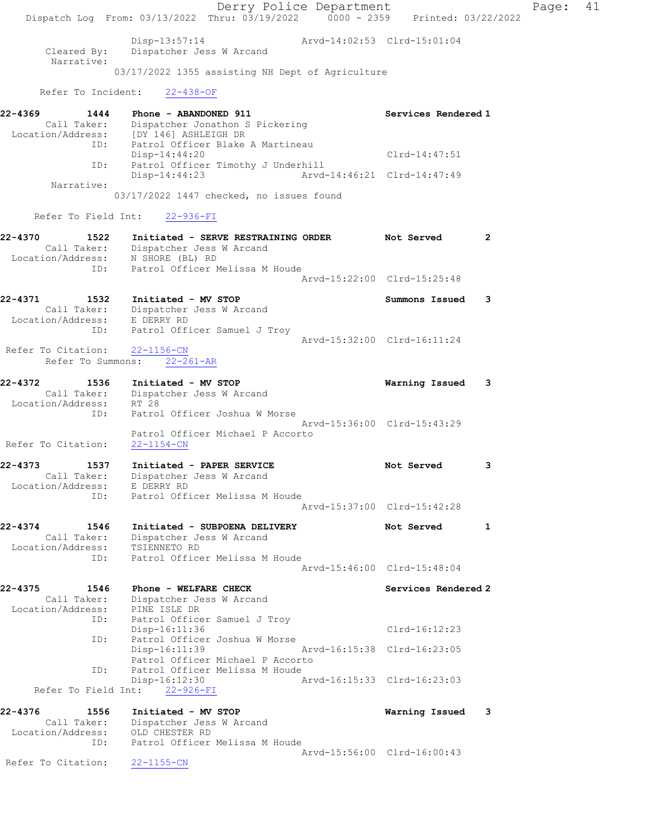Derry Police Department Fage: 41 Dispatch Log From: 03/13/2022 Thru: 03/19/2022 0000 - 2359 Printed: 03/22/2022 Disp-13:57:14 Arvd-14:02:53 Clrd-15:01:04 Cleared By: Dispatcher Jess W Arcand Narrative: 03/17/2022 1355 assisting NH Dept of Agriculture Refer To Incident: 22-438-OF 22-4369 1444 Phone - ABANDONED 911 Services Rendered 1 Call Taker: Dispatcher Jonathon S Pickering Location/Address: [DY 146] ASHLEIGH DR ID: Patrol Officer Blake A Martineau Disp-14:44:20 Clrd-14:47:51 ID: Patrol Officer Timothy J Underhill<br>Disp-14:44:23 Arvd-14:44 Disp-14:44:23 Arvd-14:46:21 Clrd-14:47:49 Narrative: 03/17/2022 1447 checked, no issues found Refer To Field Int: 22-936-FI 22-4370 1522 Initiated - SERVE RESTRAINING ORDER Not Served 2 Call Taker: Dispatcher Jess W Arcand Location/Address: N SHORE (BL) RD ID: Patrol Officer Melissa M Houde<br>Arvd-15:22:00 Clrd-15:25:48 Arvd-15:22:00 Clrd-15:25:48 22-4371 1532 Initiated - MV STOP Summons Issued 3 Call Taker: Dispatcher Jess W Arcand Location/Address: E DERRY RD ID: Patrol Officer Samuel J Troy Arvd-15:32:00 Clrd-16:11:24 Refer To Citation: 22-1156-CN Refer To Summons: 22-261-AR 22-4372 1536 Initiated - MV STOP Warning Issued 3 Call Taker: Dispatcher Jess W Arcand Location/Address: RT 28 ID: Patrol Officer Joshua W Morse Arvd-15:36:00 Clrd-15:43:29 Patrol Officer Michael P Accorto Refer To Citation: 22-1154-CN 22-4373 1537 Initiated - PAPER SERVICE 1 20 Not Served 3 Call Taker: Dispatcher Jess W Arcand Location/Address: E DERRY RD ID: Patrol Officer Melissa M Houde Arvd-15:37:00 Clrd-15:42:28 22-4374 1546 Initiated - SUBPOENA DELIVERY Not Served 1 Call Taker: Dispatcher Jess W Arcand Location/Address: TSIENNETO RD ID: Patrol Officer Melissa M Houde Arvd-15:46:00 Clrd-15:48:04 22-4375 1546 Phone - WELFARE CHECK Services Rendered 2 Call Taker: Dispatcher Jess W Arcand Location/Address: PINE ISLE DR ID: Patrol Officer Samuel J Troy Disp-16:11:36 Clrd-16:12:23 ID: Patrol Officer Joshua W Morse<br>Disp-16:11:39 Arvd-16:15:38 Clrd-16:23:05 Patrol Officer Michael P Accorto ID: Patrol Officer Melissa M Houde Disp-16:12:30 Arvd-16:15:33 Clrd-16:23:03 Refer To Field Int: 22-926-FI 22-4376 1556 Initiated - MV STOP Warning Issued 3 Call Taker: Dispatcher Jess W Arcand Location/Address: OLD CHESTER RD ID: Patrol Officer Melissa M Houde Arvd-15:56:00 Clrd-16:00:43 Refer To Citation: 22-1155-CN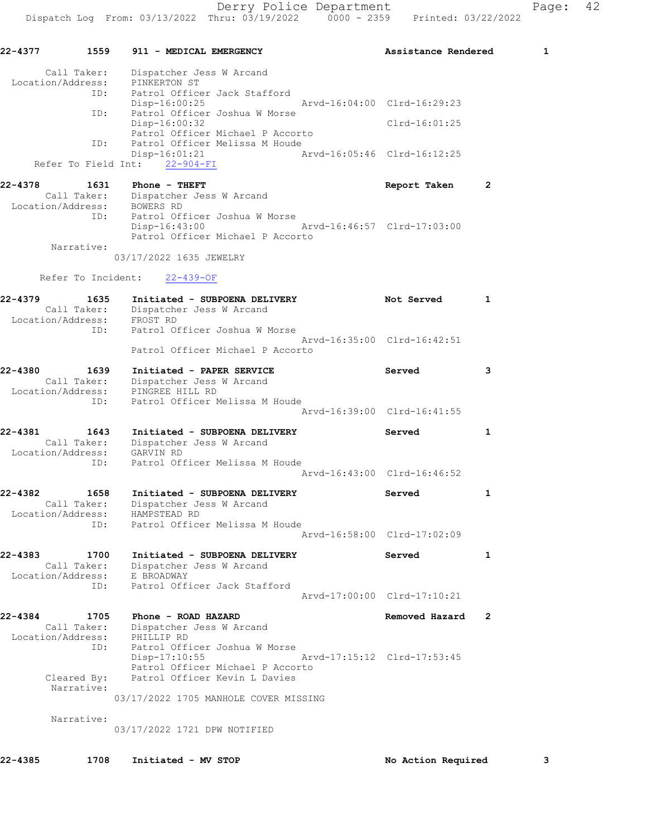| 22-4377                     |                           |            | 1559 911 - MEDICAL EMERGENCY                                                                            |                             | Assistance Rendered |   | 1 |
|-----------------------------|---------------------------|------------|---------------------------------------------------------------------------------------------------------|-----------------------------|---------------------|---|---|
|                             | Call Taker:               |            | Dispatcher Jess W Arcand                                                                                |                             |                     |   |   |
| Location/Address:<br>ID:    |                           |            | PINKERTON ST<br>Patrol Officer Jack Stafford                                                            |                             |                     |   |   |
|                             | ID:                       |            | $Disp-16:00:25$<br>Patrol Officer Joshua W Morse                                                        | Arvd-16:04:00 Clrd-16:29:23 |                     |   |   |
|                             |                           |            | Disp-16:00:32                                                                                           |                             | Clrd-16:01:25       |   |   |
|                             | ID:                       |            | Patrol Officer Michael P Accorto<br>Patrol Officer Melissa M Houde                                      |                             |                     |   |   |
|                             |                           |            | Disp-16:01:21<br>Refer To Field Int: 22-904-FI                                                          | Arvd-16:05:46 Clrd-16:12:25 |                     |   |   |
| 22-4378                     | 1631                      |            | Phone - THEFT                                                                                           |                             | Report Taken        | 2 |   |
|                             |                           |            | Call Taker: Dispatcher Jess W Arcand                                                                    |                             |                     |   |   |
| Location/Address: BOWERS RD | ID:                       |            | Patrol Officer Joshua W Morse                                                                           |                             |                     |   |   |
|                             |                           |            | $Disp-16:43:00$                                                                                         | Arvd-16:46:57 Clrd-17:03:00 |                     |   |   |
|                             | Narrative:                |            | Patrol Officer Michael P Accorto                                                                        |                             |                     |   |   |
|                             |                           |            | 03/17/2022 1635 JEWELRY                                                                                 |                             |                     |   |   |
|                             |                           |            | Refer To Incident: 22-439-OF                                                                            |                             |                     |   |   |
| 22-4379                     |                           |            | 1635 Initiated - SUBPOENA DEL:<br>Call Taker: Dispatcher Jess W Arcand<br>Initiated - SUBPOENA DELIVERY |                             | Not Served          | 1 |   |
| Location/Address: FROST RD  |                           |            |                                                                                                         |                             |                     |   |   |
|                             | ID:                       |            | Patrol Officer Joshua W Morse                                                                           |                             |                     |   |   |
|                             |                           |            | Patrol Officer Michael P Accorto                                                                        | Aryd-16:35:00 Clrd-16:42:51 |                     |   |   |
| 22-4380                     | 1639                      |            | Initiated - PAPER SERVICE                                                                               |                             | Served              | 3 |   |
|                             |                           |            | Call Taker: Dispatcher Jess W Arcand                                                                    |                             |                     |   |   |
| Location/Address:           | ID:                       |            | PINGREE HILL RD<br>Patrol Officer Melissa M Houde                                                       |                             |                     |   |   |
|                             |                           |            |                                                                                                         | Arvd-16:39:00 Clrd-16:41:55 |                     |   |   |
| 22-4381                     | 1643                      |            | Initiated - SUBPOENA DELIVERY                                                                           |                             | Served              | 1 |   |
| Location/Address:           | Call Taker:               | GARVIN RD  | Dispatcher Jess W Arcand                                                                                |                             |                     |   |   |
|                             | ID:                       |            | Patrol Officer Melissa M Houde                                                                          |                             |                     |   |   |
|                             |                           |            |                                                                                                         | Arvd-16:43:00 Clrd-16:46:52 |                     |   |   |
| 22-4382                     | 1658                      |            | Initiated - SUBPOENA DELIVERY                                                                           |                             | Served              | 1 |   |
|                             | Call Taker:               |            | Dispatcher Jess W Arcand                                                                                |                             |                     |   |   |
| Location/Address:           | ID:                       |            | HAMPSTEAD RD<br>Patrol Officer Melissa M Houde                                                          |                             |                     |   |   |
|                             |                           |            |                                                                                                         | Arvd-16:58:00 Clrd-17:02:09 |                     |   |   |
| 22-4383                     | 1700                      |            | Initiated - SUBPOENA DELIVERY                                                                           |                             | Served              | 1 |   |
| Location/Address:           | Call Taker:               | E BROADWAY | Dispatcher Jess W Arcand                                                                                |                             |                     |   |   |
|                             | ID:                       |            | Patrol Officer Jack Stafford                                                                            |                             |                     |   |   |
|                             |                           |            |                                                                                                         | Arvd-17:00:00 Clrd-17:10:21 |                     |   |   |
| 22-4384                     | 1705<br>Call Taker:       |            | Phone - ROAD HAZARD<br>Dispatcher Jess W Arcand                                                         |                             | Removed Hazard      | 2 |   |
| Location/Address:           |                           | PHILLIP RD |                                                                                                         |                             |                     |   |   |
|                             | ID:                       |            | Patrol Officer Joshua W Morse                                                                           |                             |                     |   |   |
|                             |                           |            | Disp-17:10:55<br>Patrol Officer Michael P Accorto                                                       |                             |                     |   |   |
|                             | Cleared By:<br>Narrative: |            | Patrol Officer Kevin L Davies                                                                           |                             |                     |   |   |
|                             |                           |            | 03/17/2022 1705 MANHOLE COVER MISSING                                                                   |                             |                     |   |   |
|                             | Narrative:                |            |                                                                                                         |                             |                     |   |   |
|                             |                           |            | 03/17/2022 1721 DPW NOTIFIED                                                                            |                             |                     |   |   |
|                             |                           |            |                                                                                                         |                             |                     |   |   |

22-4385 1708 Initiated - MV STOP 120 100 No Action Required 3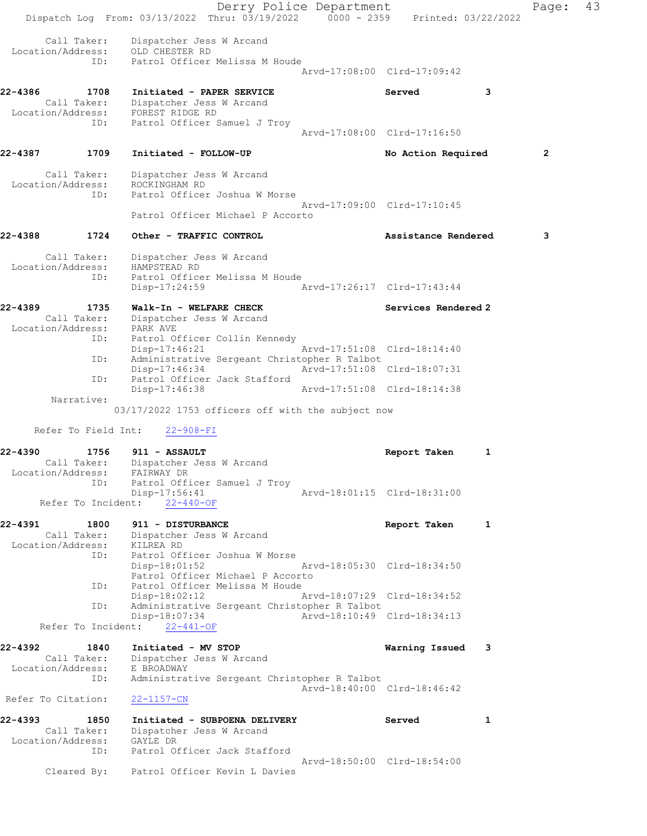Derry Police Department Fage: 43 Dispatch Log From: 03/13/2022 Thru: 03/19/2022 0000 - 2359 Printed: 03/22/2022 Call Taker: Dispatcher Jess W Arcand Location/Address: OLD CHESTER RD ID: Patrol Officer Melissa M Houde Arvd-17:08:00 Clrd-17:09:42 22-4386 1708 Initiated - PAPER SERVICE Served 3 Call Taker: Dispatcher Jess W Arcand Location/Address: FOREST RIDGE RD ID: Patrol Officer Samuel J Troy Arvd-17:08:00 Clrd-17:16:50 22-4387 1709 Initiated - FOLLOW-UP No Action Required 2 Call Taker: Dispatcher Jess W Arcand Location/Address: ROCKINGHAM RD ID: Patrol Officer Joshua W Morse Arvd-17:09:00 Clrd-17:10:45 Patrol Officer Michael P Accorto 22-4388 1724 Other - TRAFFIC CONTROL Assistance Rendered 3 Call Taker: Dispatcher Jess W Arcand Location/Address: HAMPSTEAD RD ID: Patrol Officer Melissa M Houde Disp-17:24:59 Arvd-17:26:17 Clrd-17:43:44 22-4389 1735 Walk-In - WELFARE CHECK Services Rendered 2 Call Taker: Dispatcher Jess W Arcand Location/Address: PARK AVE ID: Patrol Officer Collin Kennedy Disp-17:46:21 Arvd-17:51:08 Clrd-18:14:40 ID: Administrative Sergeant Christopher R Talbot Disp-17:46:34 Arvd-17:51:08 Clrd-18:07:31<br>ID: Patrol Officer Jack Stafford Patrol Officer Jack Stafford Disp-17:46:38 Arvd-17:51:08 Clrd-18:14:38 Narrative: 03/17/2022 1753 officers off with the subject now Refer To Field Int: 22-908-FI 22-4390 1756 911 - ASSAULT Report Taken 1 Call Taker: Dispatcher Jess W Arcand Location/Address: FAIRWAY DR ID: Patrol Officer Samuel J Troy Disp-17:56:41 Arvd-18:01:15 Clrd-18:31:00 Refer To Incident: 22-440-OF 22-4391 1800 911 - DISTURBANCE 1 1 Call Taker: Dispatcher Jess W Arcand Location/Address: KILREA RD ID: Patrol Officer Joshua W Morse Disp-18:01:52 Arvd-18:05:30 Clrd-18:34:50 Patrol Officer Michael P Accorto<br>ID: Patrol Officer Melissa M Houde Patrol Officer Melissa M Houde Disp-18:02:12 Arvd-18:07:29 Clrd-18:34:52 ID: Administrative Sergeant Christopher R Talbot Arvd-18:10:49 Clrd-18:34:13 Refer To Incident: 22-441-OF 22-4392 1840 Initiated - MV STOP Warning Issued 3 Call Taker: Dispatcher Jess W Arcand Location/Address: E BROADWAY ID: Administrative Sergeant Christopher R Talbot Arvd-18:40:00 Clrd-18:46:42 Refer To Citation: 22-1157-CN 22-4393 1850 Initiated - SUBPOENA DELIVERY Served 1 Call Taker: Dispatcher Jess W Arcand Location/Address: GAYLE DR ID: Patrol Officer Jack Stafford Arvd-18:50:00 Clrd-18:54:00 Cleared By: Patrol Officer Kevin L Davies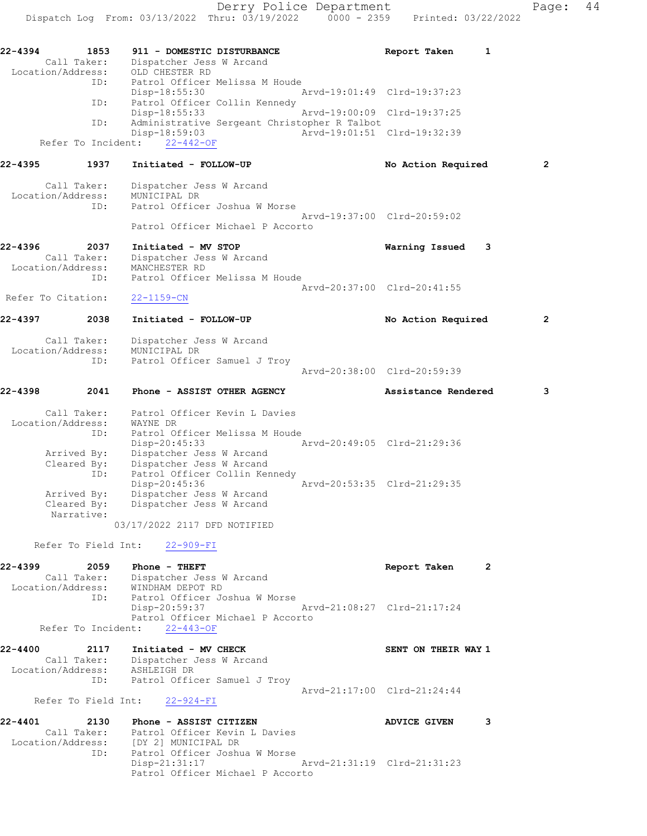Dispatch Log From: 03/13/2022 Thru: 03/19/2022 0000 - 2359 Printed: 03/22/2022 22-4394 1853 911 - DOMESTIC DISTURBANCE Report Taken 1 Call Taker: Dispatcher Jess W Arcand Location/Address: OLD CHESTER RD ID: Patrol Officer Melissa M Houde Disp-18:55:30 Arvd-19:01:49 Clrd-19:37:23 ID: Patrol Officer Collin Kennedy<br>Disp-18:55:33 Arvd-19:00:09 Clrd-19:37:25 Disp-18:55:33 ID: Administrative Sergeant Christopher R Talbot Disp-18:59:03 Arvd-19:01:51 Clrd-19:32:39 Refer To Incident: 22-442-OF 22-4395 1937 Initiated - FOLLOW-UP No Action Required 2 Call Taker: Dispatcher Jess W Arcand Location/Address: MUNICIPAL DR ID: Patrol Officer Joshua W Morse Arvd-19:37:00 Clrd-20:59:02 Patrol Officer Michael P Accorto 22-4396 2037 Initiated - MV STOP Warning Issued 3 Call Taker: Dispatcher Jess W Arcand Location/Address: MANCHESTER RD ID: Patrol Officer Melissa M Houde Arvd-20:37:00 Clrd-20:41:55 Refer To Citation: 22-1159-CN 22-4397 2038 Initiated - FOLLOW-UP **No Action Required** 2 Call Taker: Dispatcher Jess W Arcand Location/Address: MUNICIPAL DR ID: Patrol Officer Samuel J Troy Arvd-20:38:00 Clrd-20:59:39 22-4398 2041 Phone - ASSIST OTHER AGENCY Assistance Rendered 3 Call Taker: Patrol Officer Kevin L Davies Location/Address: WAYNE DR ID: Patrol Officer Melissa M Houde Disp-20:45:33 Arvd-20:49:05 Clrd-21:29:36 Arrived By: Dispatcher Jess W Arcand Cleared By: Dispatcher Jess W Arcand ID: Patrol Officer Collin Kennedy Disp-20:45:36 Arvd-20:53:35 Clrd-21:29:35 Arrived By: Dispatcher Jess W Arcand Cleared By: Dispatcher Jess W Arcand Narrative: 03/17/2022 2117 DFD NOTIFIED Refer To Field Int: 22-909-FI 22-4399 2059 Phone - THEFT Report Taken 2 Call Taker: Dispatcher Jess W Arcand Location/Address: WINDHAM DEPOT RD ID: Patrol Officer Joshua W Morse Disp-20:59:37 Arvd-21:08:27 Clrd-21:17:24 Patrol Officer Michael P Accorto Refer To Incident: 22-443-OF 22-4400 2117 Initiated - MV CHECK SENT ON THEIR WAY 1 Call Taker: Dispatcher Jess W Arcand Location/Address: ASHLEIGH DR ID: Patrol Officer Samuel J Troy Arvd-21:17:00 Clrd-21:24:44 Refer To Field Int: 22-924-FI 22-4401 2130 Phone - ASSIST CITIZEN 22-4401 ADVICE GIVEN 3 Call Taker: Patrol Officer Kevin L Davies Location/Address: [DY 2] MUNICIPAL DR ID: Patrol Officer Joshua W Morse

 Disp-21:31:17 Arvd-21:31:19 Clrd-21:31:23 Patrol Officer Michael P Accorto

Derry Police Department Fage: 44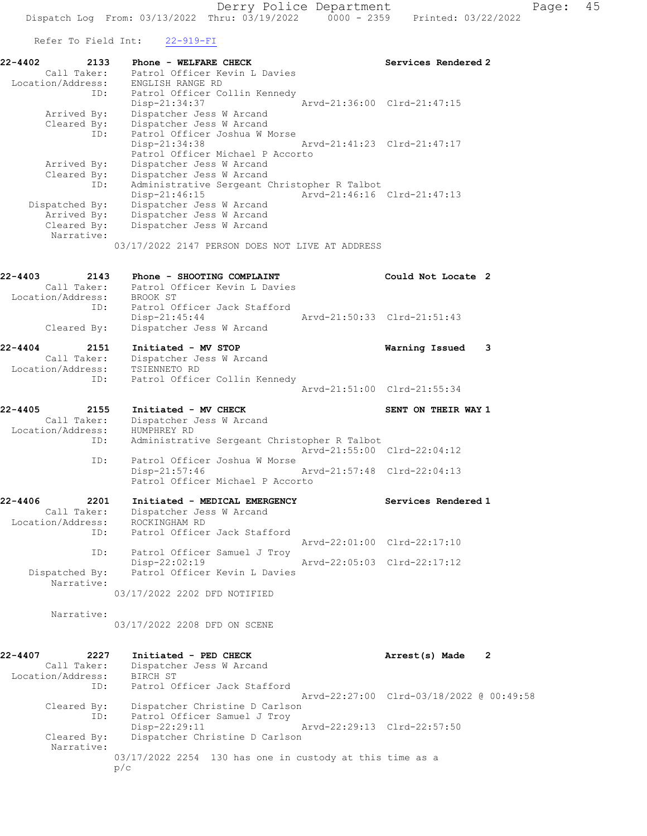Refer To Field Int: 22-919-FI

| 22-4402<br>2133            | Phone - WELFARE CHECK                           |                             | Services Rendered 2         |
|----------------------------|-------------------------------------------------|-----------------------------|-----------------------------|
| Call Taker:                | Patrol Officer Kevin L Davies                   |                             |                             |
|                            | Location/Address: ENGLISH RANGE RD              |                             |                             |
| ID:                        | Patrol Officer Collin Kennedy                   |                             |                             |
|                            | Disp-21:34:37                                   | Arvd-21:36:00 Clrd-21:47:15 |                             |
|                            | Arrived By: Dispatcher Jess W Arcand            |                             |                             |
|                            | Cleared By: Dispatcher Jess W Arcand            |                             |                             |
| ID:                        | Patrol Officer Joshua W Morse                   |                             |                             |
|                            | Disp-21:34:38                                   |                             | Aryd-21:41:23 Clrd-21:47:17 |
|                            | Patrol Officer Michael P Accorto                |                             |                             |
| Arrived By:                | Dispatcher Jess W Arcand                        |                             |                             |
|                            | Cleared By: Dispatcher Jess W Arcand            |                             |                             |
| ID:                        | Administrative Sergeant Christopher R Talbot    |                             |                             |
|                            | $Disp-21:46:15$                                 | Arvd-21:46:16 Clrd-21:47:13 |                             |
| Dispatched By:             | Dispatcher Jess W Arcand                        |                             |                             |
|                            | Arrived By: Dispatcher Jess W Arcand            |                             |                             |
|                            | Cleared By: Dispatcher Jess W Arcand            |                             |                             |
| Narrative:                 |                                                 |                             |                             |
|                            | 03/17/2022 2147 PERSON DOES NOT LIVE AT ADDRESS |                             |                             |
|                            |                                                 |                             |                             |
|                            |                                                 |                             |                             |
| $22 - 4403$<br>2143        | Phone - SHOOTING COMPLAINT                      |                             | Could Not Locate 2          |
| Call Taker:                | Patrol Officer Kevin L Davies                   |                             |                             |
| Location/Address: BROOK ST |                                                 |                             |                             |
| ID:                        | Patrol Officer Jack Stafford                    |                             |                             |
|                            | $Disp-21:45:44$                                 |                             | Arvd-21:50:33 Clrd-21:51:43 |
| Cleared By:                | Dispatcher Jess W Arcand                        |                             |                             |

## 22-4404 2151 Initiated - MV STOP Warning Issued 3

| --- -- | _____             | -----------                   |  |
|--------|-------------------|-------------------------------|--|
|        | Call Taker:       | Dispatcher Jess W Arcand      |  |
|        | Location/Address: | TSIENNETO RD                  |  |
|        | ID:               | Patrol Officer Collin Kennedy |  |
|        |                   | Arvd-21:51:00 Clrd-21:55:34   |  |
|        |                   |                               |  |

## 22-4405 2155 Initiated - MV CHECK SENT ON THEIR WAY 1

 Call Taker: Dispatcher Jess W Arcand Location/Address: HUMPHREY RD ID: Administrative Sergeant Christopher R Talbot Arvd-21:55:00 Clrd-22:04:12 ID: Patrol Officer Joshua W Morse Disp-21:57:46 Arvd-21:57:48 Clrd-22:04:13 Patrol Officer Michael P Accorto

#### 22-4406 2201 Initiated - MEDICAL EMERGENCY Services Rendered 1 Call Taker: Dispatcher Jess W Arcand Location/Address: ROCKINGHAM RD ID: Patrol Officer Jack Stafford Arvd-22:01:00 Clrd-22:17:10 ID: Patrol Officer Samuel J Troy Disp-22:02:19 Arvd-22:05:03 Clrd-22:17:12 Dispatched By: Patrol Officer Kevin L Davies Narrative:

03/17/2022 2202 DFD NOTIFIED

Narrative:

03/17/2022 2208 DFD ON SCENE

| $22 - 4407$       | 2227        | Initiated - PED CHECK                                      | Arrest(s) Made                           | $\overline{2}$ |
|-------------------|-------------|------------------------------------------------------------|------------------------------------------|----------------|
|                   | Call Taker: | Dispatcher Jess W Arcand                                   |                                          |                |
| Location/Address: |             | BIRCH ST                                                   |                                          |                |
|                   | ID:         | Patrol Officer Jack Stafford                               |                                          |                |
|                   |             |                                                            | Arvd-22:27:00 Clrd-03/18/2022 @ 00:49:58 |                |
|                   | Cleared By: | Dispatcher Christine D Carlson                             |                                          |                |
|                   | ID:         | Patrol Officer Samuel J Troy                               |                                          |                |
|                   |             | Disp-22:29:11                                              | Arvd-22:29:13 Clrd-22:57:50              |                |
|                   | Cleared By: | Dispatcher Christine D Carlson                             |                                          |                |
|                   | Narrative:  |                                                            |                                          |                |
|                   |             | $03/17/2022$ 2254 130 has one in custody at this time as a |                                          |                |
|                   |             | p/c                                                        |                                          |                |
|                   |             |                                                            |                                          |                |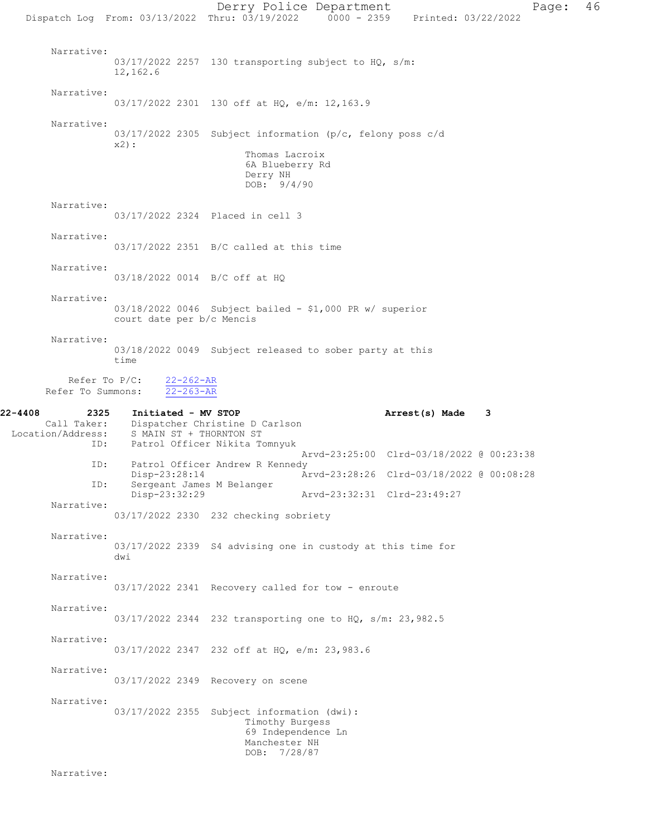Derry Police Department Fage: 46 Dispatch Log From: 03/13/2022 Thru: 03/19/2022 0000 - 2359 Printed: 03/22/2022 Narrative: 03/17/2022 2257 130 transporting subject to HQ, s/m: 12,162.6 Narrative: 03/17/2022 2301 130 off at HQ, e/m: 12,163.9 Narrative: 03/17/2022 2305 Subject information (p/c, felony poss c/d x2): Thomas Lacroix 6A Blueberry Rd Derry NH DOB: 9/4/90 Narrative: 03/17/2022 2324 Placed in cell 3 Narrative: 03/17/2022 2351 B/C called at this time Narrative: 03/18/2022 0014 B/C off at HQ Narrative: 03/18/2022 0046 Subject bailed - \$1,000 PR w/ superior court date per b/c Mencis Narrative: 03/18/2022 0049 Subject released to sober party at this time Refer To  $P/C:$   $\frac{22-262-AR}{22-263-AR}$ Refer To Summons: 22-4408 2325 Initiated - MV STOP **Arrest(s) Made** 3<br>Call Taker: Dispatcher Christine D Carlson Call Taker: Dispatcher Christine D Carlson<br>Location/Address: S MAIN ST + THORNTON ST ess: S MAIN ST + THORNTON ST<br>ID: Patrol Officer Nikita T Patrol Officer Nikita Tomnyuk Arvd-23:25:00 Clrd-03/18/2022 @ 00:23:38<br>TD: Patrol Officer Andrew R Kennedy Patrol Officer Andrew R Kennedy<br>Disp-23:28:14 A Disp-23:28:14 Arvd-23:28:26 Clrd-03/18/2022 @ 00:08:28<br>ID: Sergeant James M Belanger Sergeant James M Belanger<br>Disp-23:32:29 Disp-23:32:29 Arvd-23:32:31 Clrd-23:49:27 Narrative: 03/17/2022 2330 232 checking sobriety Narrative: 03/17/2022 2339 S4 advising one in custody at this time for dwi Narrative: 03/17/2022 2341 Recovery called for tow - enroute Narrative: 03/17/2022 2344 232 transporting one to HQ, s/m: 23,982.5 Narrative: 03/17/2022 2347 232 off at HQ, e/m: 23,983.6 Narrative: 03/17/2022 2349 Recovery on scene Narrative: 03/17/2022 2355 Subject information (dwi): Timothy Burgess 69 Independence Ln Manchester NH DOB: 7/28/87

Narrative: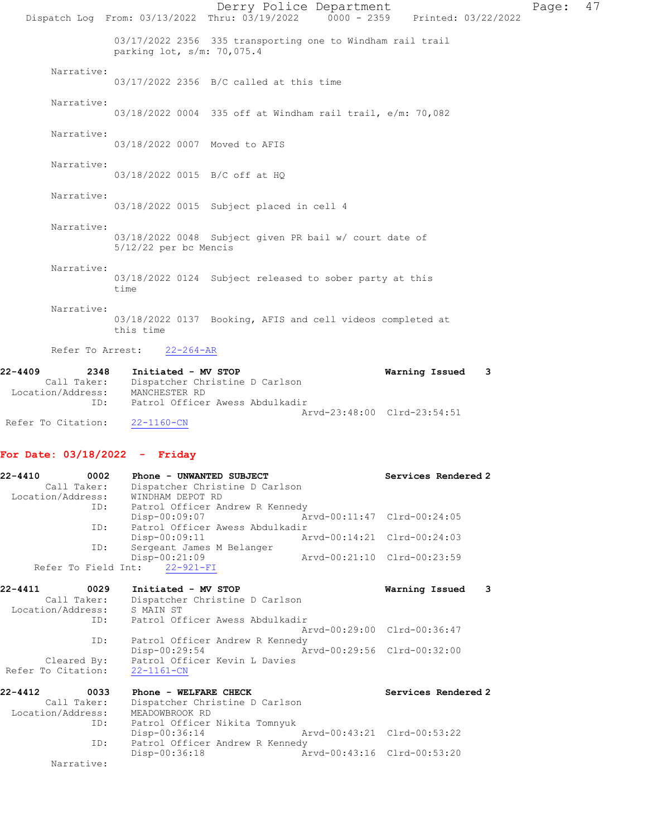|                                                            |                                                   | Derry Police Department<br>Dispatch Log From: 03/13/2022 Thru: 03/19/2022 0000 - 2359 Printed: 03/22/2022 |                             |                     | Page: | 47 |
|------------------------------------------------------------|---------------------------------------------------|-----------------------------------------------------------------------------------------------------------|-----------------------------|---------------------|-------|----|
|                                                            | parking lot, s/m: 70,075.4                        | 03/17/2022 2356 335 transporting one to Windham rail trail                                                |                             |                     |       |    |
| Narrative:                                                 |                                                   | 03/17/2022 2356 B/C called at this time                                                                   |                             |                     |       |    |
| Narrative:                                                 |                                                   | 03/18/2022 0004 335 off at Windham rail trail, e/m: 70,082                                                |                             |                     |       |    |
| Narrative:                                                 | 03/18/2022 0007 Moved to AFIS                     |                                                                                                           |                             |                     |       |    |
| Narrative:                                                 | 03/18/2022 0015 B/C off at HQ                     |                                                                                                           |                             |                     |       |    |
| Narrative:                                                 |                                                   | 03/18/2022 0015 Subject placed in cell 4                                                                  |                             |                     |       |    |
| Narrative:                                                 | $5/12/22$ per bc Mencis                           | 03/18/2022 0048 Subject given PR bail w/ court date of                                                    |                             |                     |       |    |
| Narrative:                                                 | time                                              | 03/18/2022 0124 Subject released to sober party at this                                                   |                             |                     |       |    |
| Narrative:                                                 | this time                                         | 03/18/2022 0137 Booking, AFIS and cell videos completed at                                                |                             |                     |       |    |
| Refer To Arrest:                                           | $22 - 264 - AR$                                   |                                                                                                           |                             |                     |       |    |
| 22-4409<br>2348<br>Location/Address:<br>ID:                | Initiated - MV STOP<br>MANCHESTER RD              | Call Taker: Dispatcher Christine D Carlson<br>Patrol Officer Awess Abdulkadir                             |                             | Warning Issued<br>3 |       |    |
| Refer To Citation:                                         | 22-1160-CN                                        |                                                                                                           | Arvd-23:48:00 Clrd-23:54:51 |                     |       |    |
| For Date: $03/18/2022 -$ Friday                            |                                                   |                                                                                                           |                             |                     |       |    |
| 22-4410<br>Call Taker:<br>Location/Address:                | 0002 Phone - UNWANTED SUBJECT<br>WINDHAM DEPOT RD | Dispatcher Christine D Carlson                                                                            |                             | Services Rendered 2 |       |    |
| ID:<br>ID:                                                 | Disp-00:09:07                                     | Patrol Officer Andrew R Kennedy<br>Patrol Officer Awess Abdulkadir                                        | Arvd-00:11:47 Clrd-00:24:05 |                     |       |    |
| ID:                                                        | Disp-00:09:11                                     | Sergeant James M Belanger                                                                                 | Arvd-00:14:21 Clrd-00:24:03 |                     |       |    |
|                                                            | Disp-00:21:09<br>Refer To Field Int: 22-921-FI    |                                                                                                           | Arvd-00:21:10 Clrd-00:23:59 |                     |       |    |
| 22-4411<br>0029<br>Call Taker:<br>Location/Address:<br>ID: | Initiated - MV STOP<br>S MAIN ST                  | Dispatcher Christine D Carlson<br>Patrol Officer Awess Abdulkadir                                         |                             | Warning Issued<br>3 |       |    |
| ID:                                                        |                                                   | Patrol Officer Andrew R Kennedy                                                                           | Arvd-00:29:00 Clrd-00:36:47 |                     |       |    |
| Cleared By:<br>Refer To Citation:                          | Disp-00:29:54<br>$22 - 1161 - CN$                 | Patrol Officer Kevin L Davies                                                                             | Arvd-00:29:56 Clrd-00:32:00 |                     |       |    |
| 22-4412<br>0033<br>Call Taker:<br>Location/Address:        | Phone - WELFARE CHECK<br>MEADOWBROOK RD           | Dispatcher Christine D Carlson                                                                            |                             | Services Rendered 2 |       |    |
| ID:<br>ID:                                                 | Disp-00:36:14                                     | Patrol Officer Nikita Tomnyuk<br>Patrol Officer Andrew R Kennedy                                          | Arvd-00:43:21 Clrd-00:53:22 |                     |       |    |
| Narrative:                                                 | Disp-00:36:18                                     |                                                                                                           | Arvd-00:43:16 Clrd-00:53:20 |                     |       |    |
|                                                            |                                                   |                                                                                                           |                             |                     |       |    |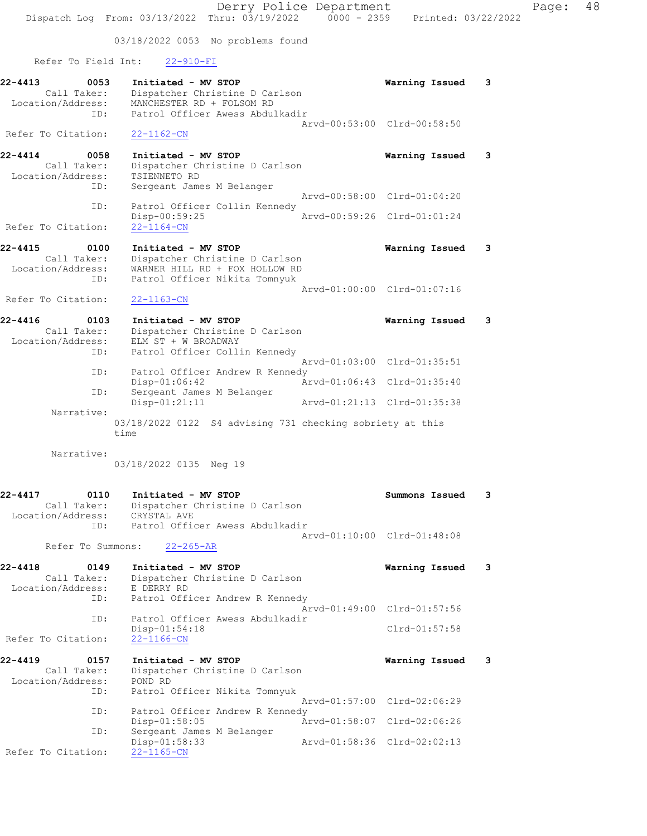Derry Police Department Page: 48 Dispatch Log From: 03/13/2022 Thru: 03/19/2022 0000 - 2359 Printed: 03/22/2022 03/18/2022 0053 No problems found Refer To Field Int: 22-910-FI 22-4413 0053 Initiated - MV STOP Warning Issued 3 Call Taker: Dispatcher Christine D Carlson Location/Address: MANCHESTER RD + FOLSOM RD ID: Patrol Officer Awess Abdulkadir Arvd-00:53:00 Clrd-00:58:50 Refer To Citation: 22-1162-CN 22-4414 0058 Initiated - MV STOP Warning Issued 3 Call Taker: Dispatcher Christine D Carlson Location/Address: TSIENNETO RD ID: Sergeant James M Belanger Arvd-00:58:00 Clrd-01:04:20 ID: Patrol Officer Collin Kennedy<br>Disp-00:59:25 Disp-00:59:25 Arvd-00:59:26 Clrd-01:01:24 Refer To Citation: 22-1164-CN 22-4415 0100 Initiated - MV STOP Warning Issued 3 Call Taker: Dispatcher Christine D Carlson Location/Address: WARNER HILL RD + FOX HOLLOW RD ID: Patrol Officer Nikita Tomnyuk Arvd-01:00:00 Clrd-01:07:16<br>22-1163-CN Refer To Citation: 22-4416 0103 Initiated - MV STOP Warning Issued 3 Call Taker: Dispatcher Christine D Carlson Location/Address: ELM ST + W BROADWAY ID: Patrol Officer Collin Kennedy Arvd-01:03:00 Clrd-01:35:51 ID: Patrol Officer Andrew R Kennedy Disp-01:06:42 Arvd-01:06:43 Clrd-01:35:40 ID: Sergeant James M Belanger Disp-01:21:11 Arvd-01:21:13 Clrd-01:35:38 Narrative: 03/18/2022 0122 S4 advising 731 checking sobriety at this time Narrative: 03/18/2022 0135 Neg 19 22-4417 0110 Initiated - MV STOP Summons Issued 3 Call Taker: Dispatcher Christine D Carlson Location/Address: CRYSTAL AVE ID: Patrol Officer Awess Abdulkadir Arvd-01:10:00 Clrd-01:48:08 Refer To Summons: 22-265-AR 22-4418 0149 Initiated - MV STOP Warning Issued 3 Call Taker: Dispatcher Christine D Carlson Location/Address: E DERRY RD ID: Patrol Officer Andrew R Kennedy Arvd-01:49:00 Clrd-01:57:56 ID: Patrol Officer Awess Abdulkadir Disp-01:54:18 Clrd-01:57:58 Refer To Citation: 22-1166-CN 22-4419 0157 Initiated - MV STOP Warning Issued 3 Call Taker: Dispatcher Christine D Carlson Location/Address: POND RD ID: Patrol Officer Nikita Tomnyuk Arvd-01:57:00 Clrd-02:06:29 ID: Patrol Officer Andrew R Kennedy<br>Disp-01:58:05 An Disp-01:58:05 Arvd-01:58:07 Clrd-02:06:26 ID: Sergeant James M Belanger Disp-01:58:33 Arvd-01:58:36 Clrd-02:02:13 Disp-01:58:33<br>Refer To Citation: 22-1165-CN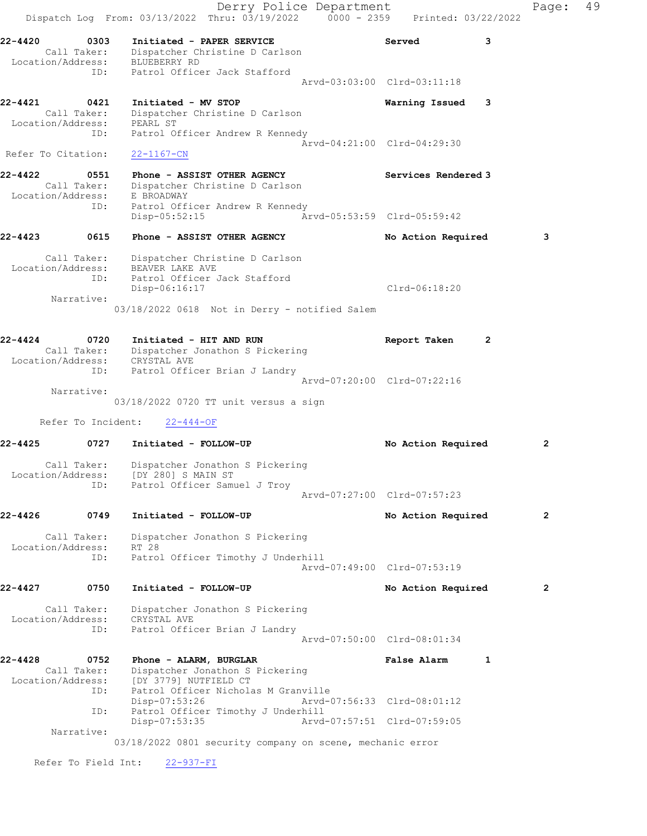Derry Police Department Controller Page: 49 Dispatch Log From: 03/13/2022 Thru: 03/19/2022 0000 - 2359 Printed: 03/22/2022 22-4420 0303 Initiated - PAPER SERVICE Served 3 Call Taker: Dispatcher Christine D Carlson Location/Address: BLUEBERRY RD ID: Patrol Officer Jack Stafford Arvd-03:03:00 Clrd-03:11:18 22-4421 0421 Initiated - MV STOP Warning Issued 3 Call Taker: Dispatcher Christine D Carlson Location/Address: PEARL ST ID: Patrol Officer Andrew R Kennedy Arvd-04:21:00 Clrd-04:29:30 Refer To Citation: 22-1167-CN 22-4422 0551 Phone - ASSIST OTHER AGENCY Services Rendered 3 Call Taker: Dispatcher Christine D Carlson Location/Address: E BROADWAY ID: Patrol Officer Andrew R Kennedy Disp-05:52:15 Arvd-05:53:59 Clrd-05:59:42 22-4423 0615 Phone - ASSIST OTHER AGENCY No Action Required 3 Call Taker: Dispatcher Christine D Carlson Location/Address: BEAVER LAKE AVE ID: Patrol Officer Jack Stafford Disp-06:16:17 Clrd-06:18:20 Narrative: 03/18/2022 0618 Not in Derry - notified Salem 22-4424 0720 Initiated - HIT AND RUN Report Taken 2 Call Taker: Dispatcher Jonathon S Pickering Location/Address: CRYSTAL AVE ID: Patrol Officer Brian J Landry Arvd-07:20:00 Clrd-07:22:16 Narrative: 03/18/2022 0720 TT unit versus a sign Refer To Incident: 22-444-OF 22-4425 0727 Initiated - FOLLOW-UP No Action Required 2 Call Taker: Dispatcher Jonathon S Pickering Location/Address: [DY 280] S MAIN ST ID: Patrol Officer Samuel J Troy Arvd-07:27:00 Clrd-07:57:23 22-4426 0749 Initiated - FOLLOW-UP No Action Required 2 Call Taker: Dispatcher Jonathon S Pickering Location/Address: RT 28 ID: Patrol Officer Timothy J Underhill Arvd-07:49:00 Clrd-07:53:19 22-4427 0750 Initiated - FOLLOW-UP No Action Required 2 Call Taker: Dispatcher Jonathon S Pickering Location/Address: CRYSTAL AVE ID: Patrol Officer Brian J Landry Arvd-07:50:00 Clrd-08:01:34 22-4428 0752 Phone - ALARM, BURGLAR False Alarm 1 Call Taker: Dispatcher Jonathon S Pickering Location/Address: [DY 3779] NUTFIELD CT ID: Patrol Officer Nicholas M Granville Disp-07:53:26 Arvd-07:56:33 Clrd-08:01:12 ID: Patrol Officer Timothy J Underhill<br>Disp-07:53:35 Arvd- Disp-07:53:35 Arvd-07:57:51 Clrd-07:59:05 Narrative: 03/18/2022 0801 security company on scene, mechanic error Refer To Field Int: 22-937-FI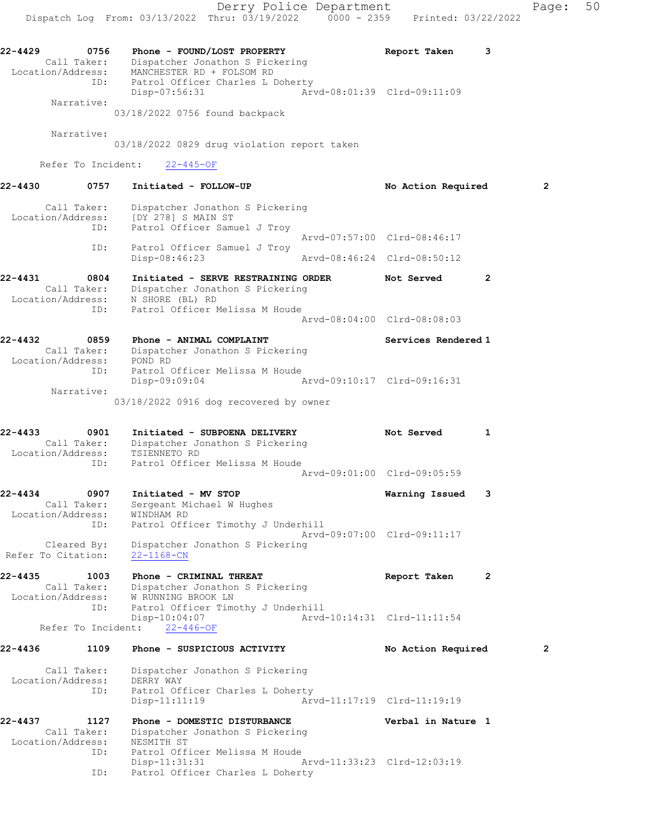22-4429 0756 Phone - FOUND/LOST PROPERTY Report Taken 3 Call Taker: Dispatcher Jonathon S Pickering Location/Address: MANCHESTER RD + FOLSOM RD ID: Patrol Officer Charles L Doherty Disp-07:56:31 Arvd-08:01:39 Clrd-09:11:09 Narrative:

03/18/2022 0756 found backpack

Narrative:

03/18/2022 0829 drug violation report taken

Refer To Incident: 22-445-OF

22-4430 0757 Initiated - FOLLOW-UP No Action Required 2 Call Taker: Dispatcher Jonathon S Pickering Location/Address: [DY 278] S MAIN ST ID: Patrol Officer Samuel J Troy Arvd-07:57:00 Clrd-08:46:17 ID: Patrol Officer Samuel J Troy Disp-08:46:23 Arvd-08:46:24 Clrd-08:50:12 22-4431 0804 Initiated - SERVE RESTRAINING ORDER Not Served 2 Call Taker: Dispatcher Jonathon S Pickering Location/Address: N SHORE (BL) RD ID: Patrol Officer Melissa M Houde Arvd-08:04:00 Clrd-08:08:03 22-4432 0859 Phone - ANIMAL COMPLAINT Services Rendered 1 Call Taker: Dispatcher Jonathon S Pickering Location/Address: POND RD ID: Patrol Officer Melissa M Houde Disp-09:09:04 Arvd-09:10:17 Clrd-09:16:31 Narrative: 03/18/2022 0916 dog recovered by owner 22-4433 0901 Initiated - SUBPOENA DELIVERY Not Served 1 Call Taker: Dispatcher Jonathon S Pickering Location/Address: TSIENNETO RD ID: Patrol Officer Melissa M Houde Arvd-09:01:00 Clrd-09:05:59 22-4434 0907 Initiated - MV STOP Warning Issued 3 Call Taker: Sergeant Michael W Hughes Location/Address: WINDHAM RD ID: Patrol Officer Timothy J Underhill Arvd-09:07:00 Clrd-09:11:17 Cleared By: Dispatcher Jonathon S Pickering Refer To Citation: 22-1168-CN 22-4435 1003 Phone - CRIMINAL THREAT Report Taken 2 Call Taker: Dispatcher Jonathon S Pickering Location/Address: W RUNNING BROOK LN ID: Patrol Officer Timothy J Underhill Disp-10:04:07 Arvd-10:14:31 Clrd-11:11:54 Refer To Incident: 22-446-OF 22-4436 1109 Phone - SUSPICIOUS ACTIVITY No Action Required 2 Call Taker: Dispatcher Jonathon S Pickering Location/Address: DERRY WAY ID: Patrol Officer Charles L Doherty Disp-11:11:19 Arvd-11:17:19 Clrd-11:19:19 22-4437 1127 Phone - DOMESTIC DISTURBANCE Verbal in Nature 1 Call Taker: Dispatcher Jonathon S Pickering Location/Address: NESMITH ST ID: Patrol Officer Melissa M Houde Disp-11:31:31 Arvd-11:33:23 Clrd-12:03:19 ID: Patrol Officer Charles L Doherty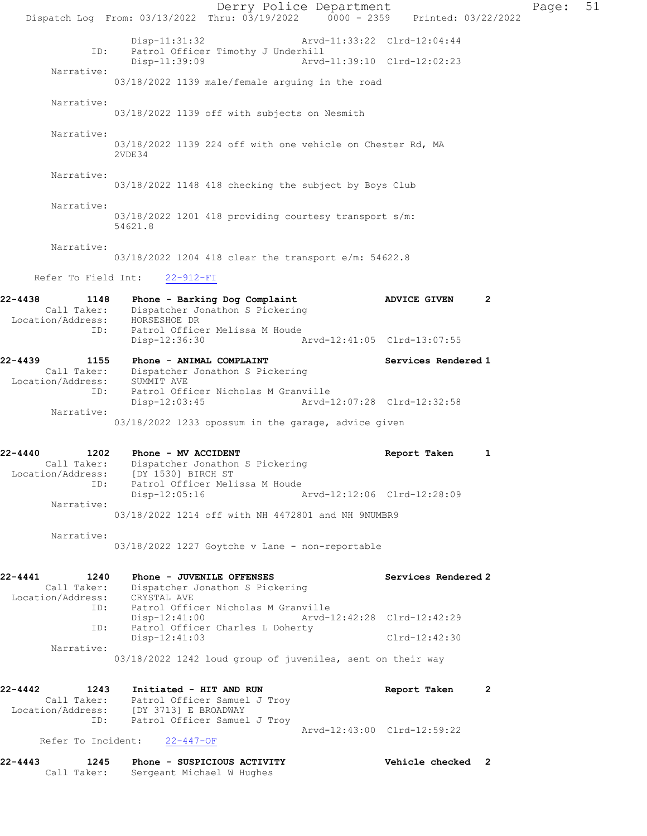Derry Police Department Page: 51 Dispatch Log From: 03/13/2022 Thru: 03/19/2022 0000 - 2359 Printed: 03/22/2022 Disp-11:31:32 Arvd-11:33:22 Clrd-12:04:44<br>TD: Patrol Officer Timothy J Underbill Patrol Officer Timothy J Underhill<br>Disp-11:39:09 Arvd Arvd-11:39:10 Clrd-12:02:23 Narrative: 03/18/2022 1139 male/female arguing in the road Narrative: 03/18/2022 1139 off with subjects on Nesmith Narrative: 03/18/2022 1139 224 off with one vehicle on Chester Rd, MA 2VDE34 Narrative: 03/18/2022 1148 418 checking the subject by Boys Club Narrative: 03/18/2022 1201 418 providing courtesy transport s/m: 54621.8 Narrative: 03/18/2022 1204 418 clear the transport e/m: 54622.8 Refer To Field Int: 22-912-FI 22-4438 1148 Phone - Barking Dog Complaint ADVICE GIVEN 2 Call Taker: Dispatcher Jonathon S Pickering Location/Address: HORSESHOE DR ID: Patrol Officer Melissa M Houde Disp-12:36:30 Arvd-12:41:05 Clrd-13:07:55 22-4439 1155 Phone - ANIMAL COMPLAINT Services Rendered 1 Call Taker: Dispatcher Jonathon S Pickering Location/Address: SUMMIT AVE ID: Patrol Officer Nicholas M Granville<br>Disp-12:03:45 hrvd-12:07:28 Clrd-12:32:58 Disp-12:03:45 Narrative: 03/18/2022 1233 opossum in the garage, advice given 22-4440 1202 Phone - MV ACCIDENT Report Taken 1 Call Taker: Dispatcher Jonathon S Pickering Location/Address: [DY 1530] BIRCH ST ID: Patrol Officer Melissa M Houde Disp-12:05:16 Arvd-12:12:06 Clrd-12:28:09 Narrative: 03/18/2022 1214 off with NH 4472801 and NH 9NUMBR9 Narrative: 03/18/2022 1227 Goytche v Lane - non-reportable 22-4441 1240 Phone - JUVENILE OFFENSES Services Rendered 2 Call Taker: Dispatcher Jonathon S Pickering Location/Address: CRYSTAL AVE<br>ID: Patrol Offic Patrol Officer Nicholas M Granville Disp-12:41:00 Arvd-12:42:28 Clrd-12:42:29 ID: Patrol Officer Charles L Doherty Disp-12:41:03 Clrd-12:42:30 Narrative: 03/18/2022 1242 loud group of juveniles, sent on their way 22-4442 1243 Initiated - HIT AND RUN Report Taken 2 Call Taker: Patrol Officer Samuel J Troy Location/Address: [DY 3713] E BROADWAY ID: Patrol Officer Samuel J Troy Arvd-12:43:00 Clrd-12:59:22 Refer To Incident: 22-447-OF 22-4443 1245 Phone - SUSPICIOUS ACTIVITY Vehicle checked 2 Call Taker: Sergeant Michael W Hughes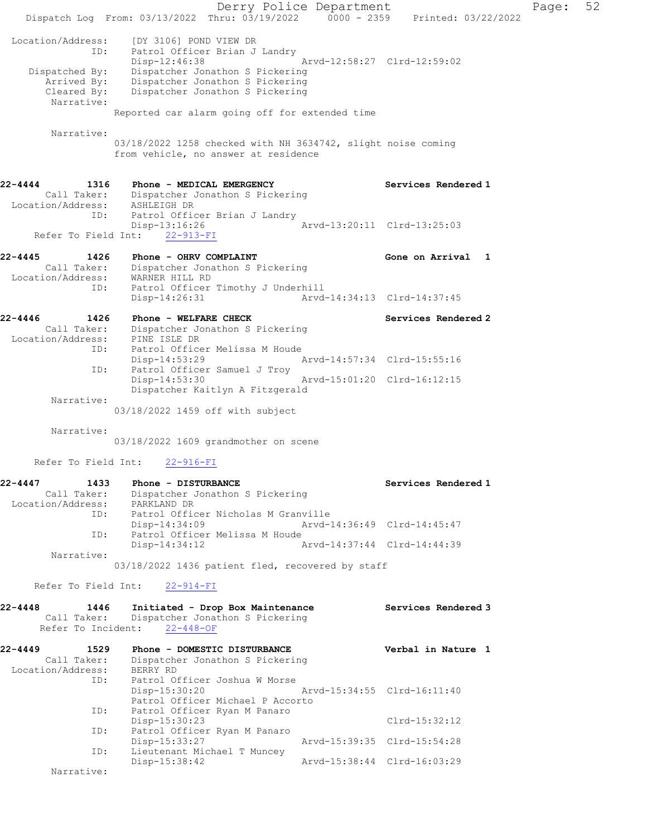Derry Police Department Page: 52 Dispatch Log From: 03/13/2022 Thru: 03/19/2022 0000 - 2359 Printed: 03/22/2022 Location/Address: [DY 3106] POND VIEW DR ID: Patrol Officer Brian J Landry Disp-12:46:38 Arvd-12:58:27 Clrd-12:59:02 Dispatched By: Dispatcher Jonathon S Pickering Arrived By: Dispatcher Jonathon S Pickering Cleared By: Dispatcher Jonathon S Pickering Narrative: Reported car alarm going off for extended time Narrative: 03/18/2022 1258 checked with NH 3634742, slight noise coming from vehicle, no answer at residence 22-4444 1316 Phone - MEDICAL EMERGENCY Services Rendered 1 Call Taker: Dispatcher Jonathon S Pickering Location/Address: ASHLEIGH DR ID: Patrol Officer Brian J Landry Disp-13:16:26 Arvd-13:20:11 Clrd-13:25:03 Refer To Field Int: 22-913-FI 22-4445 1426 Phone - OHRV COMPLAINT Gone on Arrival 1 Call Taker: Dispatcher Jonathon S Pickering Location/Address: WARNER HILL RD ID: Patrol Officer Timothy J Underhill<br>Disp-14:26:31 Arvd- Disp-14:26:31 Arvd-14:34:13 Clrd-14:37:45 22-4446 1426 Phone - WELFARE CHECK Services Rendered 2 Call Taker: Dispatcher Jonathon S Pickering Location/Address: PINE ISLE DR ID: Patrol Officer Melissa M Houde Disp-14:53:29 Arvd-14:57:34 Clrd-15:55:16 ID: Patrol Officer Samuel J Troy<br>Disp-14:53:30 Arvd-15:01:20 Clrd-16:12:15 Dispatcher Kaitlyn A Fitzgerald Narrative: 03/18/2022 1459 off with subject Narrative: 03/18/2022 1609 grandmother on scene Refer To Field Int: 22-916-FI 22-4447 1433 Phone - DISTURBANCE Services Rendered 1 Call Taker: Dispatcher Jonathon S Pickering Location/Address: PARKLAND DR ID: Patrol Officer Nicholas M Granville<br>Disp-14:34:09 Mrvd-14:36:49 Clrd-14:45:47 Disp-14:34:09 Arvd-14:36:49 Clrd-14:45:47 ID: Patrol Officer Melissa M Houde Disp-14:34:12 Arvd-14:37:44 Clrd-14:44:39 Narrative: 03/18/2022 1436 patient fled, recovered by staff Refer To Field Int: 22-914-FI 22-4448 1446 Initiated - Drop Box Maintenance Services Rendered 3 Call Taker: Dispatcher Jonathon S Pickering Refer To Incident: 22-448-OF 22-4449 1529 Phone - DOMESTIC DISTURBANCE Verbal in Nature 1 Call Taker: Dispatcher Jonathon S Pickering Location/Address: BERRY RD<br>ID: Patrol 0: Patrol Officer Joshua W Morse<br>Disp-15:30:20 Disp-15:30:20 Arvd-15:34:55 Clrd-16:11:40 Patrol Officer Michael P Accorto ID: Patrol Officer Ryan M Panaro Disp-15:30:23 Clrd-15:32:12 ID: Patrol Officer Ryan M Panaro Disp-15:33:27 Arvd-15:39:35 Clrd-15:54:28 ID: Lieutenant Michael T Muncey Disp-15:38:42 Arvd-15:38:44 Clrd-16:03:29 Narrative: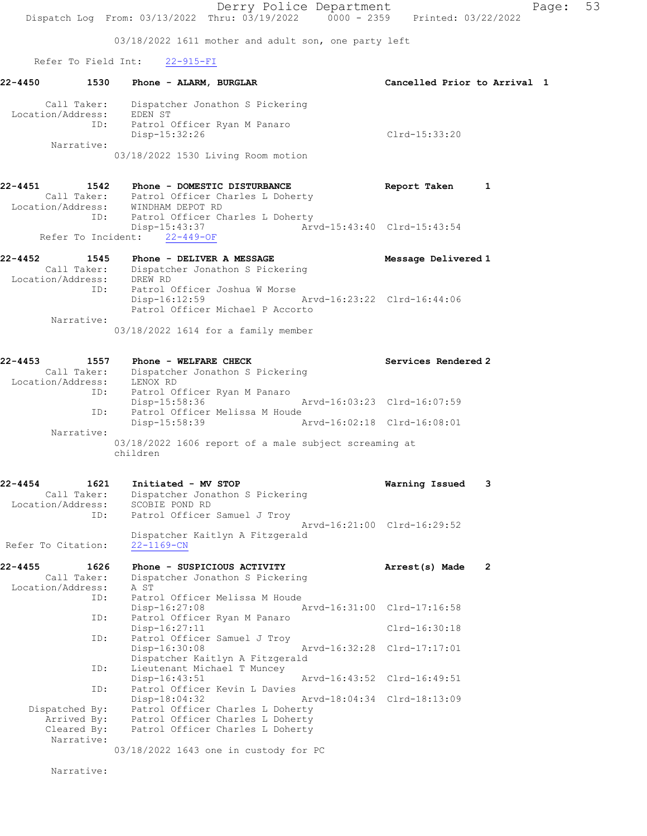03/18/2022 1611 mother and adult son, one party left

Refer To Field Int: 22-915-FI

| $22 - 4450$       | 1530        | Phone - ALARM, BURGLAR                        | Cancelled Prior to Arrival 1 |  |
|-------------------|-------------|-----------------------------------------------|------------------------------|--|
| Location/Address: | Call Taker: | Dispatcher Jonathon S Pickering<br>EDEN ST    |                              |  |
|                   | ID:         | Patrol Officer Ryan M Panaro<br>Disp-15:32:26 | $Clrd-15:33:20$              |  |
|                   | Narrative:  | 03/18/2022 1530 Living Room motion            |                              |  |
|                   |             |                                               |                              |  |

22-4451 1542 Phone - DOMESTIC DISTURBANCE Report Taken 1 Call Taker: Patrol Officer Charles L Doherty Location/Address: WINDHAM DEPOT RD ID: Patrol Officer Charles L Doherty Disp-15:43:37 Arvd-15:43:40 Clrd-15:43:54 Refer To Incident: 22-449-OF

22-4452 1545 Phone - DELIVER A MESSAGE Nessage Delivered 1 Call Taker: Dispatcher Jonathon S Pickering Location/Address: DREW RD ID: Patrol Officer Joshua W Morse Disp-16:12:59 Arvd-16:23:22 Clrd-16:44:06 Patrol Officer Michael P Accorto Narrative: 03/18/2022 1614 for a family member

| $22 - 4453$       | 1557        | Phone - WELFARE CHECK                                             |                             | Services Rendered 2 |
|-------------------|-------------|-------------------------------------------------------------------|-----------------------------|---------------------|
|                   | Call Taker: | Dispatcher Jonathon S Pickering                                   |                             |                     |
| Location/Address: |             | LENOX RD                                                          |                             |                     |
|                   | ID:         | Patrol Officer Ryan M Panaro                                      |                             |                     |
|                   |             | Disp-15:58:36                                                     | Arvd-16:03:23 Clrd-16:07:59 |                     |
|                   | ID:         | Patrol Officer Melissa M Houde                                    |                             |                     |
|                   |             | Disp-15:58:39                                                     | Arvd-16:02:18 Clrd-16:08:01 |                     |
|                   | Narrative:  |                                                                   |                             |                     |
|                   |             | 03/18/2022 1606 report of a male subject screaming at<br>children |                             |                     |

| $22 - 4454$                      | 1621 | Initiated - MV STOP                                                               | Warning Issued              |  |
|----------------------------------|------|-----------------------------------------------------------------------------------|-----------------------------|--|
| Call Taker:<br>Location/Address: | ID:  | Dispatcher Jonathon S Pickering<br>SCOBIE POND RD<br>Patrol Officer Samuel J Troy |                             |  |
|                                  |      |                                                                                   | Arvd-16:21:00 Clrd-16:29:52 |  |
| Refer To Citation:               |      | Dispatcher Kaitlyn A Fitzgerald<br>$22 - 1169 - CN$                               |                             |  |

| 22-4455           | 1626        | Phone - SUSPICIOUS ACTIVITY                  |                             | Arrest(s) Made | $\overline{\mathbf{2}}$ |
|-------------------|-------------|----------------------------------------------|-----------------------------|----------------|-------------------------|
|                   | Call Taker: | Dispatcher Jonathon S Pickering              |                             |                |                         |
| Location/Address: |             | A ST                                         |                             |                |                         |
|                   |             | ID: Patrol Officer Melissa M Houde           |                             |                |                         |
|                   |             | $Disp-16:27:08$                              | Arvd-16:31:00 Clrd-17:16:58 |                |                         |
|                   | ID:         | Patrol Officer Ryan M Panaro                 |                             |                |                         |
|                   |             | Disp-16:27:11                                |                             | Clrd-16:30:18  |                         |
|                   | ID:         | Patrol Officer Samuel J Troy                 |                             |                |                         |
|                   |             | $Disp-16:30:08$                              | Arvd-16:32:28 Clrd-17:17:01 |                |                         |
|                   |             | Dispatcher Kaitlyn A Fitzgerald              |                             |                |                         |
|                   | ID:         | Lieutenant Michael T Muncey                  |                             |                |                         |
|                   |             | Disp-16:43:51                                | Arvd-16:43:52 Clrd-16:49:51 |                |                         |
|                   | ID:         | Patrol Officer Kevin L Davies                |                             |                |                         |
|                   |             | Arvd-18:04:34 Clrd-18:13:09<br>Disp-18:04:32 |                             |                |                         |
| Dispatched By:    |             | Patrol Officer Charles L Doherty             |                             |                |                         |
|                   |             | Arrived By: Patrol Officer Charles L Doherty |                             |                |                         |
|                   |             | Cleared By: Patrol Officer Charles L Doherty |                             |                |                         |
|                   | Narrative:  |                                              |                             |                |                         |
|                   |             | 03/18/2022 1643 one in custody for PC        |                             |                |                         |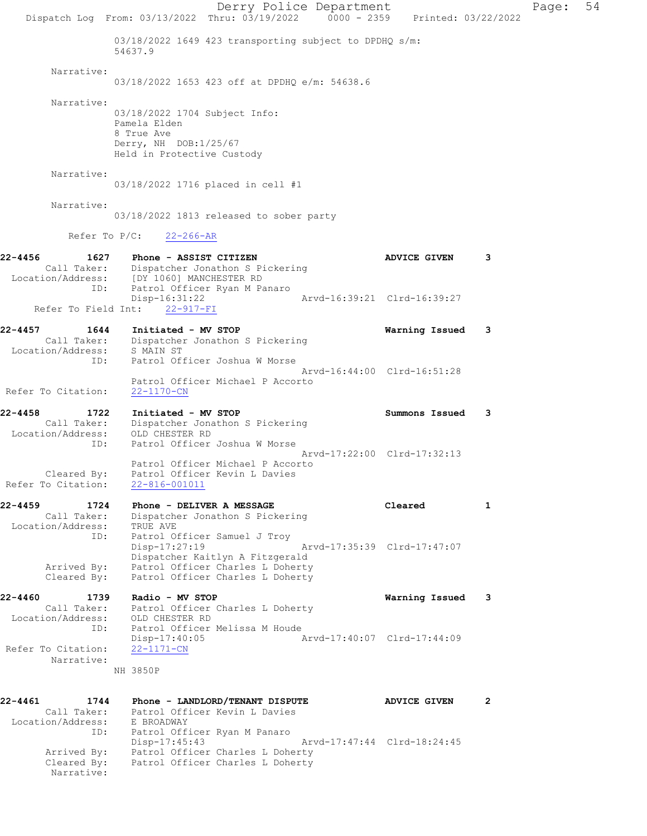Derry Police Department Page: 54 Dispatch Log From: 03/13/2022 Thru: 03/19/2022 0000 - 2359 Printed: 03/22/2022 03/18/2022 1649 423 transporting subject to DPDHQ s/m: 54637.9 Narrative: 03/18/2022 1653 423 off at DPDHQ e/m: 54638.6 Narrative: 03/18/2022 1704 Subject Info: Pamela Elden 8 True Ave Derry, NH DOB:1/25/67 Held in Protective Custody Narrative: 03/18/2022 1716 placed in cell #1 Narrative: 03/18/2022 1813 released to sober party Refer To P/C: 22-266-AR 22-4456 1627 Phone - ASSIST CITIZEN 1999 ADVICE GIVEN 3 Call Taker: Dispatcher Jonathon S Pickering Location/Address: [DY 1060] MANCHESTER RD ID: Patrol Officer Ryan M Panaro Disp-16:31:22 Arvd-16:39:21 Clrd-16:39:27 Refer To Field Int: 22-917-FI 22-4457 1644 Initiated - MV STOP Warning Issued 3 Call Taker: Dispatcher Jonathon S Pickering Location/Address: S MAIN ST ID: Patrol Officer Joshua W Morse Arvd-16:44:00 Clrd-16:51:28 Patrol Officer Michael P Accorto<br>22-1170-CN Refer To Citation: 22-4458 1722 Initiated - MV STOP Summons Issued 3 Call Taker: Dispatcher Jonathon S Pickering Location/Address: OLD CHESTER RD ID: Patrol Officer Joshua W Morse<br>ID: Patrol Officer Joshua W Morse<br>Arvd-17:22:00 Clrd-17:32:13 Arvd-17:22:00 Clrd-17:32:13 Patrol Officer Michael P Accorto Cleared By: Patrol Officer Kevin L Davies Refer To Citation: 22-816-001011 22-4459 1724 Phone - DELIVER A MESSAGE Cleared 1 Call Taker: Dispatcher Jonathon S Pickering Location/Address: TRUE AVE ID: Patrol Officer Samuel J Troy<br>Disp-17:27:19 Disp-17:27:19 Arvd-17:35:39 Clrd-17:47:07 Dispatcher Kaitlyn A Fitzgerald Arrived By: Patrol Officer Charles L Doherty Cleared By: Patrol Officer Charles L Doherty 22-4460 1739 Radio - MV STOP Warning Issued 3 Call Taker: Patrol Officer Charles L Doherty Location/Address: OLD CHESTER RD ID: Patrol Officer Melissa M Houde Disp-17:40:05 Arvd-17:40:07 Clrd-17:44:09 Refer To Citation: 22-1171-CN Narrative: NH 3850P 22-4461 1744 Phone - LANDLORD/TENANT DISPUTE ADVICE GIVEN 2 Call Taker: Patrol Officer Kevin L Davies Location/Address: E BROADWAY ID: Patrol Officer Ryan M Panaro Disp-17:45:43 Arvd-17:47:44 Clrd-18:24:45 Arrived By: Patrol Officer Charles L Doherty Cleared By: Patrol Officer Charles L Doherty Narrative: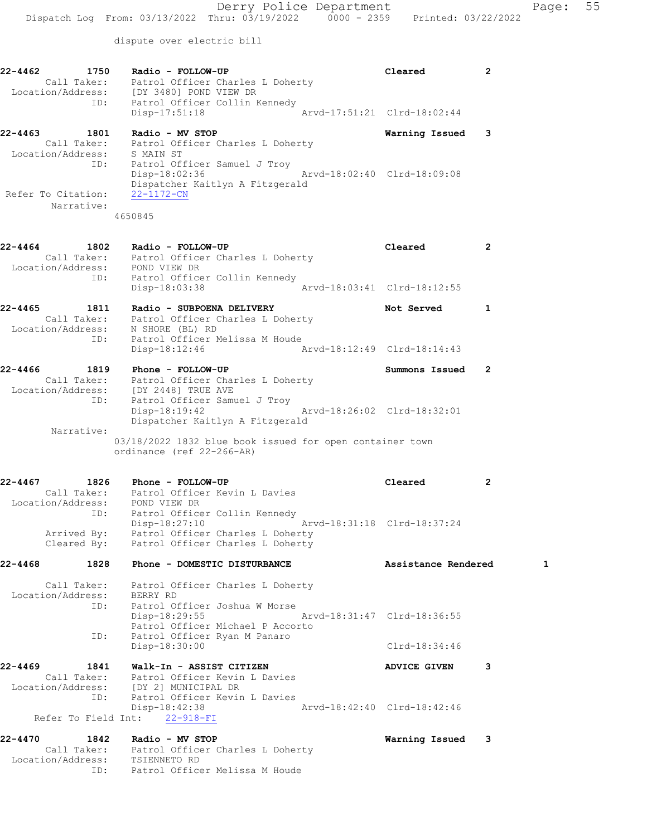dispute over electric bill

| 22-4462            | 1750              | Radio - FOLLOW-UP<br>Call Taker: Patrol Officer Charles L Doherty                                                                                           | Cleared                     | 2              |
|--------------------|-------------------|-------------------------------------------------------------------------------------------------------------------------------------------------------------|-----------------------------|----------------|
|                    |                   | Location/Address: [DY 3480] POND VIEW DR<br>ID: Patrol Officer Collin Kennedy<br>Disp-17:51:18                                                              | Arvd-17:51:21 Clrd-18:02:44 |                |
| 22-4463            |                   | 1801 Radio - MV STOP<br>Call Taker: Patrol Officer Charles L Doherty<br>Location/Address: S MAIN ST<br>ID: Patrol Officer Samuel J Troy                     | Warning Issued              | 3              |
| Refer To Citation: | Narrative:        | $Disp-18:02:36$<br>Dispatcher Kaitlyn A Fitzgerald<br>22-1172-CN                                                                                            | Arvd-18:02:40 Clrd-18:09:08 |                |
|                    |                   | 4650845                                                                                                                                                     |                             |                |
| 22-4464            | 1802              | Radio - FOLLOW-UP<br>Call Taker: Patrol Officer Charles L Doherty<br>Location/Address: POND VIEW DR<br>ID: Patrol Officer Collin Kennedy                    | Cleared                     | $\overline{2}$ |
|                    |                   | Arvd-18:03:41 Clrd-18:12:55<br>Disp-18:03:38                                                                                                                |                             |                |
| 22-4465            | 1811              | Radio - SUBPOENA DELIVERY<br>Call Taker: Patrol Officer Charles L Doherty<br>Location/Address: N SHORE (BL) RD                                              | Not Served                  | 1              |
|                    |                   | ID: Patrol Officer Melissa M Houde<br>Disp-18:12:46<br>Arvd-18:12:49 Clrd-18:14:43                                                                          |                             |                |
|                    |                   | 22-4466 1819 Phone - FOLLOW-UP<br>Call Taker: Patrol Officer Charles L Doherty<br>Location/Address: [DY 2448] TRUE AVE                                      | Summons Issued              | 2              |
|                    | ID:<br>Narrative: | Patrol Officer Samuel J Troy<br>$Disp-18:19:42$<br>Dispatcher Kaitlyn A Fitzgerald                                                                          | Arvd-18:26:02 Clrd-18:32:01 |                |
|                    |                   | 03/18/2022 1832 blue book issued for open container town<br>ordinance (ref 22-266-AR)                                                                       |                             |                |
| $22 - 4467$        | 1826              | Phone - FOLLOW-UP<br>Call Taker: Patrol Officer Kevin L Davies                                                                                              | Cleared                     | $\overline{2}$ |
|                    |                   | Location/Address: POND VIEW DR<br>ID: Patrol Officer Collin Kennedy<br>Disp-18:27:10                                                                        | Arvd-18:31:18 Clrd-18:37:24 |                |
|                    | Arrived By:       | Patrol Officer Charles L Doherty<br>Cleared By: Patrol Officer Charles L Doherty                                                                            |                             |                |
| $22 - 4468$        |                   | 1828 Phone - DOMESTIC DISTURBANCE                                                                                                                           | Assistance Rendered         | 1              |
|                    | ID:               | Call Taker: Patrol Officer Charles L Doherty<br>Location/Address: BERRY RD<br>Patrol Officer Joshua W Morse<br>Disp-18:29:55<br>Arvd-18:31:47 Clrd-18:36:55 |                             |                |
|                    | ID:               | Patrol Officer Michael P Accorto<br>Patrol Officer Ryan M Panaro<br>Disp-18:30:00                                                                           | $Clrd-18:34:46$             |                |
| 22-4469            |                   | 1841 Walk-In - ASSIST CITIZEN<br>Call Taker: Patrol Officer Kevin L Davies                                                                                  | <b>ADVICE GIVEN</b>         | 3              |
|                    | ID:               | Location/Address: [DY 2] MUNICIPAL DR<br>Patrol Officer Kevin L Davies<br>Disp-18:42:38                                                                     | Arvd-18:42:40 Clrd-18:42:46 |                |
|                    |                   | Refer To Field Int: 22-918-FI                                                                                                                               |                             |                |
| 22-4470            | 1842              | Radio - MV STOP<br>Call Taker: Patrol Officer Charles L Doherty<br>Location/Address: TSIENNETO RD<br>ID: Patrol Officer Melissa M Houde                     | Warning Issued              | 3              |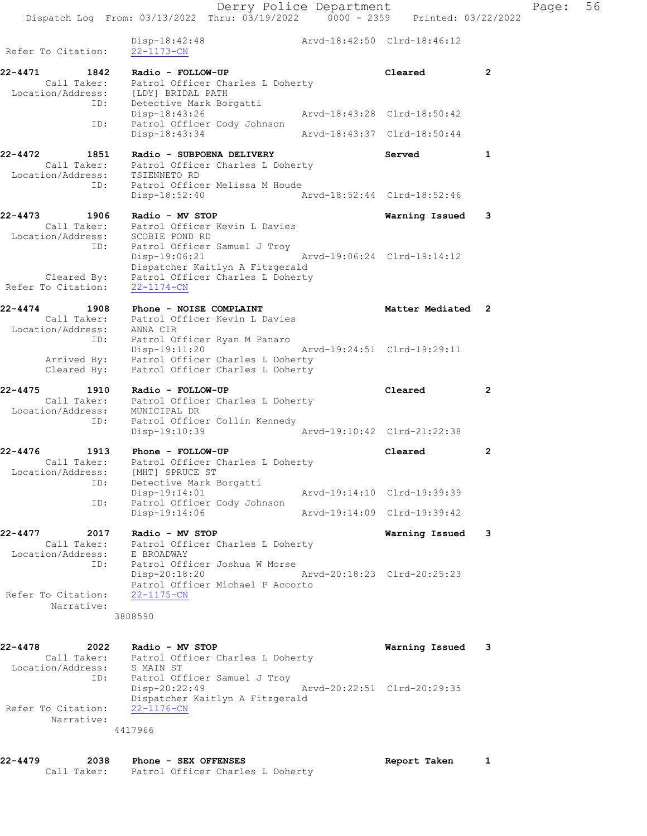Derry Police Department Controller Page: 56 Dispatch Log From: 03/13/2022 Thru: 03/19/2022 0000 - 2359 Printed: 03/22/2022 Disp-18:42:48 Arvd-18:42:50 Clrd-18:46:12 Refer To Citation: 22-1173-CN 22-4471 1842 Radio - FOLLOW-UP Cleared 2 Call Taker: Patrol Officer Charles L Doherty Location/Address: [LDY] BRIDAL PATH ID: Detective Mark Borgatti Disp-18:43:26 Arvd-18:43:28 Clrd-18:50:42 ID: Patrol Officer Cody Johnson Disp-18:43:34 Arvd-18:43:37 Clrd-18:50:44 22-4472 1851 Radio - SUBPOENA DELIVERY Served 1 Call Taker: Patrol Officer Charles L Doherty Location/Address: TSIENNETO RD ID: Patrol Officer Melissa M Houde Disp-18:52:40 Arvd-18:52:44 Clrd-18:52:46 22-4473 1906 Radio - MV STOP Warning Issued 3 Call Taker: Patrol Officer Kevin L Davies Location/Address: SCOBIE POND RD ID: Patrol Officer Samuel J Troy Disp-19:06:21 Arvd-19:06:24 Clrd-19:14:12 Dispatcher Kaitlyn A Fitzgerald Cleared By: Patrol Officer Charles L Doherty Refer To Citation: 22-1174-CN 22-4474 1908 Phone - NOISE COMPLAINT 1998 Matter Mediated 2 Call Taker: Patrol Officer Kevin L Davies Location/Address: ANNA CIR ID: Patrol Officer Ryan M Panaro Disp-19:11:20 Arvd-19:24:51 Clrd-19:29:11 Arrived By: Patrol Officer Charles L Doherty Arrived By: Patrol Officer Charles L Doherty<br>Cleared By: Patrol Officer Charles L Doherty 22-4475 1910 Radio - FOLLOW-UP Cleared 2 Call Taker: Patrol Officer Charles L Doherty Location/Address: MUNICIPAL DR ID: Patrol Officer Collin Kennedy Disp-19:10:39 Arvd-19:10:42 Clrd-21:22:38 22-4476 1913 Phone - FOLLOW-UP Cleared 2 Call Taker: Patrol Officer Charles L Doherty Location/Address: [MHT] SPRUCE ST ID: Detective Mark Borgatti

 Disp-19:14:01 Arvd-19:14:10 Clrd-19:39:39 ID: Patrol Officer Cody Johnson Disp-19:14:06 Arvd-19:14:09 Clrd-19:39:42 22-4477 2017 Radio - MV STOP Warning Issued 3 Call Taker: Patrol Officer Charles L Doherty

 Location/Address: E BROADWAY ID: Patrol Officer Joshua W Morse Disp-20:18:20 Arvd-20:18:23 Clrd-20:25:23 Patrol Officer Michael P Accorto Refer To Citation: 22-1175-CN Narrative: 3808590

22-4478 2022 Radio - MV STOP Warning Issued 3 Call Taker: Patrol Officer Charles L Doherty Location/Address: S MAIN ST ID: Patrol Officer Samuel J Troy Disp-20:22:49 Arvd-20:22:51 Clrd-20:29:35 Dispatcher Kaitlyn A Fitzgerald Refer To Citation: 22-1176-CN Narrative: 4417966

22-4479 2038 Phone - SEX OFFENSES Report Taken 1 Call Taker: Patrol Officer Charles L Doherty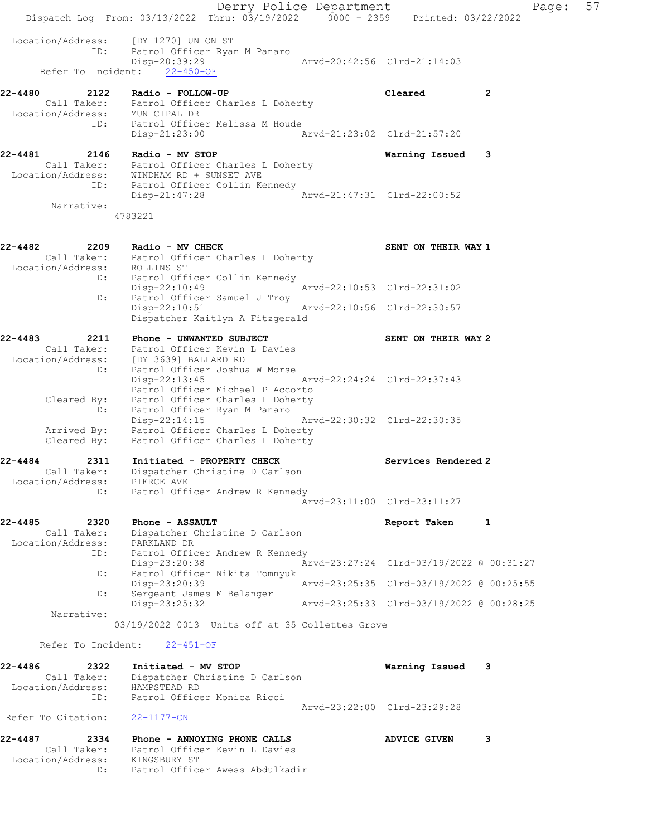Derry Police Department Page: 57 Dispatch Log From: 03/13/2022 Thru: 03/19/2022 0000 - 2359 Printed: 03/22/2022 Location/Address: [DY 1270] UNION ST ID: Patrol Officer Ryan M Panaro Disp-20:39:29 Arvd-20:42:56 Clrd-21:14:03 Refer To Incident: 22-450-OF 22-4480 2122 Radio - FOLLOW-UP Cleared 2 Call Taker: Patrol Officer Charles L Doherty Location/Address: MUNICIPAL DR ID: Patrol Officer Melissa M Houde Disp-21:23:00 Arvd-21:23:02 Clrd-21:57:20 22-4481 2146 Radio - MV STOP Warning Issued 3 Call Taker: Patrol Officer Charles L Doherty Location/Address: WINDHAM RD + SUNSET AVE ID: Patrol Officer Collin Kennedy Disp-21:47:28 Arvd-21:47:31 Clrd-22:00:52 Narrative: 4783221 22-4482 2209 Radio - MV CHECK SENT ON THEIR WAY 1 Call Taker: Patrol Officer Charles L Doherty Location/Address: ROLLINS ST ID: Patrol Officer Collin Kennedy Disp-22:10:49 Arvd-22:10:53 Clrd-22:31:02 ID: Patrol Officer Samuel J Troy ID: Patrol Officer Samuel J Troy<br>Disp-22:10:51 Arvd-22:10:56 Clrd-22:30:57 Dispatcher Kaitlyn A Fitzgerald 22-4483 2211 Phone - UNWANTED SUBJECT SENT ON THEIR WAY 2 Call Taker: Patrol Officer Kevin L Davies Location/Address: [DY 3639] BALLARD RD ID: Patrol Officer Joshua W Morse Disp-22:13:45 Arvd-22:24:24 Clrd-22:37:43<br>Patrol Officer Michael P Accorto Patrol Officer Michael P Accorto Cleared By: Patrol Officer Charles L Doherty ID: Patrol Officer Ryan M Panaro Disp-22:14:15 Arvd-22:30:32 Clrd-22:30:35 Arrived By: Patrol Officer Charles L Doherty Cleared By: Patrol Officer Charles L Doherty 22-4484 2311 Initiated - PROPERTY CHECK Services Rendered 2 Call Taker: Dispatcher Christine D Carlson Location/Address: PIERCE AVE ID: Patrol Officer Andrew R Kennedy Arvd-23:11:00 Clrd-23:11:27 22-4485 2320 Phone - ASSAULT Report Taken 1 Call Taker: Dispatcher Christine D Carlson Location/Address: PARKLAND DR ID: Patrol Officer Andrew R Kennedy Disp-23:20:38 Arvd-23:27:24 Clrd-03/19/2022 @ 00:31:27 ID: Patrol Officer Nikita Tomnyuk Disp-23:20:39 Arvd-23:25:35 Clrd-03/19/2022 @ 00:25:55 ID: Sergeant James M Belanger Disp-23:25:32 Arvd-23:25:33 Clrd-03/19/2022 @ 00:28:25 Narrative: 03/19/2022 0013 Units off at 35 Collettes Grove Refer To Incident: 22-451-OF 22-4486 2322 Initiated - MV STOP Warning Issued 3 Call Taker: Dispatcher Christine D Carlson Location/Address: HAMPSTEAD RD ID: Patrol Officer Monica Ricci Arvd-23:22:00 Clrd-23:29:28 Refer To Citation: 22-1177-CN 22-4487 2334 Phone - ANNOYING PHONE CALLS ADVICE GIVEN 3 Call Taker: Patrol Officer Kevin L Davies Location/Address: KINGSBURY ST ID: Patrol Officer Awess Abdulkadir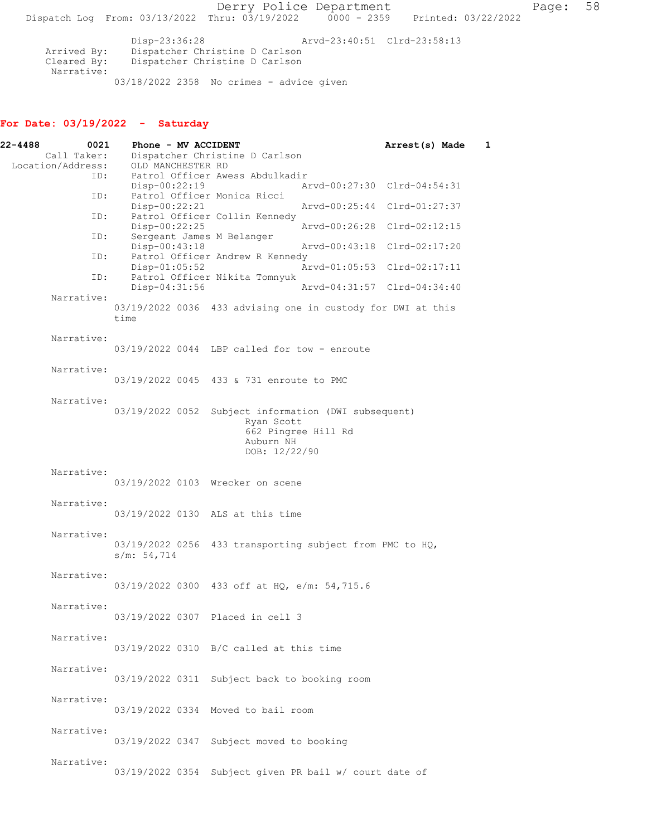Derry Police Department Fage: 58 Dispatch Log From:  $03/13/2022$  Thru:  $03/19/2022$  0000 - 2359 Printed: 03/22/2022 Disp-23:36:28 Arvd-23:40:51 Clrd-23:58:13 Arrived By: Dispatcher Christine D Carlson Cleared By: Dispatcher Christine D Carlson

03/18/2022 2358 No crimes - advice given

For Date: 03/19/2022 - Saturday

Narrative:

| 22-4488<br>0021                  | Phone - MV ACCIDENT                          |                                                                                                         | Arrest(s) Made<br>1         |
|----------------------------------|----------------------------------------------|---------------------------------------------------------------------------------------------------------|-----------------------------|
| Call Taker:<br>Location/Address: | OLD MANCHESTER RD                            | Dispatcher Christine D Carlson                                                                          |                             |
| ID:                              | Disp-00:22:19                                | Patrol Officer Awess Abdulkadir                                                                         | Arvd-00:27:30 Clrd-04:54:31 |
| ID:                              | $Disp-00:22:21$                              | Patrol Officer Monica Ricci                                                                             | Arvd-00:25:44 Clrd-01:27:37 |
| ID:                              |                                              | Patrol Officer Collin Kennedy                                                                           |                             |
| ID:                              | $Disp-00:22:25$<br>Sergeant James M Belanger | Arvd-00:26:28                                                                                           | $Clrd-02:12:15$             |
| ID:                              | $Disp-00:43:18$                              | Arvd-00:43:18<br>Patrol Officer Andrew R Kennedy                                                        | Clrd-02:17:20               |
| ID:                              | Disp-01:05:52                                | Patrol Officer Nikita Tomnyuk                                                                           | Arvd-01:05:53 Clrd-02:17:11 |
| Narrative:                       | Disp-04:31:56                                |                                                                                                         | Aryd-04:31:57 Clrd-04:34:40 |
|                                  | time                                         | 03/19/2022 0036 433 advising one in custody for DWI at this                                             |                             |
| Narrative:                       |                                              | $03/19/2022$ 0044 LBP called for tow - enroute                                                          |                             |
| Narrative:                       |                                              |                                                                                                         |                             |
|                                  |                                              | 03/19/2022 0045 433 & 731 enroute to PMC                                                                |                             |
| Narrative:                       | 03/19/2022 0052                              | Subject information (DWI subsequent)<br>Ryan Scott<br>662 Pingree Hill Rd<br>Auburn NH<br>DOB: 12/22/90 |                             |
| Narrative:                       |                                              | 03/19/2022 0103 Wrecker on scene                                                                        |                             |
| Narrative:                       |                                              | 03/19/2022 0130 ALS at this time                                                                        |                             |
| Narrative:                       | 03/19/2022 0256<br>s/m: 54,714               | 433 transporting subject from PMC to HQ,                                                                |                             |
| Narrative:                       |                                              | 03/19/2022 0300 433 off at HQ, e/m: 54,715.6                                                            |                             |
| Narrative:                       |                                              | 03/19/2022 0307 Placed in cell 3                                                                        |                             |
| Narrative:                       |                                              | $03/19/2022$ 0310 B/C called at this time                                                               |                             |
| Narrative:                       |                                              | 03/19/2022 0311 Subject back to booking room                                                            |                             |
| Narrative:                       |                                              | 03/19/2022 0334 Moved to bail room                                                                      |                             |
| Narrative:                       |                                              | 03/19/2022 0347 Subject moved to booking                                                                |                             |
| Narrative:                       | 03/19/2022 0354                              | Subject given PR bail w/ court date of                                                                  |                             |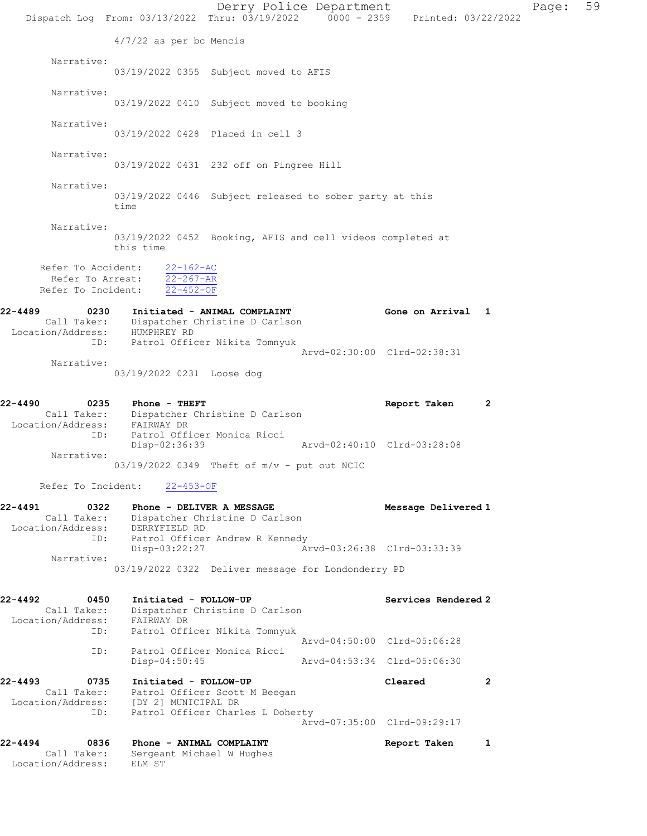|                                                                | Dispatch Log From: 03/13/2022 Thru: 03/19/2022 0000 - 2359 Printed: 03/22/2022                                       |                                                                                | Derry Police Department                                    |                     |              | Page: | 59 |
|----------------------------------------------------------------|----------------------------------------------------------------------------------------------------------------------|--------------------------------------------------------------------------------|------------------------------------------------------------|---------------------|--------------|-------|----|
|                                                                | $4/7/22$ as per bc Mencis                                                                                            |                                                                                |                                                            |                     |              |       |    |
| Narrative:                                                     |                                                                                                                      | 03/19/2022 0355 Subject moved to AFIS                                          |                                                            |                     |              |       |    |
| Narrative:                                                     |                                                                                                                      | 03/19/2022 0410 Subject moved to booking                                       |                                                            |                     |              |       |    |
| Narrative:                                                     |                                                                                                                      | 03/19/2022 0428 Placed in cell 3                                               |                                                            |                     |              |       |    |
| Narrative:                                                     | 03/19/2022 0431 232 off on Pingree Hill                                                                              |                                                                                |                                                            |                     |              |       |    |
| Narrative:                                                     | time                                                                                                                 | 03/19/2022 0446 Subject released to sober party at this                        |                                                            |                     |              |       |    |
| Narrative:                                                     | this time                                                                                                            | 03/19/2022 0452 Booking, AFIS and cell videos completed at                     |                                                            |                     |              |       |    |
| Refer To Accident:<br>Refer To Arrest:<br>Refer To Incident:   | $22 - 162 - AC$<br>$22 - 267 - AR$<br>$22 - 452 - 0F$                                                                |                                                                                |                                                            |                     |              |       |    |
| 22-4489<br>Location/Address: HUMPHREY RD                       | 0230 Initiated - ANIMAL COMPLAINT<br>Call Taker: Dispatcher Christine D Carlson<br>ID: Patrol Officer Nikita Tomnyuk |                                                                                |                                                            | Gone on Arrival 1   |              |       |    |
| Narrative:                                                     | 03/19/2022 0231 Loose dog                                                                                            |                                                                                | Arvd-02:30:00 Clrd-02:38:31                                |                     |              |       |    |
| 22-4490<br>Location/Address:                                   | 0235 Phone - THEFT<br>Call Taker: Dispatcher Christine D Carlson<br>FAIRWAY DR                                       |                                                                                |                                                            | Report Taken        | $\mathbf{2}$ |       |    |
| ID:<br>Narrative:                                              | Disp-02:36:39                                                                                                        | Patrol Officer Monica Ricci<br>$03/19/2022$ 0349 Theft of $m/v$ - put out NCIC | Arvd-02:40:10 Clrd-03:28:08                                |                     |              |       |    |
|                                                                | Refer To Incident: 22-453-OF                                                                                         |                                                                                |                                                            |                     |              |       |    |
| 22-4491<br>0322<br>Call Taker:<br>Location/Address:            | Phone - DELIVER A MESSAGE<br>DERRYFIELD RD                                                                           | Dispatcher Christine D Carlson                                                 |                                                            | Message Delivered 1 |              |       |    |
| ID:<br>Narrative:                                              | Disp-03:22:27                                                                                                        | Patrol Officer Andrew R Kennedy                                                | Arvd-03:26:38 Clrd-03:33:39                                |                     |              |       |    |
|                                                                | 03/19/2022 0322 Deliver message for Londonderry PD                                                                   |                                                                                |                                                            |                     |              |       |    |
| 22-4492<br>0450<br>Call Taker:<br>Location/Address: FAIRWAY DR | Initiated - FOLLOW-UP                                                                                                | Dispatcher Christine D Carlson                                                 |                                                            | Services Rendered 2 |              |       |    |
| ID:<br>ID:                                                     | Disp-04:50:45                                                                                                        | Patrol Officer Nikita Tomnyuk<br>Patrol Officer Monica Ricci                   | Arvd-04:50:00 Clrd-05:06:28<br>Arvd-04:53:34 Clrd-05:06:30 |                     |              |       |    |
| 22-4493<br>0735<br>Call Taker:<br>Location/Address:            | Initiated - FOLLOW-UP<br>[DY 2] MUNICIPAL DR                                                                         | Patrol Officer Scott M Beegan                                                  |                                                            | Cleared             | 2            |       |    |
| ID:                                                            |                                                                                                                      | Patrol Officer Charles L Doherty                                               | Arvd-07:35:00 Clrd-09:29:17                                |                     |              |       |    |
| 22-4494<br>0836<br>Call Taker:<br>Location/Address:            | Phone - ANIMAL COMPLAINT<br>Sergeant Michael W Hughes<br>ELM ST                                                      |                                                                                |                                                            | Report Taken        | 1            |       |    |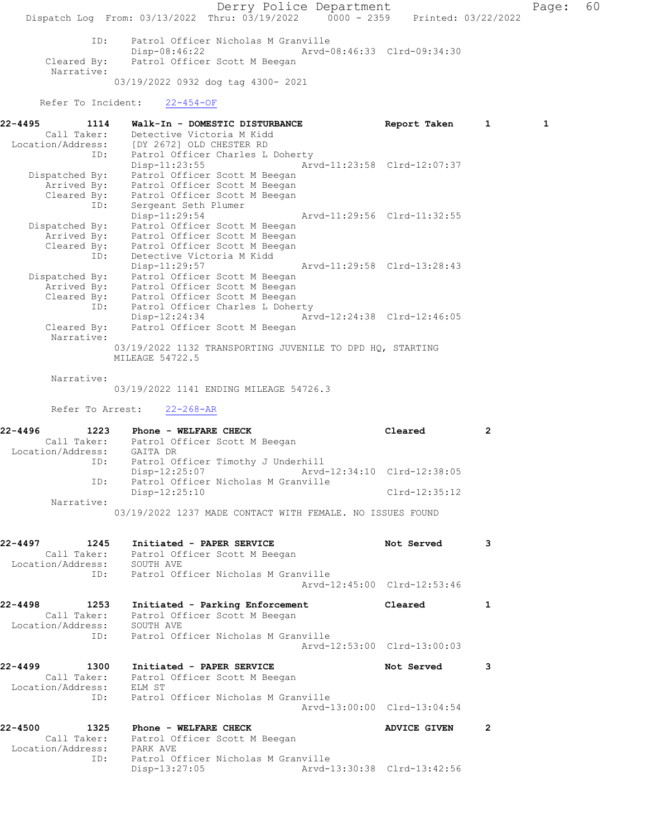Derry Police Department Fage: 60 Dispatch Log From: 03/13/2022 Thru: 03/19/2022 0000 - 2359 Printed: 03/22/2022 ID: Patrol Officer Nicholas M Granville Disp-08:46:22 Arvd-08:46:33 Clrd-09:34:30 Cleared By: Patrol Officer Scott M Beegan Narrative: 03/19/2022 0932 dog tag 4300- 2021 Refer To Incident: 22-454-OF 22-4495 1114 Walk-In - DOMESTIC DISTURBANCE Report Taken 1 1 Call Taker: Detective Victoria M Kidd Location/Address: [DY 2672] OLD CHESTER RD ID: Patrol Officer Charles L Doherty Disp-11:23:55 Arvd-11:23:58 Clrd-12:07:37 Dispatched By: Patrol Officer Scott M Beegan Arrived By: Patrol Officer Scott M Beegan Cleared By: Patrol Officer Scott M Beegan ID: Sergeant Seth Plumer Disp-11:29:54 Arvd-11:29:56 Clrd-11:32:55 Dispatched By: Patrol Officer Scott M Beegan Arrived By: Patrol Officer Scott M Beegan Cleared By: Patrol Officer Scott M Beegan ID: Detective Victoria M Kidd Disp-11:29:57 Arvd-11:29:58 Clrd-13:28:43 Dispatched By: Patrol Officer Scott M Beegan Arrived By: Patrol Officer Scott M Beegan Cleared By: Patrol Officer Scott M Beegan ID: Patrol Officer Charles L Doherty Disp-12:24:34 Arvd-12:24:38 Clrd-12:46:05 Cleared By: Patrol Officer Scott M Beegan Narrative: 03/19/2022 1132 TRANSPORTING JUVENILE TO DPD HQ, STARTING MILEAGE 54722.5 Narrative: 03/19/2022 1141 ENDING MILEAGE 54726.3 Refer To Arrest: 22-268-AR 22-4496 1223 Phone - WELFARE CHECK 2 Call Taker: Patrol Officer Scott M Beegan Location/Address: GAITA DR ID: Patrol Officer Timothy J Underhill Disp-12:25:07 Arvd-12:34:10 Clrd-12:38:05 ID: Patrol Officer Nicholas M Granville Disp-12:25:10 Clrd-12:35:12 Narrative: 03/19/2022 1237 MADE CONTACT WITH FEMALE. NO ISSUES FOUND 22-4497 1245 Initiated - PAPER SERVICE 1245 Not Served 3 Call Taker: Patrol Officer Scott M Beegan Location/Address: SOUTH AVE ID: Patrol Officer Nicholas M Granville Arvd-12:45:00 Clrd-12:53:46 22-4498 1253 Initiated - Parking Enforcement Cleared 1 Call Taker: Patrol Officer Scott M Beegan Location/Address: SOUTH AVE ID: Patrol Officer Nicholas M Granville Arvd-12:53:00 Clrd-13:00:03 22-4499 1300 Initiated - PAPER SERVICE 1999 Not Served 3 Call Taker: Patrol Officer Scott M Beegan Location/Address: ELM ST ID: Patrol Officer Nicholas M Granville Arvd-13:00:00 Clrd-13:04:54 22-4500 1325 Phone - WELFARE CHECK ADVICE GIVEN 2 Call Taker: Patrol Officer Scott M Beegan Location/Address: PARK AVE ID: Patrol Officer Nicholas M Granville<br>Disp-13:27:05 Arvd-1 Arvd-13:30:38 Clrd-13:42:56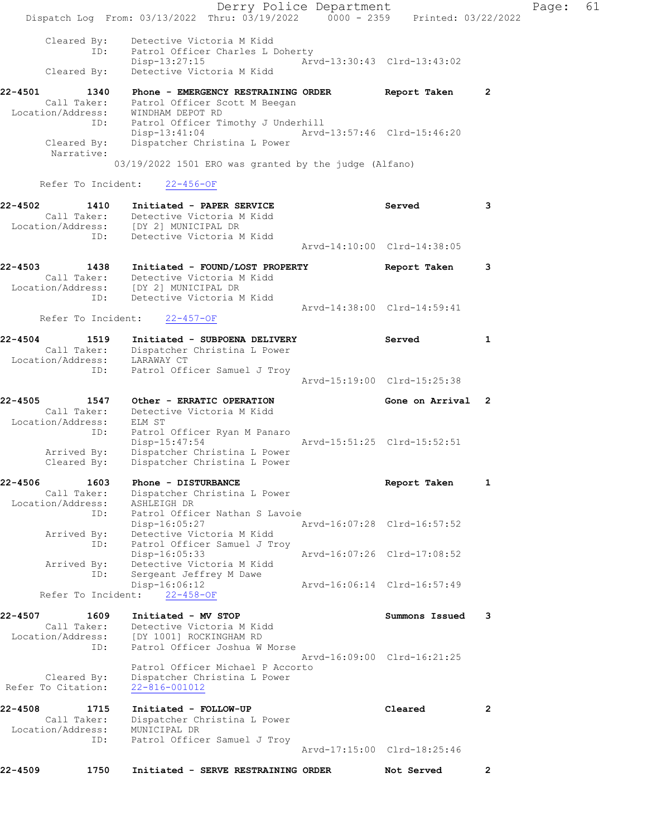| 22-4509                                 | 1750                              | Initiated - SERVE RESTRAINING ORDER                                                                                                      |                         | Not Served                  | 2            |       |    |
|-----------------------------------------|-----------------------------------|------------------------------------------------------------------------------------------------------------------------------------------|-------------------------|-----------------------------|--------------|-------|----|
|                                         | ID:                               | Patrol Officer Samuel J Troy                                                                                                             |                         | Arvd-17:15:00 Clrd-18:25:46 |              |       |    |
| 22-4508<br>Location/Address:            | 1715<br>Call Taker:               | Initiated - FOLLOW-UP<br>Dispatcher Christina L Power<br>MUNICIPAL DR                                                                    |                         | Cleared                     | 2            |       |    |
| Refer To Citation:                      | Cleared By:                       | Patrol Officer Michael P Accorto<br>Dispatcher Christina L Power<br>22-816-001012                                                        |                         |                             |              |       |    |
| Location/Address:                       | ID:                               | [DY 1001] ROCKINGHAM RD<br>Patrol Officer Joshua W Morse                                                                                 |                         | Arvd-16:09:00 Clrd-16:21:25 |              |       |    |
| 22-4507                                 | 1609<br>Call Taker:               | Initiated - MV STOP<br>Detective Victoria M Kidd                                                                                         |                         | Summons Issued              | 3            |       |    |
|                                         | Refer To Incident:                | Disp-16:06:12<br>$22 - 458 - OF$                                                                                                         |                         | Arvd-16:06:14 Clrd-16:57:49 |              |       |    |
|                                         | Arrived By:<br>ID:                | Disp-16:05:33<br>Detective Victoria M Kidd<br>Sergeant Jeffrey M Dawe                                                                    |                         | Arvd-16:07:26 Clrd-17:08:52 |              |       |    |
|                                         | ID:<br>Arrived By:<br>ID:         | Patrol Officer Nathan S Lavoie<br>Disp-16:05:27<br>Detective Victoria M Kidd<br>Patrol Officer Samuel J Troy                             |                         | Arvd-16:07:28 Clrd-16:57:52 |              |       |    |
| Location/Address:                       | Call Taker:                       | Dispatcher Christina L Power<br>ASHLEIGH DR                                                                                              |                         |                             |              |       |    |
| $22 - 4506$                             | 1603                              | Phone - DISTURBANCE                                                                                                                      |                         | Report Taken                | 1            |       |    |
|                                         | ID:<br>Arrived By:<br>Cleared By: | Patrol Officer Ryan M Panaro<br>$Disp-15:47:54$<br>Dispatcher Christina L Power<br>Dispatcher Christina L Power                          |                         | Arvd-15:51:25 Clrd-15:52:51 |              |       |    |
| $22 - 4505$<br>Location/Address: ELM ST | 1547                              | Other - ERRATIC OPERATION<br>Call Taker: Detective Victoria M Kidd                                                                       |                         | Gone on Arrival 2           |              |       |    |
|                                         |                                   |                                                                                                                                          |                         | Arvd-15:19:00 Clrd-15:25:38 |              |       |    |
|                                         | ID:                               | Call Taker: Dispatcher Christina L Power<br>Location/Address: LARAWAY CT<br>Patrol Officer Samuel J Troy                                 |                         |                             |              |       |    |
| 22-4504                                 | Refer To Incident:<br>1519        | $22 - 457 - OF$<br>Initiated - SUBPOENA DELIVERY                                                                                         |                         | Served                      | 1            |       |    |
|                                         | ID:                               | Detective Victoria M Kidd                                                                                                                |                         | Arvd-14:38:00 Clrd-14:59:41 |              |       |    |
| 22-4503 1438                            |                                   | Initiated - FOUND/LOST PROPERTY<br>Call Taker: Detective Victoria M Kidd<br>Location/Address: [DY 2] MUNICIPAL DR                        |                         | Report Taken                | 3            |       |    |
|                                         |                                   |                                                                                                                                          |                         | Arvd-14:10:00 Clrd-14:38:05 |              |       |    |
| 22-4502                                 | 1410<br>ID:                       | Initiated - PAPER SERVICE<br>Call Taker: Detective Victoria M Kidd<br>Location/Address: [DY 2] MUNICIPAL DR<br>Detective Victoria M Kidd |                         | Served                      | 3            |       |    |
|                                         | Refer To Incident:                | 22-456-OF                                                                                                                                |                         |                             |              |       |    |
|                                         | Narrative:                        | $03/19/2022$ 1501 ERO was granted by the judge (Alfano)                                                                                  |                         |                             |              |       |    |
|                                         | Cleared By:                       | ID: Patrol Officer Timothy J Underhill<br>$Disp-13:41:04$<br>Dispatcher Christina L Power                                                |                         | Arvd-13:57:46 Clrd-15:46:20 |              |       |    |
| 22-4501                                 | 1340                              | Phone - EMERGENCY RESTRAINING ORDER<br>Call Taker: Patrol Officer Scott M Beegan<br>Location/Address: WINDHAM DEPOT RD                   |                         | Report Taken                | $\mathbf{2}$ |       |    |
|                                         | ID:<br>Cleared By:                | Patrol Officer Charles L Doherty<br>$Disp-13:27:15$<br>Detective Victoria M Kidd                                                         |                         | Arvd-13:30:43 Clrd-13:43:02 |              |       |    |
|                                         | Cleared By:                       | Detective Victoria M Kidd                                                                                                                |                         |                             |              |       |    |
|                                         |                                   | Dispatch Log From: 03/13/2022 Thru: 03/19/2022 0000 - 2359 Printed: 03/22/2022                                                           | Derry Police Department |                             |              | Page: | 61 |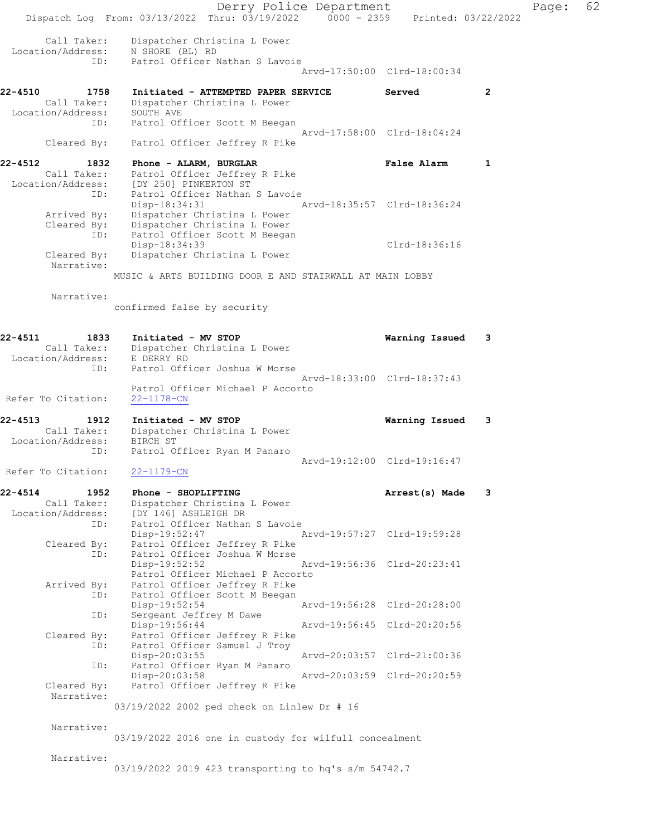Derry Police Department Fage: 62 Dispatch Log From: 03/13/2022 Thru: 03/19/2022 0000 - 2359 Printed: 03/22/2022 Call Taker: Dispatcher Christina L Power Location/Address: N SHORE (BL) RD ID: Patrol Officer Nathan S Lavoie Arvd-17:50:00 Clrd-18:00:34 22-4510 1758 Initiated - ATTEMPTED PAPER SERVICE 3 Served 2 Call Taker: Dispatcher Christina L Power Location/Address: SOUTH AVE ID: Patrol Officer Scott M Beegan Arvd-17:58:00 Clrd-18:04:24 Cleared By: Patrol Officer Jeffrey R Pike 22-4512 1832 Phone - ALARM, BURGLAR 1 1992 - Phone 1 Call Taker: Patrol Officer Jeffrey R Pike Location/Address: [DY 250] PINKERTON ST ID: Patrol Officer Nathan S Lavoie Disp-18:34:31 Arvd-18:35:57 Clrd-18:36:24 Arrived By: Dispatcher Christina L Power Cleared By: Dispatcher Christina L Power ID: Patrol Officer Scott M Beegan Disp-18:34:39 Clrd-18:36:16 Cleared By: Dispatcher Christina L Power Narrative: MUSIC & ARTS BUILDING DOOR E AND STAIRWALL AT MAIN LOBBY Narrative: confirmed false by security 22-4511 1833 Initiated - MV STOP Warning Issued 3 Call Taker: Dispatcher Christina L Power Location/Address: E DERRY RD ID: Patrol Officer Joshua W Morse Arvd-18:33:00 Clrd-18:37:43 Patrol Officer Michael P Accorto Refer To Citation: 22-1178-CN 22-4513 1912 Initiated - MV STOP Warning Issued 3 Call Taker: Dispatcher Christina L Power Location/Address: BIRCH ST ID: Patrol Officer Ryan M Panaro Arvd-19:12:00 Clrd-19:16:47 Refer To Citation: 22-1179-CN 22-4514 1952 Phone - SHOPLIFTING **Arrest(s)** Made 3 Call Taker: Dispatcher Christina L Power Location/Address: [DY 146] ASHLEIGH DR ID: Patrol Officer Nathan S Lavoie Disp-19:52:47 Arvd-19:57:27 Clrd-19:59:28 Cleared By: Patrol Officer Jeffrey R Pike ID: Patrol Officer Joshua W Morse Disp-19:52:52 Arvd-19:56:36 Clrd-20:23:41 Patrol Officer Michael P Accorto Arrived By: Patrol Officer Jeffrey R Pike ID: Patrol Officer Scott M Beegan Disp-19:52:54 Arvd-19:56:28 Clrd-20:28:00 ID: Sergeant Jeffrey M Dawe<br>Disp-19:56:44 Disp-19:56:44 Arvd-19:56:45 Clrd-20:20:56 Cleared By: Patrol Officer Jeffrey R Pike ID: Patrol Officer Samuel J Troy Disp-20:03:55 Arvd-20:03:57 Clrd-21:00:36 ID: Patrol Officer Ryan M Panaro Disp-20:03:58 Arvd-20:03:59 Cleared By: Patrol Officer Jeffrey R Pike Patrol Officer Jeffrey R Pike Narrative: 03/19/2022 2002 ped check on Linlew Dr # 16 Narrative: 03/19/2022 2016 one in custody for wilfull concealment Narrative: 03/19/2022 2019 423 transporting to hq's s/m 54742.7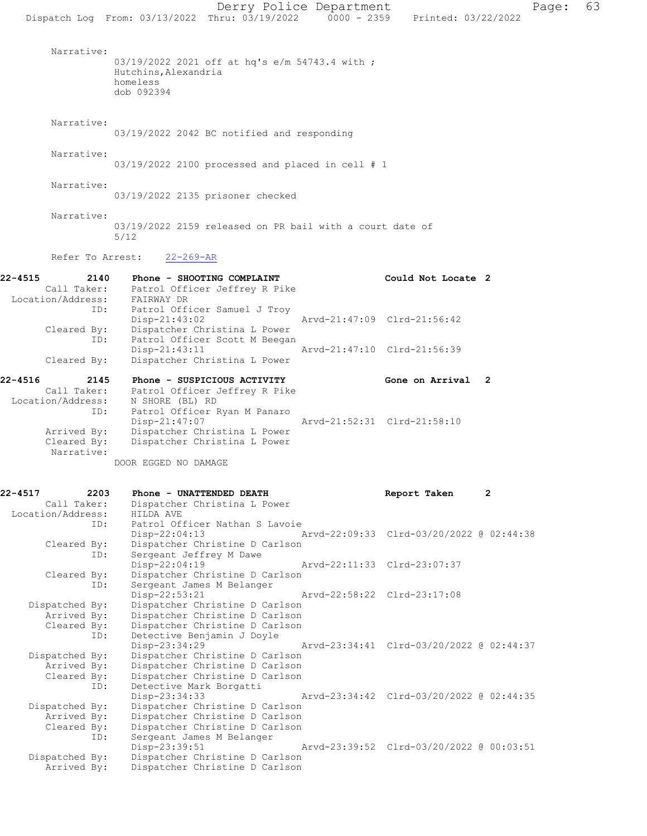|                                                            | Dispatch Log From: 03/13/2022 Thru: 03/19/2022 0000 - 2359 Printed: 03/22/2022                                      | Derry Police Department                  |                    | Page: | 63 |
|------------------------------------------------------------|---------------------------------------------------------------------------------------------------------------------|------------------------------------------|--------------------|-------|----|
| Narrative:                                                 | 03/19/2022 2021 off at hq's e/m 54743.4 with ;<br>Hutchins, Alexandria<br>homeless<br>dob 092394                    |                                          |                    |       |    |
| Narrative:                                                 | 03/19/2022 2042 BC notified and responding                                                                          |                                          |                    |       |    |
| Narrative:                                                 | $03/19/2022$ 2100 processed and placed in cell # 1                                                                  |                                          |                    |       |    |
| Narrative:                                                 | 03/19/2022 2135 prisoner checked                                                                                    |                                          |                    |       |    |
| Narrative:                                                 | 03/19/2022 2159 released on PR bail with a court date of<br>5/12                                                    |                                          |                    |       |    |
| Refer To Arrest:                                           | $22 - 269 - AR$                                                                                                     |                                          |                    |       |    |
| 22-4515<br>2140<br>Location/Address:                       | Phone - SHOOTING COMPLAINT<br>Call Taker: Patrol Officer Jeffrey R Pike<br>FAIRWAY DR                               |                                          | Could Not Locate 2 |       |    |
| ID:<br>Cleared By:                                         | Patrol Officer Samuel J Troy<br>Disp-21:43:02<br>Dispatcher Christina L Power                                       | Arvd-21:47:09 Clrd-21:56:42              |                    |       |    |
| ID:<br>Cleared By:                                         | Patrol Officer Scott M Beegan<br>Disp-21:43:11<br>Dispatcher Christina L Power                                      | Arvd-21:47:10 Clrd-21:56:39              |                    |       |    |
| 22-4516<br>2145<br>Call Taker:<br>Location/Address:<br>ID: | Phone - SUSPICIOUS ACTIVITY<br>Patrol Officer Jeffrey R Pike<br>N SHORE (BL) RD<br>Patrol Officer Ryan M Panaro     |                                          | Gone on Arrival 2  |       |    |
| Arrived By:<br>Cleared By:<br>Narrative:                   | $Disp-21:47:07$<br>Dispatcher Christina L Power<br>Dispatcher Christina L Power                                     | Arvd-21:52:31 Clrd-21:58:10              |                    |       |    |
|                                                            | DOOR EGGED NO DAMAGE                                                                                                |                                          |                    |       |    |
| 22-4517<br>2203<br>Call Taker:<br>Location/Address:<br>ID: | Phone - UNATTENDED DEATH<br>Dispatcher Christina L Power<br>HILDA AVE<br>Patrol Officer Nathan S Lavoie             |                                          | Report Taken       | 2     |    |
| Cleared By:<br>ID:                                         | $Disp-22:04:13$<br>Dispatcher Christine D Carlson<br>Sergeant Jeffrey M Dawe                                        | Arvd-22:09:33 Clrd-03/20/2022 @ 02:44:38 |                    |       |    |
| Cleared By:<br>ID:                                         | Disp-22:04:19<br>Dispatcher Christine D Carlson<br>Sergeant James M Belanger                                        | Arvd-22:11:33 Clrd-23:07:37              |                    |       |    |
| Dispatched By:<br>Arrived By:                              | Disp-22:53:21<br>Dispatcher Christine D Carlson<br>Dispatcher Christine D Carlson                                   | Aryd-22:58:22 Clrd-23:17:08              |                    |       |    |
| Cleared By:<br>ID:                                         | Dispatcher Christine D Carlson<br>Detective Benjamin J Doyle<br>Disp-23:34:29<br>Dispatcher Christine D Carlson     | Arvd-23:34:41 Clrd-03/20/2022 @ 02:44:37 |                    |       |    |
| Dispatched By:<br>Arrived By:<br>Cleared By:<br>ID:        | Dispatcher Christine D Carlson<br>Dispatcher Christine D Carlson<br>Detective Mark Borgatti                         |                                          |                    |       |    |
| Dispatched By:<br>Arrived By:<br>Cleared By:               | Disp-23:34:33<br>Dispatcher Christine D Carlson<br>Dispatcher Christine D Carlson<br>Dispatcher Christine D Carlson | Arvd-23:34:42 Clrd-03/20/2022 @ 02:44:35 |                    |       |    |
| ID:<br>Dispatched By:<br>Arrived By:                       | Sergeant James M Belanger<br>Disp-23:39:51<br>Dispatcher Christine D Carlson<br>Dispatcher Christine D Carlson      | Arvd-23:39:52 Clrd-03/20/2022 @ 00:03:51 |                    |       |    |